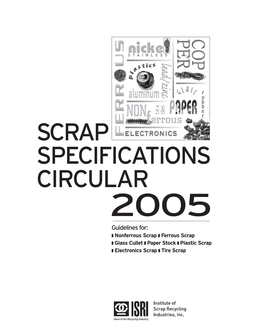

# SPECIFICATIONS CIRCULAR 2005

Guidelines for:

- ❚ **Nonferrous Scrap** ❚ **Ferrous Scrap**
- ❚ **Glass Cullet** ❚ **Paper Stock** ❚ **Plastic Scrap**
- ❚ **Electronics Scrap** ❚ **Tire Scrap**



Institute of **Scrap Recycling** Industries, Inc.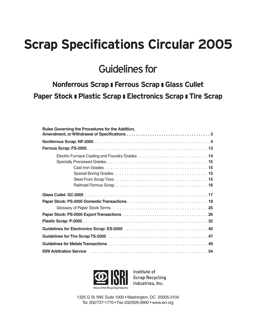# **Scrap Specifications Circular 2005**

# Guidelines for

# **Nonferrous Scrap** ❚ **Ferrous Scrap** ❚ **Glass Cullet Paper Stock** ❚ **Plastic Scrap** ❚ **Electronics Scrap** ❚ **Tire Scrap**

| Rules Governing the Procedures for the Addition, |  |  |
|--------------------------------------------------|--|--|
|                                                  |  |  |
|                                                  |  |  |
|                                                  |  |  |
|                                                  |  |  |
|                                                  |  |  |
|                                                  |  |  |
|                                                  |  |  |
|                                                  |  |  |
|                                                  |  |  |
|                                                  |  |  |
|                                                  |  |  |
|                                                  |  |  |
|                                                  |  |  |



Institute of **Scrap Recycling** Industries, Inc.

1325 G St. NW, Suite 1000 • Washington, DC 20005-3104 Tel. 202/737-1770 • Fax 202/626-0900 • www.isri.org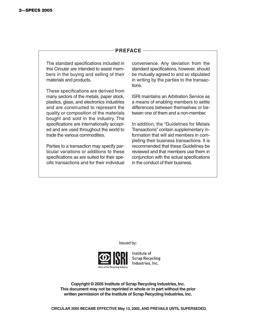# **PREFACE**

The standard specifications included in this Circular are intended to assist members in the buying and selling of their materials and products.

These specifications are derived from many sectors of the metals, paper stock, plastics, glass, and electronics industries and are constructed to represent the quality or composition of the materials bought and sold in the industry. The specifications are internationally accepted and are used throughout the world to trade the various commodities.

Parties to a transaction may specify particular variations or additions to these specifications as are suited for their specific transactions and for their individual convenience. Any deviation from the standard specifications, however, should be mutually agreed to and so stipulated in writing by the parties to the transactions.

ISRI maintains an Arbitration Service as a means of enabling members to settle differences between themselves or between one of them and a non-member.

In addition, the "Guidelines for Metals Transactions" contain supplementary information that will aid members in completing their business transactions. It is recommended that these Guidelines be reviewed and that members use them in conjunction with the actual specifications in the conduct of their business.

Issued by:



Institute of **Scrap Recycling** Industries, Inc.

**Copyright © 2005 Institute of Scrap Recycling Industries, Inc. This document may not be reprinted in whole or in part without the prior written permission of the Institute of Scrap Recycling Industries, Inc.**

**CIRCULAR 2005 BECAME EFFECTIVE May 13, 2005, AND PREVAILS UNTIL SUPERSEDED.**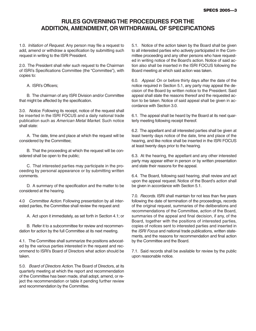# **RULES GOVERNING THE PROCEDURES FOR THE ADDITION, AMENDMENT, OR WITHDRAWAL OF SPECIFICATIONS**

1.0. Initiation of Request. Any person may file a request to add, amend or withdraw a specification by submitting such request in writing to the ISRI President.

2.0. The President shall refer such request to the Chairman of ISRI's Specifications Committee (the "Committee"), with copies to:

A. ISRI's Officers;

B. The chairman of any ISRI Division and/or Committee that might be affected by the specification.

3.0. Notice. Following its receipt, notice of the request shall be inserted in the ISRI FOCUS and a daily national trade publication such as American Metal Market. Such notice shall state:

A. The date, time and place at which the request will be considered by the Committee;

B. That the proceeding at which the request will be considered shall be open to the public;

C. That interested parties may participate in the proceeding by personal appearance or by submitting written comments.

D. A summary of the specification and the matter to be considered at the hearing.

4.0 Committee Action. Following presentation by all interested parties, the Committee shall review the request and:

A. Act upon it immediately, as set forth in Section 4.1; or

B. Refer it to a subcommittee for review and recommendation for action by the full Committee at its next meeting.

4.1. The Committee shall summarize the positions advocated by the various parties interested in the request and recommend to ISRI's Board of Directors what action should be taken.

5.0. Board of Directors Action.The Board of Directors, at its quarterly meeting at which the report and recommendation of the Committee has been made, shall adopt, amend, or reject the recommendation or table it pending further review and recommendation by the Committee.

5.1. Notice of the action taken by the Board shall be given to all interested parties who actively participated in the Committee proceeding and any other persons who have requested in writing notice of the Board's action. Notice of said action also shall be inserted in the ISRI FOCUS following the Board meeting at which said action was taken.

6.0. Appeal. On or before thirty days after the date of the notice required in Section 5.1, any party may appeal the decision of the Board by written notice to the President. Said appeal shall state the reasons thereof and the requested action to be taken. Notice of said appeal shall be given in accordance with Section 3.0.

6.1. The appeal shall be heard by the Board at its next quarterly meeting following receipt thereof.

6.2. The appellant and all interested parties shall be given at least twenty days notice of the date, time and place of the hearing, and like notice shall be inserted in the ISRI FOCUS at least twenty days prior to the hearing.

6.3. At the hearing, the appellant and any other interested party may appear either in person or by written presentation and state their reasons for the appeal.

6.4. The Board, following said hearing, shall review and act upon the appeal request. Notice of the Board's action shall be given in accordance with Section 5.1.

7.0. Records. ISRI shall maintain for not less than five years following the date of termination of the proceedings, records of the original request, summaries of the deliberations and recommendations of the Committee, action of the Board, summaries of the appeal and final decision, if any, of the Board, together with the positions of interested parties, copies of notices sent to interested parties and inserted in the ISRI Focus and national trade publications, written statements, and the reasons for recommendation and final action by the Committee and the Board.

7.1. Said records shall be available for review by the public upon reasonable notice.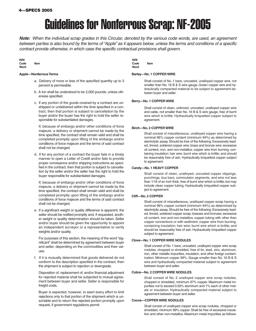# Guidelines for Nonferrous Scrap: NF-2005

**Note:** When the individual scrap grades in this Circular, denoted by the various code words, are used, an agreement between parties is also bound by the terms of "Apple" as it appears below, unless the terms and conditions of a specific contract provide otherwise, in which case the specific contractual provisions shall govern.

**ISRI Code Item Word**

#### **Apple—Nonferrous Terms**

- a. Delivery of more or less of the specified quantity up to 3 percent is permissible.
- b. A ton shall be understood to be 2,000 pounds, unless otherwise specified.
- c. If any portion of the goods covered by a contract are unshipped or undelivered within the time specified in a contract, then that portion is subject to cancellation by the buyer and/or the buyer has the right to hold the seller responsible for substantiated damages.

If, because of embargo and/or other conditions of force majeure, a delivery or shipment cannot be made by the time specified, the contract shall remain valid and shall be completed promptly upon lifting of the embargo and/or conditions of force majeure and the terms of said contract shall not be changed.

d. If for any portion of a contract the buyer fails in a timely manner to open a Letter of Credit and/or fails to provide proper conveyance and/or shipping instructions as specified in the contract, then that portion is subject to cancellation by the seller and/or the seller has the right to hold the buyer responsible for substantiated damages.

If, because of embargo and/or other conditions of force majeure, a delivery or shipment cannot be made by the time specified, the contract shall remain valid and shall be completed promptly upon lifting of the embargo and/or conditions of force majeure and the terms of said contract shall not be changed.

e. If a significant weight or quality difference is apparent, the seller should be notified promptly and, if requested, another weight or quality determination should be taken. Seller and/or buyer should be given the opportunity to appoint an independent surveyor or a representative to verify weights and/or quality.

For purposes of this section, the meaning of the word "significant" shall be determined by agreement between buyer and seller, depending on the commodities and their values.

f. If it is mutually determined that goods delivered do not conform to the description specified in the contract, then the shipment is subject to rejection or downgrade.

Disposition of, replacement of, and/or financial adjustment for rejected material shall be subjected to mutual agreement between buyer and seller. Seller is responsible for freight costs.

Buyer is expected, however, to exert every effort to limit rejections only to that portion of the shipment which is unsortable and to return the rejected portion promptly upon request, if government regulations permit.

**ISRI Code Item Word**

#### **Barley—No. 1 COPPER WIRE**

Shall consist of No. 1 bare, uncoated, unalloyed copper wire, not smaller than No. 16 B & S wire gauge. Green copper wire and hydraulically compacted material to be subject to agreement between buyer and seller.

#### **Berry—No. 1 COPPER WIRE**

Shall consist of clean, untinned, uncoated, unalloyed copper wire and cable, not smaller than No. 16 B & S wire gauge, free of burnt wire which is brittle. Hydraulically briquetted copper subject to agreement.

#### **Birch—No. 2 COPPER WIRE**

Shall consist of miscellaneous, unalloyed copper wire having a nominal 96% copper content (minimum 94%) as determined by electrolytic assay. Should be free of the following. Excessively leaded, tinned, soldered copper wire; brass and bronze wire; excessive oil content, iron, and non-metallics; copper wire from burning, containing insulation; hair wire; burnt wire which is brittle; and should be reasonably free of ash. Hydraulically briquetted copper subject to agreement.

#### **Candy—No. 1 HEAVY COPPER**

Shall consist of clean, unalloyed, uncoated copper clippings, punchings, bus bars, commutator segments, and wire not less than 1/16 of an inch thick, free of burnt wire which is brittle; but may include clean copper tubing. Hydraulically briquetted copper subject to agreement.

#### **Cliff—No. 2 COPPER**

Shall consist of miscellaneous, unalloyed copper scrap having a nominal 96% copper content (minimum 94%) as determined by electrolytic assay. Should be free of the following: Excessively leaded, tinned, soldered copper scrap; brasses and bronzes; excessive oil content, iron and non-metallics; copper tubing with other than copper connections or with sediment; copper wire from burning, containing insulation; hair wire; burnt wire which is brittle; and should be reasonably free of ash. Hydraulically briquetted copper subject to agreement.

#### **Clove—No. 1 COPPER WIRE NODULES**

Shall consist of No. 1 bare, uncoated, unalloyed copper wire scrap nodules, chopped or shredded, free of tin, lead, zinc, aluminum, iron, other metallic impurities, insulation, and other foreign contamination. Minimum copper 99%. Gauge smaller than No. 16 B & S wire and hydraulically compacted material subject to agreement between buyer and seller.

#### **Cobra—No. 2 COPPER WIRE NODULES**

Shall consist of No. 2 unalloyed copper wire scrap nodules, chopped or shredded, minimum 97% copper. Maximum metal impurities not to exceed 0.50% aluminum and 1% each of other metals or insulation. Hydraulically compacted material subject to agreement between buyer and seller.

#### **Cocoa—COPPER WIRE NODULES**

Shall consist of unalloyed copper wire scrap nodules, chopped or shredded, minimum 99% copper. Shall be free of excessive insulation and other non-metallics. Maximum metal impurities as follows: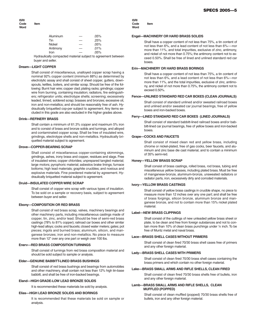**ISRI Code Item Word**

| Aluminum      | .05%    |  |
|---------------|---------|--|
| Tin           | .25%    |  |
| <b>Nickel</b> | .05%    |  |
| Antimony      | $.01\%$ |  |
| Iron          | .05%    |  |
| $\cdots$      |         |  |

Hydraulically compacted material subject to agreement between buyer and seller.

#### **Dream—LIGHT COPPER**

Shall consist of miscellaneous, unalloyed copper scrap having a nominal 92% copper content (minimum 88%) as determined by electrolytic assay and shall consist of sheet copper, gutters, downspouts, kettles, boilers, and similar scrap. Should be free of the following: Burnt hair wire; copper clad; plating racks; grindings; copper wire from burning, containing insulation; radiators, fire extinguishers; refrigerator units; electrotype shells; screening; excessively leaded, tinned, soldered scrap; brasses and bronzes; excessive oil, iron and non-metallics; and should be reasonably free of ash. Hydraulically briquetted cop-per subject to agreement. Any items excluded in this grade are also excluded in the higher grades above.

#### **Drink—REFINERY BRASS**

Shall contain a minimum of 61.3% copper and maximum 5% iron and to consist of brass and bronze solids and turnings, and alloyed and contaminated copper scrap. Shall be free of insulated wire, grindings, electrotype shells and non-metallics. Hydraulically briquetted material subject to agreement.

#### **Drove—COPPER-BEARING SCRAP**

Shall consist of miscellaneous copper-containing skimmings, grindings, ashes, irony brass and copper, residues and slags. Free of insulated wires; copper chlorides; unprepared tangled material; large motors; pyrophoric material; asbestos brake linings; furnace bottoms; high lead materials; graphite crucibles; and noxious and explosive materials. Fine powdered material by agreement. Hydraulically briquetted material subject to agreement.

#### **Druid—INSULATED COPPER WIRE SCRAP**

Shall consist of copper wire scrap with various types of insulation. To be sold on a sample or recovery basis, subject to agreement between buyer and seller.

#### **Ebony—COMPOSITION OR RED BRASS**

Shall consist of red brass scrap, valves, machinery bearings and other machinery parts, including miscellaneous castings made of copper, tin, zinc, and/or lead. Should be free of semi-red brass castings (78% to 81% copper); railroad car boxes and other similar high-lead alloys; cocks and faucets; closed water meters; gates; pot pieces; ingots and burned brass; aluminum, silicon, and manganese bronzes; iron and non-metallics. No piece to measure more than 12" over any one part or weigh over 100 lbs.

#### **Enerv—RED BRASS COMPOSITION TURNINGS**

Shall consist of turnings from red brass composition material and should be sold subject to sample or analysis.

#### **Elder—GENUINE BABBITT-LINED BRASS BUSHINGS**

Shall consist of red brass bushings and bearings from automobiles and other machinery, shall contain not less than 12% high tin-base babbitt, and shall be free of iron-backed bearings.

#### **Eland—HIGH GRADE-LOW LEAD BRONZE SOLIDS**

It is recommended these materials be sold by analysis.

#### **Elias—HIGH LEAD BRONZE SOLIDS AND BORINGS**

It is recommended that these materials be sold on sample or analysis.

| <b>ISRI</b> |      |
|-------------|------|
| Code        | ltem |
| Word        |      |

#### **Engel—MACHINERY OR HARD BRASS SOLIDS**

Shall have a copper content of not less than 75%, a tin content of not less than 6%, and a lead content of not less than 6%-—nor more than 11%, and total impurities, exclusive of zinc, antimony, and nickel of not more than 0.75%; the antimony content not to exceed 0.50%. Shall be free of lined and unlined standard red car boxes.

#### **Erin—MACHINERY OR HARD BRASS BORINGS**

Shall have a copper content of not less than 75%, a tin content of not less than 6%, and a lead content of not less than 6%—nor more than 11%, and the total impurities, exclusive of zinc, antimony, and nickel of not more than 0.75%, the antimony content not to exceed 0.50%.

#### **Fence—UNLINED STANDARD RED CAR BOXES (CLEAN JOURNALS)**

Shall consist of standard unlined and/or sweated railroad boxes and unlined and/or sweated car journal bearings, free of yellow boxes and iron-backed boxes.

#### **Ferry—LINED STANDARD RED CAR BOXES (LINED JOURNALS)**

Shall consist of standard babbitt-lined railroad boxes and/or babbitt-lined car journal bearings, free of yellow boxes and iron-backed boxes.

#### **Grape—COCKS AND FAUCETS**

Shall consist of mixed clean red and yellow brass, including chrome or nickel-plated, free of gas cocks, beer faucets, and aluminum and zinc base die cast material, and to contain a minimum of 35% semi-red.

#### **Honey—YELLOW BRASS SCRAP**

Shall consist of brass castings, rolled brass, rod brass, tubing and miscellaneous yellow brasses, including plated brass. Must be free of manganese-bronze, aluminum-bronze, unsweated radiators or radiator parts, iron, excessively dirty and corroded materials.

#### **Ivory—YELLOW BRASS CASTINGS**

Shall consist of yellow brass castings in crucible shape, no piece to measure more than 12 inches over any one part; and shall be free of brass forgings, silicon bronze, aluminum bronze and manganese bronze, and not to contain more than 15% nickel plated material.

#### **Label—NEW BRASS CLIPPINGS**

Shall consist of the cuttings of new unleaded yellow brass sheet or plate, to be clean and free from foreign substances and not to contain more than 10% of clean brass punchings under ¼ inch. To be free of Muntz metal and naval brass.

#### **Lace—BRASS SHELL CASES WITHOUT PRIMERS**

Shall consist of clean fired 70/30 brass shell cases free of primers and any other foreign material.

#### **Lady—BRASS SHELL CASES WITH PRIMERS**

Shall consist of clean fired 70/30 brass shell cases containing the brass primers and which contain no other foreign material.

#### **Lake—BRASS SMALL ARMS AND RIFLE SHELLS, CLEAN FIRED**

Shall consist of clean fired 70/30 brass shells free of bullets, iron and any other foreign material.

#### **Lamb—BRASS SMALL ARMS AND RIFLE SHELLS, CLEAN MUFFLED (POPPED)**

Shall consist of clean muffled (popped) 70/30 brass shells free of bullets, iron and any other foreign material.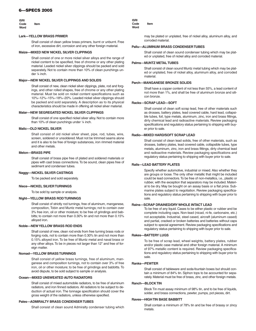**ISRI Code Item Word**

#### **Lark—YELLOW BRASS PRIMER**

Shall consist of clean yellow brass primers, burnt or unburnt. Free of iron, excessive dirt, corrosion and any other foreign material.

#### **Maize—MIXED NEW NICKEL SILVER CLIPPINGS**

Shall consist of one or more nickel silver alloys and the range of nickel content to be specified, free of chrome or any other plating material. Leaded nickel silver clippings should be packed and sold separately. Not to contain more than 10% of clean punchings under ¼ inch.

#### **Major—NEW NICKEL SILVER CLIPPINGS AND SOLIDS**

Shall consist of new, clean nickel silver clippings, plate, rod and forgings, and other rolled shapes, free of chrome or any other plating material. Must be sold on nickel content specifications such as 10%–12%–15%–18%–20%. Leaded nickel silver clippings should be packed and sold separately. A description as to its physical characteristics should be made in offering all nickel silver material.

#### **Malar—NEW SEGREGATED NICKEL SILVER CLIPPINGS**

Shall consist of one specified nickel silver alloy. Not to contain more than 10% of clean punchings under ¼ inch.

#### **Malic—OLD NICKEL SILVER**

Shall consist of old nickel silver sheet, pipe, rod, tubes, wire, screen, soldered or unsoldered. Must not be trimmed seams alone and it is also to be free of foreign substances, iron rimmed material and other metals.

#### **Melon—BRASS PIPE**

Shall consist of brass pipe free of plated and soldered materials or pipes with cast brass connections.To be sound, clean pipes free of sediment and condenser tubes.

#### **Naggy—NICKEL SILVER CASTINGS**

To be packed and sold separately.

#### **Niece—NICKEL SILVER TURNINGS**

To be sold by sample or analysis.

#### **Night—YELLOW BRASS ROD TURNINGS**

Shall consist of strictly rod turnings, free of aluminum, manganese, composition, Tobin and Muntz metal turnings; not to contain over 3% free iron, oil or other moisture; to be free of grindings and babbitts; to contain not more than 0.30% tin and not more than 0.15% alloyed iron.

#### **Noble—NEW YELLOW BRASS ROD ENDS**

Shall consist of new, clean rod ends from free turning brass rods or forging rods, not to contain more than 0.30% tin and not more than 0.15% alloyed iron. To be free of Muntz metal and naval brass or any other alloys.To be in pieces not larger than 12" and free of foreign matter.

#### **Nomad—YELLOW BRASS TURNINGS**

Shall consist of yellow brass turnings, free of aluminum, manganese and composition turnings, not to contain over 3% of free iron, oil or other moisture; to be free of grindings and babbitts. To avoid dispute, to be sold subject to sample or analysis.

#### **Ocean—MIXED UNSWEATED AUTO RADIATORS**

Shall consist of mixed automobile radiators, to be free of aluminum radiators, and iron finned radiators. All radiators to be subject to deduction of actual iron. The tonnage specification should cover the gross weight of the radiators, unless otherwise specified.

#### **Pales—ADMIRALTY BRASS CONDENSER TUBES**

Shall consist of clean sound Admiralty condenser tubing which

**ISRI Code Item Word**

> may be plated or unplated, free of nickel alloy, aluminum alloy, and corroded material.

#### **Pallu—ALUMINUM BRASS CONDENSER TUBES**

Shall consist of clean sound condenser tubing which may be plated or unplated, free of nickel alloy and corroded material.

#### **Palms—MUNTZ METAL TUBES**

Shall consist of clean sound Muntz metal tubing which may be plated or unplated, free of nickel alloy, aluminum alloy, and corroded material.

#### **Parch—MANGANESE BRONZE SOLIDS**

Shall have a copper content of not less than 55%, a lead content of not more than 1%, and shall be free of aluminum bronze and silicon bronze.

#### **Racks—SCRAP LEAD—SOFT**

Shall consist of clean soft scrap lead, free of other materials such as drosses, battery plates, lead covered cable, hard lead, collapsible tubes, foil, type metals, aluminum, zinc, iron and brass fittings, dirty chemical lead and radioactive materials. Review packaging specifications and regulatory status pertaining to shipping with buyer prior to sale.

#### **Radio—MIXED HARD/SOFT SCRAP LEAD**

Shall consist of clean lead solids, free of other materials, such as drosses, battery plates, lead covered cable, collapsible tubes, type metals, aluminum, zinc, iron and brass fittings, dirty chemical lead and radioactive materials. Review packaging specifications and regulatory status pertaining to shipping with buyer prior to sale.

#### **Rails—LEAD BATTERY PLATES**

Specify whether automotive, industrial or mixed. Also whether they are groups or loose. The only other metallic that might be included could be lead connectors.To be free of non-metallics, i.e., plastic or rubber, with the exception that separators may be included. Material to be dry. May be bought on an assay basis or a flat price. Submarine plates subject to negotiation. Review packaging specifications and regulatory status pertaining to shipping with buyer prior to sale.

## **Rains—SCRAP DRAINED/DRY WHOLE INTACT LEAD**

To be free of any liquid. Cases to be either plastic or rubber and be complete including caps. Non-lead (nicad, ni-fe, carbonaire, etc.) not acceptable. Industrial, steel cased, aircraft (aluminum cased) and partial, cracked or broken batteries and batteries without caps subject to special agreement. Review packaging specifications and regulatory status pertaining to shipping with buyer prior to sale.

#### **Rakes—BATTERY LUGS**

To be free of scrap lead, wheel weights, battery plates, rubber and/or plastic case material and other foreign material. A minimum of 97% metallic content is required. Review packaging specifications and regulatory status pertaining to shipping with buyer prior to sale.

#### **Ranks—PEWTER**

Shall consist of tableware and soda-fountain boxes but should contain a minimum of 84% tin. Siphon tops to be accounted for separately. Material must be free of brass, zinc, and other foreign metals.

#### **Ranch—BLOCK TIN**

Block Tin must assay minimum of 98% tin, and to be free of liquids, solder, and brass connections, pewter, pumps, pot pieces, dirt.

#### **Raves—HIGH TIN BASE BABBITT**

Shall contain a minimum of 78% tin and be free of brassy or zincy metals.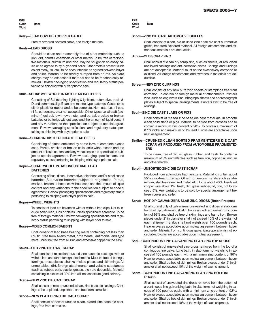**ISRI Code Item Word**

#### **Relay—LEAD COVERED COPPER CABLE**

Free of armored covered cable, and foreign material.

#### **Rents—LEAD DROSS**

Should be clean and reasonably free of other materials such as iron, dirt, harmful chemicals or other metals. To be free of radioactive materials, aluminum and zinc. May be bought on an assay basis or as agreed to by buyer and seller. Other metals present such as antimony, tin, etc., to be accounted for as agreed between buyer and seller. Material to be readily dumped from drums. An extra charge may be assessed if material has to be mechanically removed. Review packaging specification and regulatory status pertaining to shipping with buyer prior to sale.

#### **Rink—SCRAP WET WHOLE INTACT LEAD BATTERIES**

Consisting of SLI (starting, lighting & ignition), automotive, truck, 8- D and commercial golf cart and marine-type batteries. Cases to be either plastic or rubber and to be complete. Non-lead (i.e., ni-cad, ni-fe, carbonaire, etc.) not acceptable. Other types i.e. aircraft (aluminum) gel-cel, lawnmower, etc., and partial, cracked or broken batteries or batteries without caps and the amount of liquid content and any variations to the specification subject to special agreement. Review packaging specifications and regulatory status pertaining to shipping with buyer prior to sale.

#### **Rono—SCRAP INDUSTRIAL INTACT LEAD CELLS**

Consisting of plates enclosed by some form of complete plastic case. Partial, cracked or broken cells, cells without caps and the amount of liquid content and any variations to the specification subject to special agreement. Review packaging specifications and regulatory status pertaining to shipping with buyer prior to sale.

#### **Roper—SCRAP WHOLE INTACT INDUSTRIAL LEAD BATTERIES**

Consisting of bus, diesel, locomotive, telephone and/or steel cased batteries. Submarine batteries subject to negotiation. Partial, cracked, broken or batteries without caps and the amount of liquid content and any variations to the specification subject to special agreement. Review packaging specifications and regulatory status pertaining to shipping with buyer prior to sale.

#### **Ropes—WHEEL WEIGHTS**

To consist of lead tire balances with or without iron clips. Not to include scrap lead, lugs or plates unless specifically agreed to.To be free of foreign material. Review packaging specifications and regulatory status pertaining to shipping with buyer prior to sale.

#### **Roses—MIXED COMMON BABBITT**

Shall consist of lead base bearing metal containing not less than 8% tin, free from Allens metal, ornamental, antimonial and type metal. Must be free from all zinc and excessive copper in the alloy.

#### **Saves—OLD ZINC DIE CAST SCRAP**

Shall consist of miscellaneous old zinc base die castings, with or without iron and other foreign attachments. Must be free of borings, turnings, dross pieces, chunks, melted pieces and skimmings. All unmeltables, dirt, foreign attachments, and volatile substances (such as rubber, cork, plastic, grease, etc.) are deductible. Material containing in excess of 30% iron will not constitute good delivery.

#### **Scabs—NEW ZINC DIE CAST SCRAP**

Shall consist of new or unused, clean, zinc base die castings. Castings to be unplated, unpainted, and free from corrosion.

#### **Scope—NEW PLATED ZINC DIE CAST SCRAP**

Shall consist of new or unused clean, plated zinc base die castings, free from corrosion.

**ISRI Code Item Word**

#### **Scoot—ZINC DIE CAST AUTOMOTIVE GRILLES**

Shall consist of clean, old or used zinc base die cast automotive grilles, free from soldered material. All foreign attachments and extraneous materials are deductible.

#### **Score—OLD SCRAP ZINC**

Shall consist of clean dry scrap zinc, such as sheets, jar lids, clean unalloyed castings and anti-corrosion plates. Borings and turnings are not acceptable. Material must not be excessively corroded or oxidized. All foreign attachments and extraneous materials are deductible.

#### **Screen—NEW ZINC CLIPPINGS**

Shall consist of any new pure zinc sheets or stampings free from corrosion. To contain no foreign material or attachments. Printers zinc, such as engravers zinc, lithograph sheets and addressograph plates subject to special arrangements. Printers zinc to be free of routings.

#### **Scull—ZINC DIE CAST SLABS OR PIGS**

Shall consist of melted zinc base die cast materials, in smooth clean solid slabs or pigs. Material to be free from drosses and to contain a minimum zinc content of 90%. To contain a maximum of 0.1% nickel and maximum of 1% lead. Blocks are acceptable upon mutual agreement.

#### **Scribe—CRUSHED CLEAN SORTED FRAGMENTIZERS DIE CAST SCRAP, AS PRODUCED FROM AUTOMOBILE FRAGMENTIZ-ERS**

To be clean, free of dirt, oil, glass, rubber, and trash. To contain a maximum of 5% unmeltables such as free iron, copper, aluminum and other metals.

#### **Scroll—UNSORTED ZINC DIE CAST SCRAP**

Produced from automobile fragmentizers. Material to contain about 55% zinc-bearing scrap. Other nonferrous metals such as aluminum, stainless steel, red metal, etc., to be about 40%. Insulated copper wire about 1%. Trash, dirt, glass, rubber, oil, iron, not to exceed 5%. Any variations to be sold by special arrangement between buyer and seller.

#### **Scrub—HOT DIP GALVANIZERS SLAB ZINC DROSS (Batch Process)**

Shall consist only of galvanizers unsweated zinc dross in slab form from hot dip galvanizing (Batch Process) with a minimum zinc content of 92% and shall be free of skimmings and tramp iron. Broken pieces under 2" in diameter shall not exceed 10% of the weight of each shipment. Slabs shall not weigh over 100 pounds each. Heavier pieces acceptable upon mutual agreement between buyer and seller. Material from continuous galvanizing operation is not acceptable. Blocks are acceptable upon mutual agreement.

#### **Seal—CONTINUOUS LINE GALVANIZING SLAB ZINC TOP DROSS**

Shall consist of unsweated zinc dross removed from the top of a continuous line galvanizing bath, in slab form not weighing in excess of 100 pounds each, with a minimum zinc content of 90% Heavier pieces acceptable upon mutual agreement between buyer and seller. Shall be free of skimmings. Broken pieces under 2" in diameter shall not exceed 10% of the weight of each shipment.

#### **Seam—CONTINUOUS LINE GALVANIZING SLAB ZINC BOTTOM DROSS**

Shall consist of unsweated zinc dross removed from the bottom of a continuous line galvanizing bath, in slab form not weighing in excess of 100 pounds each, with a minimum zinc content of 92%. Heavier pieces acceptable upon mutual agreement between buyer and seller. Shall be free of skimmings. Broken pieces under 2" in diameter shall not exceed 10% of the weight of each shipment.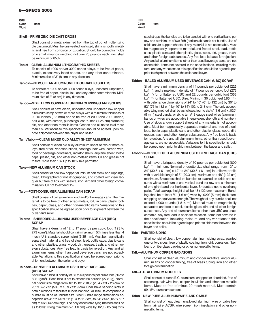**ISRI Code Item Word**

#### **Shelf—PRIME ZINC DIE CAST DROSS**

Shall consist of metal skimmed from the top of pot of molten zinc die cast metal. Must be unsweated, unfluxed, shiny, smooth, metallic and free from corrosion or oxidation. Should be poured in molds or in small mounds weighing not over 75 pounds each. Zinc shall be minimum of 85%.

#### **Tablet—CLEAN ALUMINUM LITHOGRAPHIC SHEETS**

To consist of 1000 and/or 3000 series alloys, to be free of paper, plastic, excessively inked sheets, and any other contaminants. Minimum size of 3" (8 cm) in any direction.

#### **Tabloid—NEW, CLEAN ALUMINUM LITHOGRAPHIC SHEETS**

To consist of 1000 and/or 3000 series alloys, uncoated, unpainted, to be free of paper, plastic, ink, and any other contaminants. Minimum size of 3" (8 cm) in any direction.

#### **Taboo—MIXED LOW COPPER ALUMINUM CLIPPINGS AND SOLIDS**

Shall consist of new, clean, uncoated and unpainted low copper aluminum scrap of two or more alloys with a minimum thickness of 0.015 inches (.38 mm) and to be free of 2000 and 7000 series, hair wire, wire screen, punchings less 1/2 inch (1.25 cm) diameter, dirt, and other non-metallic items. Grease and oil not to total more than 1%. Variations to this specification should be agreed upon prior to shipment between the buyer and seller.

#### **Taint/Tabor—CLEAN MIXED OLD ALLOY SHEET ALUMINUM**

Shall consist of clean old alloy aluminum sheet of two or more alloys, free of foil, venetian blinds, castings, hair wire, screen wire, food or beverage containers, radiator shells, airplane sheet, bottle caps, plastic, dirt, and other non-metallic items. Oil and grease not to total more than 1%. Up to 10% Tale permitted.

#### **Take—NEW ALUMINUM CAN STOCK**

Shall consist of new low copper aluminum can stock and clippings, clean, lithographed or not lithographed, and coated with clear lacquer but free of lids with sealers, iron, dirt and other foreign contamination. Oil not to exceed 1%.

#### **Talc—POST-CONSUMER ALUMINUM CAN SCRAP**

Shall consist of old aluminum food and/or beverage cans.The material is to be free of other scrap metals, foil, tin cans, plastic bottles, paper, glass, and other non-metallic items. Variations to this specification should be agreed upon prior to shipment between the buyer and seller.

#### **Talcred—SHREDDED ALUMINUM USED BEVERAGE CAN (UBC) SCRAP**

Shall have a density of 12 to 17 pounds per cubic foot (193 to 273 kg/m<sup>3</sup>). Material should contain maximum 5% fines less than 4 mesh (U.S. standard screen size) (6.35 mm). Must be magnetically separated material and free of steel, lead, bottle caps, plastic cans and other plastics, glass, wood, dirt, grease, trash, and other foreign substances. Any free lead is basis for rejection. Any and all aluminum items, other than used beverage cans, are not acceptable.Variations to this specification should be agreed upon prior to shipment between the seller and buyer.

#### **Taldack—DENSIFIED ALUMINUM USED BEVERAGE CAN (UBC) SCRAP**

Shall have a biscuit density of 35 to 50 pounds per cubic foot (562 to 802 kg/m<sup>3</sup>). Each biscuit not to exceed 60 pounds (27.2 kg). Nominal biscuit size range from 10" to 13" x 10¼" (25.4 x 33 x 26 cm) to 20" x 61 /4" x 9" (50.8 x 15.9 x 22.9 cm). Shall have banding slots in both directions to facilitate bundle banding. All biscuits comprising a bundle must be of uniform size. Size: Bundle range dimensions acceptable are 41" to 44" x 51" (104 to 112 cm) to 54" x 54" (137 x 137 cm) to 56" (142 cm) high.The only acceptable tying method shall be as follows: Using minimum  $\frac{5}{6}$ " (1.6 cm) wide by .020" (.05 cm) thick **ISRI Code Item Word**

> steel straps, the bundles are to be banded with one vertical band per row and a minimum of two firth (horizontal) bands per bundle. Use of skids and/or support sheets of any material is not acceptable. Must be magnetically separated material and free of steel, lead, bottle caps, plastic cans and other plastic, glass, wood, dirt, grease, trash, and other foreign substances. Any free lead is basis for rejection. Any and all aluminum items, other than used beverage cans, are not acceptable. Items not covered in the specifications, including moisture, and any variations to this specification should be agreed upon prior to shipment between the seller and buyer.

#### **Taldon—BALED ALUMINUM USED BEVERAGE CAN (UBC) SCRAP**

Shall have a minimum density of 14 pounds per cubic foot (225 kg/m<sup>3</sup>), and a maximum density of 17 pounds per cubic foot (273 kg/m<sup>3</sup>) for unflattened UBC and 22 pounds per cubic foot (353 kg/m<sup>3</sup>) for flattened UBC. Size: Minimum 30 cubic feet (.85 m<sup>3</sup>), with bale range dimensions of 24" to 40" (61 to 132 cm) by 30" to 52" (76 to 132 cm) by 40" to 84"(102 to 213 cm). The only acceptable tying method shall be as follows: four to six 5 /8" (1.6 cm) x .020" (5 mm) steel bands, or six to ten #13 gauge steel wires (aluminum bands or wires are acceptable in equivalent strength and number). Use of skids and/or support sheets of any material is not acceptable. Must be magnetically separated material and free of steel, lead, bottle caps, plastic cans and other plastic, glass, wood, dirt, grease, trash, and other foreign substances. Any free lead is basis for rejection. Any and all aluminum items, other than used beverage cans, are not acceptable. Variations to this specification should be agreed upon prior to shipment between the buyer and seller.

#### **Taldork—BRIQUETUED ALUMINUM USED BEVERAGE CAN (UBC) SCRAP**

Shall have a briquette density of 50 pounds per cubic foot (800 kg/m<sup>3</sup>) minimum. Nominal briquette size shall range from 12" to 24" (30.5 x 61 cm) x 12" to 24" (30.5 x 61 cm) in uniform profile with a variable length of 8" (20.3 cm) minimum and 48" (122 cm) maximum. Briquettes shall be bundled or stacked on skids and secured with a minimum of one vertical band per row and a minimum of one girth band per horizontal layer. Briquettes not to overhang pallet. Total package height shall be 48 (122 cm) maximum. Banding shall be at least 5 /8" (1.6 cm) wide by .020" (5 mm) thick steel strapping or equivalent strength.The weight of any bundle shall not exceed 4,000 pounds (1.814 mt). Material must be magnetically separated and free of steel, plastic, glass, dirt and all other foreign substances. Any and all aluminum items other than UBC are unacceptable. Any free lead is basis for rejection. Items not covered in the specification, including moisture, and any variations to this specification should be agreed upon prior to shipment between the buyer and seller.

#### **Tale—PAINTED SIDING**

Shall consist of clean, low copper aluminum siding scrap, painted one or two sides, free of plastic coating, iron, dirt, corrosion, fiber, foam, or fiberglass backing or other non-metallic items.

#### **Talk—ALUMINUM COPPER RADIATORS**

Shall consist of clean aluminum and copper radiators, and/or aluminum fins on copper tubing, free of brass tubing, iron and other foreign contamination.

#### **Tall—E.C. ALUMINUM NODULES**

Shall consist of clean E.C. aluminum, chopped or shredded, free of screening, hair-wire, iron, copper, insulation and other non-metallic items. Must be free of minus 20 mesh material. Must contain 99.45% aluminum content.

#### **Talon—NEW PURE ALUMINUM WIRE AND CABLE**

Shall consist of new, clean, unalloyed aluminum wire or cable free from hair wire, ACSR, wire screen, iron, insulation and other nonmetallic items.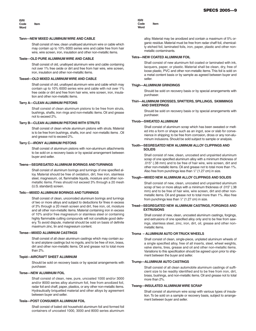**ISRI Code Item Word**

#### **Tann—NEW MIXED ALUMINUM WIRE AND CABLE**

Shall consist of new, clean unalloyed aluminum wire or cable which may contain up to 10% 6000 series wire and cable free from hair wire, wire screen, iron, insulation and other non-metallic items.

#### **Taste—OLD PURE ALUMINUM WIRE AND CABLE**

Shall consist of old, unalloyed aluminum wire and cable containing not over 1% free oxide or dirt and free from hair wire, wire screen, iron, insulation and other non-metallic items.

#### **Tassel—OLD MIXED ALUMINUM WIRE AND CABLE**

Shall consist of old, unalloyed aluminum wire and cable which may contain up to 10% 6000 series wire and cable with not over 1% free oxide or dirt and free from hair wire, wire screen, iron, insulation and other non-metallic items.

#### **Tarry A—CLEAN ALUMINUM PISTONS**

Shall consist of clean aluminum pistons to be free from struts, bushings, shafts, iron rings and non-metallic items. Oil and grease not to exceed 2%.

#### **Tarry B—CLEAN ALUMINUM PISTONS WITH STRUTS**

Shall consist of clean whole aluminum pistons with struts. Material is to be free from bushings, shafts, iron and non-metallic items . Oil and grease not to exceed 2%.

#### **Tarry C—IRONY ALUMINUM PISTONS**

Shall consist of aluminum pistons with non-aluminum attachments to be sold on a recovery basis or by special arrangement between buyer and seller.

#### **Teens—SEGREGATED ALUMINUM BORINGS AND TURNINGS**

Shall consist of aluminum borings and turnings of one specified alloy. Material should be free of oxidation, dirt, free iron, stainless steel, magnesium, oil, flammable liquids, moisture and other nonmetallic items. Fines should not exceed 3% through a 20 mesh (U.S. standard) screen.

#### **Telic—MIXED ALUMINUM BORINGS AND TURNINGS**

Shall consist of clean, uncorroded aluminum borings and turnings of two or more alloys and subject to deductions for fines in excess of 3% through a 20 mesh screen and dirt, free iron, oil, moisture and all other non-metallic items. Material containing iron in excess of 10% and/or free magnesium or stainless steel or containing highly flammable cutting compounds will not constitute good delivery. To avoid dispute, material should be sold on basis of definite maximum zinc, tin and magnesium content.

#### **Tense—MIXED ALUMINUM CASTINGS**

Shall consist of all clean aluminum castings which may contain auto and airplane castings but no ingots, and to be free of iron, brass, dirt and other non-metallic items. Oil and grease not to total more than 2%.

#### **Tepid—AIRCRAFT SHEET ALUMINUM**

Should be sold on recovery basis or by special arrangements with purchaser.

#### **Terse—NEW ALUMINUM FOIL**

Shall consist of clean, new, pure, uncoated 1000 and/or 3000 and/or 8000 series alloy aluminum foil, free from anodized foil, radar foil and chaff, paper, plastics, or any other non-metallic items. Hydraulically briquetted material and other alloys by agreement between buyer and seller.

#### **Tesla—POST CONSUMER ALUMINUM FOIL**

Shall consist of baled old household aluminum foil and formed foil containers of uncoated 1000, 3000 and 8000 series aluminum **ISRI Code Item Word**

> alloy. Material may be anodized and contain a maximum of 5% organic residue. Material must be free from radar chaff foil, chemically etched foil, laminated foils, iron, paper, plastic and other nonmetallic contaminants.

#### **Tetra—NEW COATED ALUMINUM FOIL**

Shall consist of new aluminum foil coated or laminated with ink, lacquers, paper, or plastic. Material shall be clean, dry, free of loose plastic, PVC and other non-metallic items.This foil is sold on a metal content basis or by sample as agreed between buyer and seller.

#### **Thigh—ALUMINUM GRINDINGS**

Should be sold on recovery basis or by special arrangements with purchaser.

#### **Thirl—ALUMINUM DROSSES, SPATTERS, SPILLINGS, SKIMMINGS AND SWEEPINGS**

Should be sold on recovery basis or by special arrangements with purchaser.

#### **Throb—SWEATED ALUMINUM**

Shall consist of aluminum scrap which has been sweated or melted into a form or shape such as an ingot, sow or slab for convenience in shipping; to be free from corrosion, dross or any non-aluminum inclusions. Should be sold subject to sample or analysis.

#### **Tooth—SEGREGATED NEW ALUMINUM ALLOY CLIPPINGS AND SOLIDS**

Shall consist of new, clean, uncoated and unpainted aluminum scrap of one specified aluminum alloy with a minimum thickness of .015" (.38 mm) and to be free of hair wire, wire screen, dirt and other non-metallic items. Oil and grease not to total more than 1%. Also free from punchings less than 1 /2" (1.27 cm) in size.

#### **Tough—MIXED NEW ALUMINUM ALLOY CLIPPINGS AND SOLIDS**

Shall consist of new, clean, uncoated and unpainted aluminum scrap of two or more alloys with a minimum thickness of .015" (.38 mm) and to be free of hair wire, wire screen, dirt and other nonmetallic items. Oil and grease not to total more than 1%. Also free from punchings less than  $\frac{1}{2}$ " (1.27 cm) in size.

#### **Tread—SEGREGATED NEW ALUMINUM CASTINGS, FORGINGS AND EXTRUSIONS**

Shall consist of new, clean, uncoated aluminum castings, forgings, and extrusions of one specified alloy only and to be free from sawings, stainless steel, zinc, iron, dirt, oil, grease and other nonmetallic items.

#### **Troma – ALUMINUM AUTO OR TRUCK WHEELS**

Shall consist of clean, single-piece, unplated aluminum wheels of a single specified alloy, free of all inserts, steel, wheel weights, valve stems, tires, grease and oil and other non-metallic items. Variations to this specification should be agreed upon prior to shipment between the buyer and seller.

#### **Trump—ALUMINUM AUTO CASTINGS**

Shall consist of all clean automobile aluminum castings of sufficient size to be readily identified and to be free from iron, dirt, brass, bushings, and non-metallic items. Oil and grease not to total more than 2%.

#### **Twang—INSULATED ALUMINUM WIRE SCRAP**

Shall consist of aluminum wire scrap with various types of insulation. To be sold on a sample or recovery basis, subject to arrangement between buyer and seller.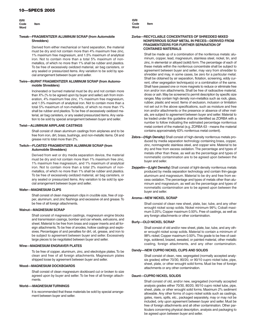**ISRI Code Item Word**

#### **Tweak—FRAGMENTIZER ALUMINUM SCRAP (from Automobile Shredders)**

Derived from either mechanical or hand separation, the material must be dry and not contain more than 4% maximum free zinc, 1% maximum free magnesium, and 1.5% maximum of analytical iron. Not to contain more than a total 5% maximum of nonmetallics, of which no more than 1% shall be rubber and plastics. To be free of excessively oxidized material, air bag canisters, or any sealed or pressurized items. Any variation to be sold by special arrangement between buyer and seller.

#### **Twire—BURNT FRAGMENTIZER ALUMINUM SCRAP (from Automomobile Shredders)**

Incinerated or burned material must be dry and not contain more than X% (% to be agreed upon by buyer and seller) ash from incineration, 4% maximum free zinc, 1% maximum free magnesium, and 1.5% maximum of analytical iron. Not to contain more than a total 5% maximum of non-metallics, of which no more than 1% shall be rubber and plastics.To be free of excessively oxidized material, air bag canisters, or any sealed pressurized items. Any variation to be sold by special arrangement between buyer and seller.

#### **Twist—ALUMINUM AIRPLANE CASTINGS**

Shall consist of clean aluminum castings from airplanes and to be free from iron, dirt, brass, bushings, and non-metallic items. Oil and grease not to total more than 2%.

#### **Twitch—FLOATED FRAGMENTIZER ALUMINUM SCRAP (from Automobile Shredders)**

Derived from wet or dry media separation device, the material must be dry and not contain more than 1% maximum free zinc, 1% maximum free magnesium, and 1% maximum of analytical iron. Not to contain more than a total 2% maximum of nonmetallics, of which no more than 1% shall be rubber and plastics. To be free of excessively oxidized material, air bag canisters, or any sealed or pressurized items. Any variation to be sold by special arrangement between buyer and seller.

#### **Wafer—MAGNESIUM CLIPS**

Shall consist of clean magnesium clips in crucible size, free of copper, aluminum, and zinc flashings and excessive oil and grease.To be free of all foreign attachments.

#### **Walnut—MAGNESIUM SCRAP**

Shall consist of magnesium castings, magnesium engine blocks and transmission casings, bomber and car wheels, extrusions, and sheet. Material to be free from brass and copper inserts and all foreign attachments.To be free of anodes, hollow castings and explosives. Percentages of and penalties for dirt, oil, grease, and iron to be subject to agreement between buyer and seller. Excessively large pieces to be negotiated between buyer and seller.

#### **Wine—MAGNESIUM ENGRAVER PLATES**

To be free of copper, aluminum, zinc, and electrotype plates.To be clean and free of all foreign attachments. Magnesium plates shipped loose by agreement between buyer and seller.

#### **Wood—MAGNESIUM DOCKBOARDS**

Shall consist of clean magnesium dockboard cut or broken to size agreed upon by buyer and seller. To be free of all foreign attachments.

#### **World-—MAGNESIUM TURNINGS**

It is recommended that these materials be sold by special arrangement between buyer and seller.

**ISRI Code Item Word**

#### **Zorba—RECYCLABLE CONCENTRATES OF SHREDDED MIXED NONFERROUS SCRAP METAL IN PIECES—DERIVED FROM FRAGMENTIZERS FOR FURTHER SEPARATION OF CONTAINED MATERIALS**

Shall be made up of a combination of the nonferrous metals: aluminum, copper, lead, magnesium, stainless steel, nickel, tin, and zinc, in elemental or alloyed (solid) form.The percentage of each of these metals within the nonferrous concentrate shall be subject to agreement between buyer and seller, may vary from shredder to shredder and may, in some cases, be zero for a particular metal. Shall be obtained by air separation, flotation, screening, eddy current, other segregation technique(s) or a combination of the same. Shall have passed one or more magnets to reduce or eliminate free iron and/or iron attachments. Shall be free of radioactive material, dross or ash. May be screened to permit description by specific size ranges. May contain high density non-metallics such as rock, glass, rubber, plastic and wood. Items of exclusion, inclusion or limitation not set out in the above specifications, such as moisture and free iron and/or attachments or the presence or absence of other metals, are subject to agreement between buyer and seller. Material to be traded under this guideline shall be identified as ZORBA with a number to follow indicating the estimated percentage nonferrous metal content of the material (e.g. ZORBA 63 - means the material contains approximately 63% nonferrous metal content).

- **Zebra—(High Density)** Shall consist of high-density nonferrous metals produced by media separation technology containing brass, copper, zinc, nonmagnetic stainless steel, and copper wire. Material to be dry and free from excess oxidation. The percentage and types of metals other than these, as well as the percentage and types of nonmetallic contamination are to be agreed upon between the buyer and seller.
- **Zeppelin—(Light Density)** Shall consist of light-density nonferrous metals produced by media separation technology and contain thin-gauge aluminum and magnesium. Material to be dry and free from excess oxidation.The percentage and types of metals other than aluminum and magnesium, as well as the percentage and types of nonmetallic contamination are to be agreed upon between the buyer and seller.

#### **Aroma—NEW NICKEL SCRAP**

Shall consist of clean new sheet, plate, bar, tube, and any other wrought nickel scrap solids. Nickel minimum 99%; Cobalt maximum 0.25%; Copper maximum 0.50%. Free of castings, as well as any foreign attachments or other contamination.

#### **Burly—OLD NICKEL SCRAP**

Shall consist of old and/or new sheet, plate, bar, tube, and any other wrought nickel scrap solids. Material to contain a minimum of 98% nickel; Copper maximum 0.50%.This grade to be free of castings, soldered, brazed, sweated, or painted material, other metallic coating, foreign attachments, and any other contamination.

#### **Dandy—NEW CUPRO NICKEL CLIPS AND SOLIDS**

Shall consist of clean, new, segregated (normally accepted analysis grades) either 70/30, 80/20, or 90/10 cupro nickel tube, pipe, sheet, plate, or other wrought solid forms. Must be free of foreign attachments or any other contamination.

#### **Daunt—CUPRO NICKEL SOLIDS**

Shall consist of old, and/or new, segregated (normally accepted analysis grades either 70/30, 80/20, 90/10 cupro nickel tube, pipe, sheet, plate, or other wrought solid forms. Maximum 2% sediment allowable. Any other forms of cupro nickel solids such as castings, gates, risers, spills, etc., packaged separately, may or may not be included, only upon agreement between buyer and seller. Must be free of foreign attachments and all other contamination. Other particulars concerning physical description, analysis and packaging to be agreed upon between buyer and seller.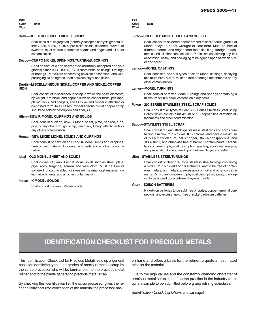**ISRI Code Item Word**

#### **Delta—SOLDERED CUPRO NICKEL SOLIDS**

Shall consist of segregated (normally accepted analysis grades) either 70/30, 80/20, 90/10 cupro nickel solids, soldered, brazed, or sweated, must be free of trimmed seams and edges and all other contamination.

#### **Decoy—CURPO NICKEL SPINNINGS,TURNINGS, BORINGS**

Shall consist of clean segregated (normally accepted analysis grades) either 70/30, 80/20, 90/10 cupro nickel spinnings, turnings, or borings. Particulars concerning physical description, analysis, packaging, to be agreed upon between buyer and seller.

#### **Depth—MISCELLANEOUS NICKEL-COPPER AND NICKEL-COPPER IRON**

Shall consist of miscellaneous scrap in which the basic elements, by weight, are nickel and copper, such as copper nickel peelings, plating racks, and hangers, and all nickel and copper in attached or combined form. In all cases, miscellaneous nickel copper scrap should be sold by description and analysis.

#### **Hitch—NEW R-MONEL CLIPPINGS AND SOLIDS**

Shall consist of clean, new, R-Monel sheet, plate, bar, rod, tube, pipe, or any other wrought scrap, free of any foreign attachments or any other contamination.

#### **House—NEW MIXED MONEL SOLIDS AND CLIPPINGS**

Shall consist of new, clean R and K-Monel solids and clippings. Free of cast material, foreign attachments and all other contamination.

#### **Ideal—OLD MONEL SHEET AND SOLIDS**

Shall consist of clean R and K-Monel solids such as sheet, plate, pipe, rods, forgings, screen and wire cloth. Must be free of soldered, brazed, welded, or sweated material, cast material, foreign attachments, and all other contamination.

#### **Indian—K-MONEL SOLIDS**

Shall consist of clean K-Monel solids.

**ISRI Code Item Word**

#### **Junto—SOLDERED MONEL SHEET AND SOLIDS**

Shall consist of soldered and/or brazed miscellaneous grades of Monel alloys in either wrought or cast form. Must be free of trimmed seams and edges, non-metallic filling, foreign attachments, and all other contamination. Particulars concerning physical description, assay, and packaging to be agreed upon between buyer and seller.

#### **Lemon—MONEL CASTINGS**

Shall consist of various types of clean Monel castings, assaying minimum 60% nickel. Must be free of foreign attachments or any other contamination.

#### **Lemur—MONEL TURNINGS**

Shall consist of mixed Monel turnings and borings containing a minimum of 60% nickel content, on a dry basis.

#### **Pekoe—200 SERIES STAINLESS STEEL SCRAP SOLIDS**

Shall consist of all types of clean AISI Series Stainless Steel Scrap Solids, which contain a maximum of .5% copper, free of foreign attachments and other contamination.

#### **Sabot—STAINLESS STEEL SCRAP**

Shall consist of clean 18-8 type stainless steel clips and solids containing a minimum 7% nickel, 16% chrome, and have a maximum of .50% molybdenum, .50% copper, .045% phosphorous, and .03% sulfur, and otherwise free of harmful contaminants. Particulars concerning physical description, grading, additional analysis, and preparation to be agreed upon between buyer and seller.

#### **Ultra—STAINLESS STEEL TURNINGS**

Shall consist of clean 18-8 type stainless steel turnings containing a minimum 7% nickel and 16% chrome, and to be free of nonferrous metals, nonmetallics, excessive iron, oil and other contaminants. Particulars concerning physical description, assay, packaging to be agreed upon between buyer and seller.

#### **Vaunt—EDISON BATTERIES**

Nickel-iron batteries to be sold free of crates, copper terminal connectors, and excess liquid. Free of nickel cadmium batteries.

# **IDENTIFICATION CHECKLIST FOR PRECIOUS METALS**

This Identification Check List for Precious Metals sets up a general basis for identifying types and grades of precious metals scrap by the scrap processor who will be familiar both to the precious metal refiner and to the plants generating precious metal scrap.

By checking this identification list, the scrap processor gives the refiner a fairly accurate conception of the material the processor has

on hand and offers a basis for the refiner to quote an estimated price for the material.

Due to the high values and the constantly changing character of precious metal scrap, it is often the practice in the industry to require a sample to be submitted before giving refining schedules.

(Identification Check List follows on next page)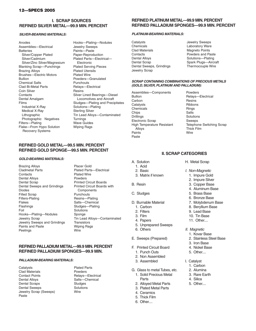# **I. SCRAP SOURCES REFINED SILVER METAL—99.9 MIN. PERCENT**

#### **SILVER-BEARING MATERIALS:**

Anodes Assemblies—Electrical **Batteries** Silver/Copper Plated Silver/Cadmium Silver/Zinc Silver/Magnesium Blanking Scrap—Punchings Brazing Alloys Brushes—Electric Motors Bullion Chemical Salts Clad Bi-Metal Parts Coin Silver **Contacts** Dental Amalgam Films Industrial X-Ray Medical X-Ray Lithographic Photographic Negatives Filters—Plating Flake—From Hypo Solution Recovery Systems

Hooks—Plating—Nodules Jewelry Sweeps Paints—Paste Paper-Reproduction Plated Parts—Electrical— Electronic Plated Serving Pieces Plated Utensils Plated Wire Powders—Granulated **Punchouts** Relays—Electrical Resins Silver Lined Bearings—Diesel Locomotives and Aircraft Sludges—Plating and Precipitates Solutions—Plating Sterling Silver Tin Lead Alloys—Contaminated **Turnings** Wave Guides Wiping Rags

# **REFINED GOLD METAL—99.5 MIN. PERCENT REFINED GOLD SPONGE—99.5 MIN. PERCENT**

#### **GOLD-BEARING MATERIALS:**

Brazing Alloys Cladmetal Parts **Contacts** Dental Alloys Dental Scrap Dental Sweeps and Grindings Diodes Filled Scrap Filters-Plating Flakes Flashings Foil Hooks—Plating—Nodules Jewelry Scrap Jewelry Sweeps and Grindings Paints and Paste Peelings

Placer Gold Plated Parts—Electrical Plated Wire Powders Printed Circuit Boards Printed Circuit Boards with **Components Punchouts** Resins—Plating Salts—Chemical Sludges—Plating **Solutions** Sponge Tin Lead Alloys—Contaminated **Trancictors** Wiping Rags **Wire** 

# **REFINED PALLADIUM METAL—99.9 MIN.PERCENT REFINED PALLADIUM SPONGES—99.9 MIN.**

# **PALLADIUM-BEARING MATERIALS:**

**Catalysts** Clad Materials Contact Points Dental Alloys Dental Scraps Dental Sweeps Jewelry Scrap (Sweeps) Paste

Plated Parts Powders Relays—Electrical Salts—Chemical **Sludges** Solutions Wire

# **REFINED PLATINUM METAL—99.9 MIN.PERCENT REFINED PALLADIUM SPONGES—99.9 MIN. PERCENT**

#### **PLATINUM-BEARING MATERIALS:**

**Catalysts** Chemicals Clad Materials **Contacts** Dental Alloys Dental Scrap Dental Sweeps, Grindings Jewelry Scrap

Jewelry Sweeps Laboratory Ware Magneto Points Powders and Paste Solutions—Plating Spark Plugs—Aircraft Thermocouple Wire

#### **SCRAP CONTAINING COMBINATIONS OF PRECIOUS METALS (GOLD, SILVER, PLATINUM AND PALLADIUM):**

Assemblies—Components Bullion **Carbon Catalysts** Chemicals Chips **Drillings** Electronic Scrap High Temperature Resistant **Alloys Paints** Paste

Powders Relays—Electrical **Resins** Ribbons Rings **Salts** Solutions Sweeps Telephone Switching Scrap Thick Film **Wire** 

# **II. SCRAP CATEGORIES**

#### A. Solution

- 1. Acid
- 2. Basic
- 3. Matrix if known
- B. Resin

#### C. Sludges

- D. Burnable Material
	- 1. Carbon
	- 2. Filters
- 3. Film
- 4. Papers
- 5. Unprepared Sweeps
- 6. Others
- E. Sweeps (Prepared)
- F. Printed Circuit Board
	- 1. Punch Outs
	- 2. Non Assembled
	- 3. Assembled
	-
- G. Glass to metal Tubes, etc. 1. Solid Precious Metal **Parts** 
	- 2. Alloyed Metal Parts
	- 3. Plated Metal Parts
	- 4. Ceramics
	- 5. Thick Film
	- 6. Other....
- H. Metal Scrap
- I. Non-Magnetic
- 1. Impure Gold
- 2. Impure Silver
- 3. Copper Base
- 4. Aluminum Base
- 5. Brass Base
- 6. Bronze Base
- 7. Molybdenum Base
- 8. Beryllium Base
- 9. Lead Base
- 10. Tin Base
- 11. Other....
- II. Magnetic
	- 1. Kovar Base
	- 2. Stainless Steel Base
	- 3. Iron Base
	- 4. Nickel Base
	- 5. Other....
- I. Catalyst
- 1. Carbon
- 2. Alumina
- 3. Rare Earth
- 4. Silica
- 5. Other....
-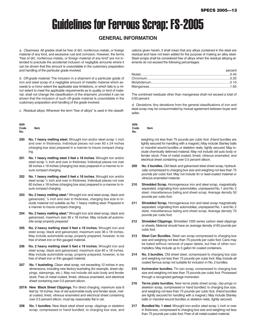# Guidelines for Ferrous Scrap: FS-2005

# **GENERAL INFORMATION**

a. Cleanness. All grades shall be free of dirt, nonferrous metals, or foreign material of any kind, and excessive rust and corrosion. However, the terms "free of dirt, nonferrous metals, or foreign material of any kind" are not intended to preclude the accidental inclusion of negligible amounts where it can be shown that this amount is unavoidable in the customary preparation and handling of the particular grade involved.

b. Off-grade material. The inclusion in a shipment of a particular grade of iron and steel scrap of a negligible amount of metallic material which exceeds to a minor extent the applicable size limitations, or which fails to a minor extent to meet the applicable requirements as to quality or kind of material, shall not change the classification of the shipment, provided it can be shown that the inclusion of such off-grade material is unavoidable in the customary preparation and handling of the grade involved.

c. Residual alloys. Wherever the term "free of alloys" is used in the classifi-

**ISRI Code Item No.**

- **200 No. 1 heavy melting steel.** Wrought iron and/or steel scrap <sup>1</sup>/4 inch and over in thickness. Individual pieces not over 60 x 24 inches (charging box size) prepared in a manner to insure compact charging.
- **201 No. 1 heavy melting steel 3 feet x 18 inches.** Wrought iron and/or steel scrap 1 /4 inch and over in thickness. Individual pieces not over 36 inches x 18 inches (charging box size) prepared in a manner to insure compact charging.
- **202 No. 1 heavy melting steel 5 feet x 18 inches.** Wrought iron and/or steel scrap 1 /4 inch and over in thickness. Individual pieces not over 60 inches x 18 inches (charging box size) prepared in a manner to insure compact charging.
- **203 No. 2 heavy melting steel.\*** Wrought iron and steel scrap, black and galvanized, 1 /8 inch and over in thickness, charging box size to include material not suitable as No. 1 heavy melting steel. Prepared in a manner to insure compact charging.
- **204 No. 2 heavy melting steel.\*** Wrought iron and steel scrap, black and galvanized, maximum size 36 x 18 inches. May include all automobile scrap properly prepared.
- **205 No. 2 heavy melting steel 3 feet x 18 inches.** Wrought iron and steel scrap, black and galvanized, maximum size 36 x 18 inches. May include automobile scrap, properly prepared, however, to be free of sheet iron or thin gauged material.
- **206 No. 2 heavy melting steel 5 feet x 18 inches.** Wrought iron and steel scrap, black and galvanized, maximum size 60 x 18 inches. May include automobile scrap, properly prepared, however, to be free of sheet iron or thin gauged material.
- **207 No. 1 busheling.** Clean steel scrap, not exceeding 12 inches in any dimensions, including new factory busheling (for example, sheet clippings, stampings, etc.). May not include old auto body and fender stock. Free of metal coated, limed, vitreous enameled, and electrical sheet containing over 0.5 percent silicon.
- **207A New Black Sheet Clippings.** For direct charging, maximum size 8 feet by 18 inches, free of old automobile body and fender stock, metal coated, lined, vitreous enameled and electrical sheet containing over 0.5 percent silicon, must lay reasonably flat in car.
- **208 No. 1 bundles.** New black steel sheet scrap, clippings or skeleton scrap, compressed or hand bundled, to charging box size, and

cations given herein, it shall mean that any alloys contained in the steel are residual and have not been added for the purpose of making an alloy steel. Steel scraps shall be considered free of alloys when the residual alloying elements do not exceed the following percentages:

| percent |
|---------|
|         |
|         |
|         |
|         |

The combined residuals other than manganese shall not exceed a total of 0.60 percent.

d. Deviations. Any deviations from the general classifications of iron and steel scrap may be consummated by mutual agreement between buyer and seller.

**ISRI Code Item No.**

> weighing not less than 75 pounds per cubic foot. (Hand bundles are tightly secured for handling with a magnet.) May include Stanley balls or mandrel wound bundles or skeleton reels, tightly secured. May include chemically detinned material. May not include old auto body or fender stock. Free of metal coated, limed, vitreous enameled, and electrical sheet containing over 0.5 percent silicon.

- **209 No. 2 bundles.** Old black and galvanized steel sheet scrap, hydraulically compressed to charging box size and weighing not less than 75 pounds per cubic foot. May not include tin or lead-coated material or vitreous enameled material.
- **210 Shredded Scrap.** Homogeneous iron and steel scrap, magnetically separated, originating from automobiles, unprepared No. 1 and No. 2 steel, miscellaneous baling and sheet scrap. Average density 50 pounds per cubic foot.
- **211 Shredded Scrap.** Homogeneous iron and steel scrap magnetically separated, originating from automobiles, unprepared No. 1 and No. 2 steel, miscellaneous baling and sheet scrap. Average density 70 pounds per cubic foot.
- **212 Shredded Clippings.** Shredded 1000 series carbon steel clippings or sheets. Material should have an average density of 60 pounds per cubic foot.
- **213 Steel Can Bundles.** Steel can scrap compressed to charging box size and weighing not less than 75 pounds per cubic foot. Cans may be baled without removal of paper labels, but free of other nonmetallics. May include up to 5 gallon tin coated containers.
- **214 No. 3 bundles.** Old sheet steel, compressed to charging box size and weighing not less than 75 pounds per cubic foot. May include all coated ferrous scrap not suitable for inclusion in No. 2 bundles.
- **215 Incinerator bundles.** Tin can scrap, compressed to charging box size and weighing not less than 75 pounds per cubic foot. Processed through a recognized garbage incinerator.
- **216 Terne plate bundles.** New terne plate sheet scrap, clip-pings or skeleton scrap, compressed or hand bundled, to charging box size, and weighing not less than 75 pounds per cubic foot. (Hand bundles are tightly secured for handling with a magnet.) May include Stanley balls or mandrel wound bundles or skeleton reels, tightly secured.
- **217** Bundled No. 1 steel. Wrought iron and/or steel scrap 1/8 inch or over in thickness, compressed to charging box size and weighing not less than 75 pounds per cubic foot. Free of all metal-coated material.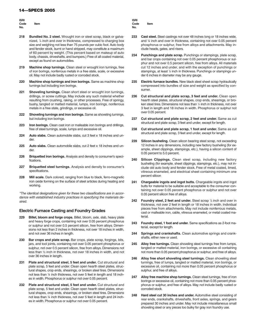**ISRI Code Item No.**

- **218 Bundled No. 2 steel.** Wrought iron or steel scrap, black or galvanized, 1 /8 inch and over in thickness, compressed to charging box size and weighing not less than 75 pounds per cubic foot. Auto body and fender stock, burnt or hand stripped, may constitute a maximum of 60 percent by weight. (This percent based on makeup of auto body, chassis, driveshafts, and bumpers.) Free of all coated material, except as found on automobiles.
- **219 Machine shop turnings.** Clean steel or wrought iron turnings, free of iron borings, nonferrous metals in a free state, scale, or excessive oil. May not include badly rusted or corroded stock.
- **220 Machine shop turnings and iron borings.** Same as machine shop turnings but including iron borings.
- **221 Shoveling turnings.** Clean short steel or wrought iron turnings, drillings, or screw cuttings. May include any such material whether resulting from crushing, raking, or other processes. Free of springy, bushy, tangled or matted material, lumps, iron borings, nonferrous metals in a free state, grindings, or excessive oil.
- **222 Shoveling turnings and iron borings.** Same as shoveling turnings, but including iron borings.
- **223 Iron borings.** Clean cast iron or malleable iron borings and drillings, free of steel turnings, scale, lumps and excessive oil.
- **224 Auto slabs.** Clean automobile slabs, cut 3 feet x 18 inches and under.
- **225 Auto slabs.** Clean automobile slabs, cut 2 feet x 18 inches and under.
- **226 Briquetted iron borings.** Analysis and density to consumer's specifications.
- **227 Briquetted steel turnings.** Analysis and density to consumer's specifications.
- **228 Mill scale.** Dark colored, ranging from blue to black, ferro-magnetic iron oxide forming on the surface of steel articles during heating and working.

\*The identical designations given for these two classifications are in accordance with established industry practices in specifying the materials desired.

## **Electric Furnace Casting and Foundry Grades**

- **229 Billet, bloom and forge crops.** Billet, bloom, axle, slab, heavy plate and heavy forge crops, containing not over 0.05 percent phosphorus or sulphur and not over 0.5 percent silicon, free from alloys. Dimensions not less than 2 inches in thickness, not over 18 inches in width, and not over 36 inches in length.
- **230 Bar crops and plate scrap.** Bar crops, plate scrap, forgings, bits, jars, and tool joints, containing not over 0.05 percent phosphorus or sulphur, not over 0.5 percent silicon, free from alloys. Dimensions not less than ½ inch in thickness, not over 18 inches in width, and not over 36 inches in length.
- **231 Plate and structural steel, 5 feet and under.** Cut structural and plate scrap, 5 feet and under. Clean open hearth steel plates, structural shapes, crop ends, shearings, or broken steel tires. Dimensions not less than ¼ inch thickness, not over 5 feet in length and 18 inches in width. Phosphorus or sulphur not over 0.05 percent.
- **232 Plate and structural steel, 5 feet and under.** Cut structural and plate scrap, 5 feet and under. Clean open hearth steel plates, structural shapes, crop ends, shearings, or broken steel tires. Dimensions not less than ¼ inch thickness, not over 5 feet in length and 24 inches in width. Phosphorus or sulphur not over 0.05 percent.

| <b>ISRI</b> |      |
|-------------|------|
| Code        | ltem |
| No.         |      |

- **233 Cast steel.** Steel castings not over 48 inches long or 18 inches wide, and ¼ inch and over in thickness, containing not over 0.05 percent phosphorus or sulphur, free from alloys and attachments. May include heads, gates, and risers.
- **234 Punchings and plate scrap.** Punchings or stampings, plate scrap, and bar crops containing not over 0.05 percent phosphorous or sulphur and not over 0.5 percent silicon, free from alloys. All materials cut 12 inches and under, and with the exception of punchings or stampings, at least 1/8 inch in thickness. Punchings or stampings under 6 inches in diameter may be any gauge.
- **235 Electric furnace bundles.** New black steel sheet scrap hydraulically compressed into bundles of size and weight as specified by consumer.
- **236 Cut structural and plate scrap, 3 feet and under.** Clean open hearth steel plates, structural shapes, crop ends, shearings, or broken steel tires. Dimensions not less than 1 /4 inch in thickness, not over 3 feet in length and 18 inches in width. Phosphorus or sulphur not over 0.05 percent.
- **237 Cut structural and plate scrap, 2 feet and under.** Same as cut structural and plate scrap, 3 feet and under, except for length.
- **238 Cut structural and plate scrap, 1 foot and under.** Same as cut structural and plate scrap, 3 feet and under, except for length.
- **239 Silicon busheling.** Clean silicon bearing steel scrap, not exceeding 12 inches in any dimensions, including new factory busheling (for example, sheet clippings, stampings, etc.), having a silicon content of 0.05 percent to 5.0 percent.
- **240 Silicon Clippings.** Clean steel scrap, including new factory busheling (for example, sheet clippings, stampings, etc.), may not include old auto body and fender stock. Free of metal coated, limed, vitreous enameled, and electrical sheet containing minimum one percent silicon
- **241 Chargeable ingots and ingot butts.** Chargeable ingots and ingot butts for material to be suitable and acceptable to the consumer containing not over 0.05 percent phosphorus or sulphur and not over 0.05 percent silicon free of alloys.
- **242 Foundry steel, 2 feet and under.** Steel scrap 1/8 inch and over in thickness, not over 2 feet in length or 18 inches in width. Individual pieces free from attachments. May not include nonferrous metals, cast or malleable iron, cable, vitreous enameled, or metal coated material.
- **243 Foundry steel, 1 foot and under.** Same specifications as 2-foot material, except for length.
- **244 Springs and crankshafts.** Clean automotive springs and crankshafts, either new or used.
- **245 Alloy free turnings.** Clean shoveling steel turnings free from lumps, tangled or matted material, iron borings, or excessive oil containing not more than 0.05 percent phosphorus or sulphur, and free of alloys.
- **246 Alloy free short shoveling steel turnings.** Clean shoveling steel turnings, free of lumps, tangled or matted material, iron borings, or excessive oil, containing not more than 0.05 percent phosphorus or sulphur, and free of alloys.
- **247 Alloy free machine shop turnings.** Clean steel turnings, free of iron borings or excessive oil, containing not more than 0.05 percent phosphorus or sulphur, and free of alloys. May not include badly rusted or corroded stock.
- **248 Hard steel cut 30 inches and under.** Automotive steel consisting of rear ends, crankshafts, driveshafts, front axles, springs, and gears prepared 30 inches and under. May not include miscellaneous small shoveling steel or any pieces too bulky for gray iron foundry use.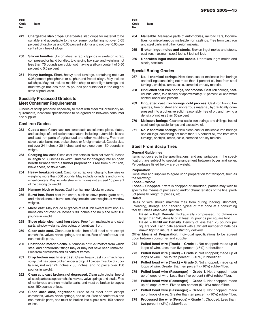**ISRI Code Item No.**

- **249 Chargeable slab crops.** Chargeable slab crops for material to be suitable and acceptable to the consumer containing not over 0.05 percent phosphorus and 0.05 percent sulphur and not over 0.05 percent silicon; free of alloys.
- **250 Silicon bundles.** Silicon sheet scrap, clippings or skeleton scrap, compressed or hand bundled, to charging box size, and weighing not less than 75 pounds per cubic foot, having a silicon content of 0.50 percent to 5.0 percent.
- **251 Heavy tumings.** Short, heavy steel turnings, containing not over 0.05 percent phosphorus or sulphur and free of alloys. May include rail chips. May not include machine shop or other light turnings and must weigh not less than 75 pounds per cubic foot in the original state of production.

# **Specially Processed Grades to Meet Consumer Requirements**

Grades of scrap prepared especially to meet with steel mill or foundry requirements, individual specifications to be agreed on between consumer and supplier.

#### **Cast Iron Grades**

- **252 Cupola cast.** Clean cast iron scrap such as columns, pipes, plates, and castings of a miscellaneous nature, including automobile blocks and cast iron parts of agricultural and other machinery. Free from stove plate, burnt iron, brake shoes or foreign material. Cupola size, not over 24 inches x 30 inches, and no piece over 150 pounds in weight.
- **253 Charging box cast.** Clean cast iron scrap in sizes not over 60 inches in length or 30 inches in width, suitable for charging into an open hearth furnace without further preparation. Free from burnt iron, brake shoes, or stove plate.
- **254 Heavy breakable cast.** Cast iron scrap over charging box size or weighing more than 500 pounds. May include cylinders and driving wheel centers. May include steel which does not exceed 10 percent of the casting by weight.
- **255 Hammer block or bases.** Cast iron hammer blocks or bases.
- **256 Burnt iron.** Burnt cast iron scrap, such as stove parts, grate bars, and miscellaneous burnt iron. May include sash weights or window weights.
- **257 Mixed cast.** May include all grades of cast iron except burnt iron. Dimensions not over 24 inches x 30 inches and no piece over 150 pounds in weight.
- **258 Stove plate, clean cast iron stove.** Free from malleable and steel parts, window weights, plow points, or burnt cast iron.
- **259 Clean auto cast.** Clean auto blocks; free of all steel parts except camshafts, valves, valve springs, and studs. Free of nonferrous and non-metallic parts.
- **260 Unstripped motor blocks.** Automobile or truck motors from which steel and nonferrous fittings may or may not have been removed. Free from driveshafts and all parts of frames.
- **261 Drop broken machinery cast.** Clean heavy cast iron machinery scrap that has been broken under a drop. All pieces must be of cupola size, not over 24 inches x 30 inches, and no piece over 150 pounds in weight.
- **262 Clean auto cast, broken, not degreased.** Clean auto blocks, free of all steel parts except camshafts, valves, valve springs and studs. Free of nonferrous and non-metallic parts, and must be broken to cupola size, 150 pounds or less.
- **263 Clean auto cast, degreased.** Free of all steel parts except camshafts, valves, valve springs, and studs. Free of nonferrous and non-metallic parts, and must be broken into cupola size, 150 pounds or less.

| ISRI |      |
|------|------|
| Code | Item |
| No.  |      |

- **264 Malleable.** Malleable parts of automobiles, railroad cars, locomotives, or miscellaneous malleable iron castings. Free from cast iron and steel parts and other foreign material.
- **265 Broken ingot molds and stools.** Broken ingot molds and stools, cast iron, maximum size 2 feet x 3 feet x 5 feet.
- **266 Unbroken ingot molds and stools.** Unbroken ingot molds and stools, cast iron.

## **Special Boring Grades**

- **267 No. 1 chemical borings.** New clean cast or malleable iron borings and drillings containing not more than 1 percent oil, free from steel turnings, or chips, lumps, scale, corroded or rusty material.
- **268 Briquetted cast iron borings, hot process.** Cast iron borings, heated, briquetted, to a density of approximately 85 percent, oil and water content under one percent.
- **269 Briquetted cast iron borings, cold process.** Cast iron boring briquettes, free of steel and nonferrous material, hydraulically compressed into a cohesive solid, reasonably free of oil, and having a density of not less than 60 percent.
- **270 Malleable borings.** Clean malleable iron borings and drillings, free of steel turnings, scale, lumps and excessive oil.
- **271 No. 2 chemical borings.** New clean cast or malleable iron borings and drillings, containing not more than 1.5 percent oil, free from steel turnings, or chips, lumps, scale, corroded or rusty material.

## **Steel From Scrap Tires**

#### **General Guidelines**

Items not covered in the specifications, and any variations in the specification, are subject to special arrangement between buyer and seller. Percentages listed below are by weight.

#### **Preparation**

Consumer and supplier to agree upon preparation for transport, such as the following:

#### **Loose – Whole**

**Loose – Chopped.** If wire is chopped or shredded, parties may wish to specify the means of processing and/or characteristics of the final product (density, length of pieces, etc.).

#### **Baled**

Bales of wire should maintain their form during loading, shipment, unloading, storage, and handling typical of that done at a consuming facility, unless otherwise specified.

**Baled – High Density.** Hydraulically compressed, no dimension larger than 24", density of at least 75 pounds per square foot.

**Baled – HRB/Low Density.** Density of less than 75 pounds per square foot. Each bale secured with sufficient number of bale ties drawn tight to insure a satisfactory delivery.

**Other Means of Preparation.** Individual specifications to be agreed upon between consumer and supplier.

- **272 Pulled bead wire (Truck) Grade 1.** Not chopped; made up of loops of wire. Less than five percent (<5%) rubber/fiber.
- **273 Pulled bead wire (Truck) Grade 2.** Not chopped; made up of loops of wire. Five to ten percent (5-10%) rubber/fiber.
- **274 Pulled bead wire (Truck) Grade 3.** Not chopped; made up of loops of wire. Greater than ten percent (>10%) rubber/fiber.
- **275 Pulled bead wire (Passenger) Grade 1.** Not chopped; made up of loops of wire. Less than five percent (<5%) rubber/fiber.
- **276 Pulled bead wire (Passenger) Grade 2.** Not chopped; made up of loops of wire. Five to ten percent (5-10%) rubber/fiber.
- **277 Pulled bead wire (Passenger) Grade 3.** Not chopped; made up of loops of wire. Greater than ten percent (>10%) rubber/fiber.
- **278 Processed tire wire (Ferrous) Grade 1.** Chopped. Less than two percent (<2%) rubber/fiber.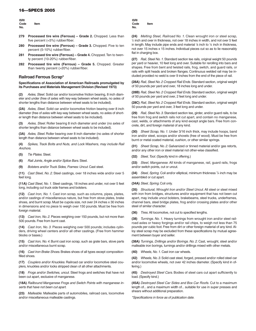**ISRI Code Item No.**

- **279 Processed tire wire (Ferrous) Grade 2.** Chopped. Less than five percent (<5%) rubber/fiber.
- **280 Processed tire wire (Ferrous) Grade 3.** Chopped. Five to ten percent (5-10%) rubber/fiber.
- **281 Processed tire wire (Ferrous) Grade 4.** Chopped.Ten to twenty percent (10-20%) rubber/fiber.
- **282 Processed tire wire (Ferrous) Grade 5.** Chopped. Greater than twenty percent (>20%) rubber/fiber.

#### **Railroad Ferrous Scrap\***

**Specifications of Association of American Railroads promulgated by its Purchases and Materials Management Division (Revised 1973)**

**(2)** Axles, Steel. Solid car and/or locomotive friction bearing, 8 inch diameter and under (free of axles with key-way between wheel seats, no axles of shorter lengths than distance between wheel seats to be included).

**(2A)** Axles, Steel. Solid car and/or locomotive friction bearing over 8 inch diameter (free of axles with key-way between wheel seats, no axles of shorter length than distance between wheel seats to be included).

**(3)** Axles, Steel. Roller bearing 8 inch diameter and under (no axles of shorter lengths than distance between wheel seats to be included).

**(3A)** Axles, Steel. Roller bearing over 8 inch diameter (no axles of shorter length than distance between wheel seats to be included).

**(4)** Spikes, Track Bolts and Nuts, and Lock Washers, may include Rail Anchors.

- **(5)** Tie Plates. Steel.
- **(6)** Rail Joints, Angle and/or Splice Bars.Steel.
- **(9)** Bolsters and/or Truck Sides, Frames: Uncut. Cast steel.

**(11)** Cast Steel, No. 2. Steel castings, over 18 inches wide and/or over 5 feet long.

**(11A)** Cast Steel, No. 1. Steel castings, 18 inches and under, not over 5 feet long, including cut truck side frames and bolsters.

**(12)** Cast Iron, No. 1. Cast iron scrap, such as columns, pipes, plates, and/or castings of miscellaneous nature, but free from stove plates, brake shoes, and burnt scrap. Must be cupola size, not over 24 inches x 30 inches in dimensions and no piece to weigh over 150 pounds. Must be free from foreign material.

**(13)** Cast Iron, No. 2. Pieces weighing over 150 pounds, but not more than 500 pounds. Free from burnt cast.

**(14)** Cast Iron, No. 3. Pieces weighing over 500 pounds; includes cylinders, driving wheel centers and/or all other castings. (Free from hammer blocks or bases.)

**(15)** Cast Iron, No. 4.Burnt cast iron scrap, such as grate bars, stove parts and/or miscellaneous burnt scrap.

**(16)** Cast Iron Brake Shoes.Brakes shoes of all types except compositionfilled shoes.

**(17)** Couplers and/or Knuckles. Railroad car and/or locomotive steel couplers, knuckles and/or locks stripped clean of all other attachments.

**(18)** Frogs and/or Switches, uncut. Steel frogs and switches that have not been cut apart, exclusive of manganese.

**(18A)** Railbound Manganese Frogs and Switch Points with manganese inserts that have not been cut apart.

**(23)** Malleable. Malleable parts of automobiles, railroad cars, locomotive and/or miscellaneous malleable castings.

**ISRI Code Item No.**

**(24)** Melting Steel, Railroad No. 1. Clean wrought iron or steel scrap, 1 /4 inch and over in thickness, not over 18 inches in width, and not over 5 feet in length. May include pipe ends and material 1 /8 inch to ¼ inch in thickness, not over 15 inches x 15 inches. Individual pieces cut so as to lie reasonably flat in charging box.

**(27)** Rail, Steel No. 1.Standard section tee rails, original weight 50 pounds per yard or heavier, 10 feet long and over. Suitable for rerolling into bars and shapes. Free from bent and twisted rails, frog, switch, and guard rails, or rails with split heads and broken flanges. Continuous welded rail may be included provided no weld is over 9 inches from the end of the piece of rail.

**(28A)** Rail, Steel No. 2 Cropped Rail Ends. Standard section, original weight of 50 pounds per yard and over, 18 inches long and under.

**(28B)** Rail, Steel No. 2 Cropped Rail Ends.Standard section, original weight of 50 pounds per yard and over, 2 feet long and under.

**(28C)** Rail, Steel No. 2 Cropped Rail Ends. Standard section, original weight 50 pounds per yard and over, 3 feet long and under.

**(29)** Rail, Steel No. 3.Standard section tee, girder, and/or guard rails, to be free from frog and switch rails not cut apart, and contain no manganese, cast, welds, or attachments of any kind except angle bars. Free from concrete, dirt, and foreign material of any kind.

**(30)** Sheet Scrap, No. 1. Under 3/16 inch thick, may include hoops, band iron and/or steel, scoops and/or shovels (free of wood). Must be free from burnt or metal coated material, cushion, or other similar springs.

**(31)** Sheet Scrap, No. 2. Galvanized or tinned material and/or gas retorts, and/or any other iron or steel material not other-wise classified.

**(32)** Steel, Tool. (Specify kind in offering.)

**(33)** Steel, Manganese. All kinds of manganese, rail, guard rails, frogs and/or switch points, cut or uncut.

**(34)** Steel, Spring. Coil and/or elliptical, minimum thickness 1 /4 inch may be assembled or cut apart.

**(34A)** Steel, Spring. Coil only.

**(35)** Structural, Wrought Iron and/or Steel Uncut. All steel or steel mixed with iron from bridges, structures and/or equipment that has not been cut apart, may include uncut bolsters, brakebeams, steel trucks, underframes, channel bars, steel bridge plates, frog and/or crossing plates and/or other steel of similar character.

**(36)** Tires.All locomotive, not cut to specified lengths.

**(38)** Turnings. No. 1. Heavy turnings from wrought iron and/or steel railroad axles or heavy forgings and/or rail chips, to weigh not less than 75 pounds per cubic foot. Free from dirt or other foreign material of any kind. Alloy steel scrap may be excluded from these specifications by mutual agreement between buyer and seller.

**(38A)** Turnings, Drillings and/or Borings. No. 2. Cast, wrought, steel and/or malleable iron borings, turnings and/or drillings mixed with other metals.

**(40)** Wheels, No. 1. Cast iron car wheels.

**(42)** Wheels, No. 3. Solid cast steel, forged, pressed and/or rolled steel car and/or locomotive wheels, not over 42 inches diameter. (Specify kind in offering.)

**(45)** Destroyed Steel Cars. Bodies of steel cars cut apart sufficiently to load. (Specify kind.)

**(45A)** Destroyed Steel Car Sides and Box Car Roofs. Cut to a maximum length of... and a maximum width of... suitable for use in super presses and shears without additional preparation.

\*Specifications in force as of publication date.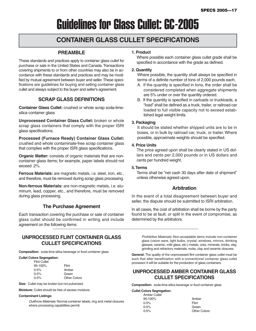# Guidelines for Glass Cullet: GC-2005

# **CONTAINER GLASS CULLET SPECIFICATIONS**

# **PREAMBLE**

These standards and practices apply to container glass cullet for purchase or sale in the United States and Canada. Transactions covering shipments to or from other countries may also be in accordance with these standards and practices and may be modified by mutual agreement between buyer and seller.These specifications are guidelines for buying and selling container glass cullet and always subject to the buyer and seller's agreement.

# **SCRAP GLASS DEFINITIONS**

**Container Glass Cullet:** crushed or whole scrap soda-limesilica container glass

**Unprocessed Container Glass Cullet:** broken or whole scrap glass containers that comply with the proper ISRI glass specifications.

**Processed (Furnace Ready) Container Glass Cullet:** crushed and whole contaminate-free scrap container glass that complies with the proper ISRI glass specifications.

**Organic Matter:** consists of organic materials that are noncontainer glass items; for example, paper labels should not exceed .2%.

**Ferrous Materials:** are magnetic metals, i.e. steel, iron, etc., and therefore, must be removed during scrap glass processing.

**Non-ferrous Materials:** are non-magnetic metals, i.e. aluminum, lead, copper, etc., and therefore, must be removed during glass processing.

# **The Purchase Agreement**

Each transaction covering the purchase or sale of container glass cullet should be confirmed in writing and include agreement on the following items:

# **UNPROCESSED FLINT CONTAINER GLASS CULLET SPECIFICATIONS**

**Composition:** soda-lime-silica beverage or food container glass

#### **Cullet Colors Segregation:**

| <b>Flint Cullet</b> |         |
|---------------------|---------|
| 95-100%             | Flint   |
| $0 - 5%$            | Amber   |
| $0 - 5%$            | Green   |
| $0 - 5%$            | Other ( |

**Size:** Cullet may be broken but not pulverized.

**Moisture:** Cullet should be free of excess moisture.

#### **Contaminant Listings:**

Outthrow Materials: Normal container labels; ring and metal closures where processing capabilities permit.

Colors<sup></sup>

# **1. Product**

Where possible each container glass cullet grade shall be specified in accordance with the grade as defined.

# **2. Quantity**

Where possible, the quantity shall always be specified in terms of a definite number of tons of 2,000 pounds each.

- A. If the quantity is specified in tons, the order shall be considered completed when aggregate shipments are 5% under or over the quantity ordered.
- B. If the quantity is specified in carloads or truckloads, a "load" shall be defined as a truck, trailer, or railroad car loaded to full visible capacity not to exceed established legal weight limits.

# **3. Packaging**

It should be stated whether shipped units are to be in boxes, or in bulk by railroad car, truck, or trailer. Where possible, approximate weights should be specified.

# **4. Price Units**

The price agreed upon shall be clearly stated in US dollars and cents per 2,000 pounds or in US dollars and cents per hundred weight.

# **5.Terms**

Terms shall be "net cash 30 days after date of shipment" unless otherwise agreed upon.

# **Arbitration**

In the event of a total disagreement between buyer and seller, the dispute should be submitted to ISRI arbitration.

In all cases, the cost of arbitration shall be borne by the party found to be at fault, or split in the event of compromise, as determined by the arbitrators.

Prohibitive Materials: Non-acceptable items include non-container glass (vision ware, light bulbs, crystal, windows, mirrors, drinking glasses, ceramic, milk glass, etc.) metals, ores, minerals, bricks, clay, grinding and refractory materials, rocks, clay and ceramic closures.

**General:** The quality of the unprocessed flint container glass cullet must be such that after beneficiation with a conventional container glass cullet processor it will be suitable for the production of glass containers.

# **UNPROCESSED AMBER CONTAINER GLASS CULLET SPECIFICATIONS**

**Composition:** soda-lime-silica beverage or food container glass

#### **Cullet Colors Segregation:**

| Amber Cullet |                     |
|--------------|---------------------|
| $90-100%$    | Amber               |
| $0 - 5\%$    | Flint               |
| $0 - 5%$     | Green               |
| $0 - 5%$     | <b>Other Colors</b> |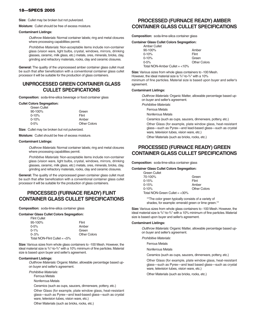**Size:** Cullet may be broken but not pulverized.

**Moisture:** Cullet should be free of excess moisture.

#### **Contaminant Listings:**

Outthrow Materials: Normal container labels; ring and metal closures where processing capabilities permit.

Prohibitive Materials: Non-acceptable items include non-container glass (vision ware, light bulbs, crystal, windows, mirrors, drinking glasses, ceramic, milk glass, etc.) metals, ores, minerals, bricks, clay, grinding and refractory materials, rocks, clay and ceramic closures.

**General:** The quality of the unprocessed amber container glass cullet must be such that after beneficiation with a conventional container glass cullet processor it will be suitable for the production of glass containers.

# **UNPROCESSED GREEN CONTAINER GLASS CULLET SPECIFICATIONS**

**Composition:** soda-lime-silica beverage or food container glass

#### **Cullet Colors Segregation:**

| Green Cullet |                     |
|--------------|---------------------|
| 90-100%      | Green               |
| 0-10%        | Flint               |
| 0-10%        | Amber               |
| 0-5%         | <b>Other Colors</b> |

**Size:** Cullet may be broken but not pulverized.

**Moisture:** Cullet should be free of excess moisture.

#### **Contaminant Listings:**

Outthrow Materials: Normal container labels; ring and metal closures where processing capabilities permit.

Prohibitive Materials: Non-acceptable items include non-container glass (vision ware, light bulbs, crystal, windows, mirrors, drinking glasses, ceramic, milk glass, etc:) metals, ores, minerals, bricks, clay, grinding and refractory materials, rocks, clay and ceramic closures.

**General:** The quality of the unprocessed green container glass cullet must be such that after beneficiation with a conventional container glass cullet processor it will be suitable for the production of glass containers.

# **PROCESSED (FURNACE READY) FLINT CONTAINER GLASS CULLET SPECIFICATIONS**

**Composition:** soda-lime-silica container glass

#### **Container Glass Cullet Colors Segregation:**

#### Flint Cullet

| $95 - 100%$                     | Flint               |
|---------------------------------|---------------------|
| $0 - 5%$                        | Amber               |
| $0 - 1\%$                       | Green               |
| $0 - 5%$                        | <b>Other Colors</b> |
| Total NON-Flint Cullet = $<5\%$ |                     |

**Size:** Various sizes from whole glass containers to -100 Mesh. However, the ideal material size is  $\frac{3}{8}$ "-to- $\frac{3}{4}$ " with a 10% minimum of fine particles. Material size is based upon buyer and seller's agreement.

#### **Contaminant Listings:**

Outthrow Materials: Organic Matter, allowable percentage based upon buyer and seller's agreement.

Prohibitive Materials:

- Ferrous Metals
- Nonferrous Metals

Ceramics (such as cups, saucers, dinnerware, pottery, etc.)

Other Glass (for example, plate window glass, heat-resistant glass—such as Pyrex—and lead-based glass—such as crystal ware, television tubes, vision ware, etc.)

Other Materials (such as bricks, rocks, etc.)

# **PROCESSED (FURNACE READY) AMBER CONTAINER GLASS CULLET SPECIFICATIONS**

**Composition:** soda-lime-silica container glass

#### **Container Glass Cullet Colors Segregation:**

| Amber Cullet                     |                     |
|----------------------------------|---------------------|
| $90-100%$                        | Amber               |
| $0 - 10%$                        | Flint               |
| $0 - 10%$                        | Green               |
| $0 - 5%$                         | <b>Other Colors</b> |
| Total NON-Amber Cullet = $<$ 10% |                     |

**Size:** Various sizes from whole glass containers to -100 Mesh. However, the ideal material size is  $\frac{3}{8}$ "-to- $\frac{3}{4}$ " with a 10% minimum of fine particles. Material size is based upon buyer and seller's agreement

#### **Contaminant Listings:**

Outthrow Materials: Organic Matter, allowable percentage based upon buyer and seller's agreement.

Prohibitive Materials:

Ferrous Metals

Nonferrous Metals

Ceramics (such as cups, saucers, dinnerware, pottery, etc.)

Other Glass (for example, plate window glass, heat-resistant glass—such as Pyrex—and lead-based glass—such as crystal ware, television tubes, vision ware, etc.)

Other Materials (such as bricks, rocks, etc.)

# **PROCESSED (FURNACE READY) GREEN CONTAINER GLASS CULLET SPECIFICATIONS**

**Composition:** soda-lime-silica container glass

#### **Container Glass Cullet Colors Segregation:**

| Green Cullet                     |                     |
|----------------------------------|---------------------|
| 70-100%                          | Green               |
| $0 - 15%$                        | Flint               |
| $0 - 15%$                        | Amber               |
| $0 - 10%$                        | <b>Other Colors</b> |
| Total NON-Green Cullet = $<$ 30% |                     |

\*\*The color green typically consists of a variety of

shades, for example: emerald green or lime green.\*\*

**Size:** Various sizes from whole glass containers to -100 Mesh. However, the ideal material size is  $\frac{3}{8}$ "-to- $\frac{3}{4}$ " with a 10% minimum of fine particles. Material size is based upon buyer and seller's agreement.

#### **Contaminant Listings:**

Outthrow Materials: Organic Matter, allowable percentage based upon buyer and seller's agreement.

- Prohibitive Materials:
	- Ferrous Metals

Nonferrous Metals

Ceramics (such as cups, saucers, dinnerware, pottery, etc.)

Other Glass (for example, plate window glass, heat-resistant glass—such as Pyrex—and lead based glass—such as crystal ware, television tubes, vision ware, etc.)

Other Materials (such as bricks, rocks, etc.)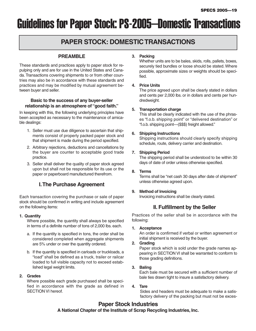# Guidelines for Paper Stock: PS-2005–Domestic Transactions

# **PAPER STOCK: DOMESTIC TRANSACTIONS**

# **PREAMBLE**

These standards and practices apply to paper stock for repulping only and are for use in the United States and Canada. Transactions covering shipments to or from other countries may also be in accordance with these standards and practices and may be modified by mutual agreement between buyer and seller.

# **Basic to the success of any buyer-seller relationship is an atmosphere of "good faith."**

In keeping with this, the following underlying principles have been accepted as necessary to the maintenance of amicable dealings:

- 1. Seller must use due diligence to ascertain that shipments consist of properly packed paper stock and that shipment is made during the period specified.
- 2. Arbitrary rejections, deductions and cancellations by the buyer are counter to acceptable good trade practice.
- 3. Seller shall deliver the quality of paper stock agreed upon but shall not be responsible for its use or the paper or paperboard manufactured therefrom.

# **I.The Purchase Agreement**

Each transaction covering the purchase or sale of paper stock should be confirmed in writing and include agreement on the following items:

# **1. Quantity**

Where possible, the quantity shall always be specified in terms of a definite number of tons of 2,000 lbs. each.

- a. If the quantity is specified in tons, the order shall be considered completed when aggregate shipments are 5% under or over the quantity ordered.
- b. If the quantity is specified in carloads or truckloads, a "load" shall be defined as a truck, trailer or railcar loaded to full visible capacity not to exceed established legal weight limits.

# **2. Grades**

Where possible each grade purchased shall be specified in accordance with the grade as defined in SECTION VI hereof.

# **3. Packing**

Whether units are to be bales, skids, rolls, pallets, boxes, securely tied bundles or loose should be stated. Where possible, approximate sizes or weights should be specified.

# **4. Price Units**

The price agreed upon shall be clearly stated in dollars and cents per 2,000 lbs. or in dollars and cents per hundredweight.

# **5. Transportation charge**

This shall be clearly indicated with the use of the phrases "f.o.b. shipping point" or "delivered destination" or "f.o.b. shipping point—(\$\$\$) freight allowed."

# **6. Shipping Instructions**

Shipping instructions should clearly specify shipping schedule, route, delivery carrier and destination.

# **7. Shipping Period**

The shipping period shall be understood to be within 30 days of date of order unless otherwise specified.

# **8. Terms**

Terms shall be "net cash 30 days after date of shipment" unless otherwise agreed upon.

# **9. Method of Invoicing**

Invoicing instructions shall be clearly stated.

# **II. Fulfillment by the Seller**

Practices of the seller shall be in accordance with the following:

# **1. Acceptance**

An order is confirmed if verbal or written agreement or initial shipment is received by the buyer.

# **2. Grading**

Paper stock which is sold under the grade names appearing in SECTION VI shall be warranted to conform to those grading definitions.

# **3. Baling**

Each bale must be secured with a sufficient number of bale ties drawn tight to insure a satisfactory delivery.

# **4. Tare**

Sides and headers must be adequate to make a satisfactory delivery of the packing but must not be exces-

# **Paper Stock Industries**

**A National Chapter of the Institute of Scrap Recycling Industries, Inc.**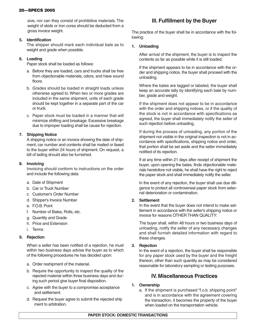sive, nor can they consist of prohibitive materials. The weight of skids or iron cores should be deducted from a gross invoice weight.

# **5. Identification**

The shipper should mark each individual bale as to weight and grade when possible.

# **6. Loading**

Paper stock shall be loaded as follows:

- a. Before they are loaded, cars and trucks shall be free from objectionable materials, odors, and have sound floors.
- b. Grades should be loaded in straight loads unless otherwise agreed to. When two or more grades are included in the same shipment, units of each grade should be kept together in a separate part of the car or truck.
- c. Paper stock must be loaded in a manner that will minimize shifting and breakage. Excessive breakage due to improper loading shall be cause for rejection.

# **7. Shipping Notice**

A shipping notice or an invoice showing the date of shipment, car number and contents shall be mailed or faxed to the buyer within 24 hours of shipment. On request, a bill of lading should also be furnished.

# **8. Invoicing**

Invoicing should conform to instructions on the order and include the following data:

- a. Date of Shipment
- b. Car or Truck Number
- c. Customer's Order Number
- d. Shipper's Invoice Number
- e. F.O.B. Point
- f. Number of Bales, Rolls, etc.
- g. Quantity and Grade
- h. Price and Extension
- i. Terms

# **9. Rejection**

When a seller has been notified of a rejection, he must within two business days advise the buyer as to which of the following procedures he has decided upon:

- a. Order reshipment of the material.
- b. Require the opportunity to inspect the quality of the rejected material within three business days and during such period give buyer final disposition.
- c. Agree with the buyer to a compromise acceptance and settlement.
- d. Request the buyer agree to submit the rejected ship ment to arbitration.

# **Ill. Fulfillment by the Buyer**

The practice of the buyer shall be in accordance with the following:

# **1. Unloading**

After arrival of the shipment, the buyer is to inspect the contents so far as possible while it is still loaded.

If the shipment appears to be in accordance with the order and shipping notice, the buyer shall proceed with the unloading.

Where the bales are tagged or labeled, the buyer shall keep an accurate tally by identifying each bale by number, grade and weight.

If the shipment does not appear to be in accordance with the order and shipping notices, or if the quality of the stock is not in accordance with specifications as agreed, the buyer shall immediately notify the seller of such rejection before unloading.

If during the process of unloading, any portion of the shipment not visible in the original inspection is not in accordance with specifications, shipping notice and order, that portion shall be set aside and the seller immediately notified of its rejection.

If at any time within 21 days after receipt of shipment the buyer, upon opening the bales, finds objectionable materials heretofore not visible, he shall have the right to reject the paper stock and shall immediately notify the seller.

In the event of any rejection, the buyer shall use due diligence to protect all controversial paper stock from external deterioration or contamination.

# **2. Settlement**

In the event that the buyer does not intend to make settlement in accordance with the seller's shipping notice or invoice for reasons OTHER THAN QUALITY:

The buyer shall, within 48 hours or two business days of unloading, notify the seller of any necessary changes and shall furnish detailed information with regard to these changes.

# **3. Rejection**

In the event of a rejection, the buyer shall be responsible for any paper stock used by the buyer and the freight thereon, other than such quantity as may be considered reasonable for laboratory sampling or testing purposes.

# **IV. Miscellaneous Practices**

# **1. Ownership**

a. If the shipment is purchased "f.o.b. shipping point" and is in accordance with the agreement covering the transaction, it becomes the property of the buyer when loaded on the transportation vehicle.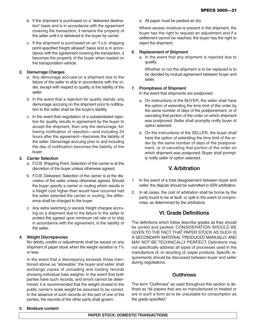- b. If the shipment is purchased on a "delivered destination" basis and is in accordance with the agreement covering the transaction, it remains the property of the seller until it is delivered to the buyer by carrier.
- c. If the shipment is purchased on an "f.o.b. shipping point-specified freight allowed" basis and is in accordance with the agreement covering the transaction, it becomes the property of the buyer when loaded on the transportation vehicle.

# **2. Demurrage Charges**

- a. Any demurrage accrued on a shipment due to the failure of the seller to ship in accordance with the order, except with respect to quality, is the liability of the seller.
- b. In the event that a rejection for quality stands, any demurrage accruing on the shipment prior to notification to the seller shall be the buyer's liability.
- c. In the event that negotiation of a substantiated rejection for quality results in agreement by the buyer to accept the shipment, then only the demurrage, following notification of rejection—and including 24 hours after the agreement—becomes the liability of the seller. Demurrage accruing prior to and including the day of notification becomes the liability of the buyer.

# **3. Carrier Selection**

- a. F.O.B. Shipping Point. Selection of the carrier is at the discretion of the buyer unless otherwise agreed.
- b. F.O.B. Delivered. Selection of the carrier is at the discretion of the seller unless otherwise agreed. Should the buyer specify a carrier or routing which results in a freight cost higher than would have occurred had the seller selected the carrier or routing, the difference shall be charged to the buyer
- c. Any extra switching or excess freight charges accruing on a shipment due to the failure to the seller to protect the agreed upon minimum rail rate or to ship in accordance with the agreement, is the liability of the seller.

# **4. Weight Discrepancies**

No debits, credits or adjustments shall be issued on any shipment of paper stock when the weight variation is 1% or less.

In the event that a discrepancy exceeds those mentioned above as "allowable," the buyer and seller shall exchange copies of unloading and loading records showing individual bale weights. In the event that both parties have such records, and errors cannot be determined, it is recommended that the weight closest to the public carrier's scale weight be assumed to be correct. In the absence of such records on the part of one of the parties, the records of the other party shall govern.

a. All paper must be packed air dry.

Where excess moisture is present in the shipment, the buyer has the right to request an adjustment and if a settlement cannot be reached, the buyer has the right to reject the shipment.

# **6. Replacement of Shipment**

a. In the event that any shipment is rejected due to quality:

Whether or not the shipment is to be replaced is to be decided by mutual agreement between buyer and seller.

# **7. Promptness of Shipment**

In the event that shipments are postponed:

- a. On instructions of the BUYER, the seller shall have the option of extending the time limit of the order by the same number of days of the postponement, or of canceling that portion of the order on which shipment was postponed. Seller shall promptly notify buyer of option selected.
- b. On the instructions of the SELLER, the buyer shall have the option of extending the time limit of the order by the same number of days of the postponement, or of canceling that portion of the order on which shipment was postponed. Buyer shall promptly notify seller of option selected.

# **V. Arbitration**

- 1. In the event of a total disagreement between buyer and seller, the dispute should be submitted to ISRI arbitration.
- 2. In all cases, the cost of arbitration shall be borne by the party found to be at fault, or split in the event of compromise, as determined by the arbitrators.

# **VI. Grade Definitions**

The definitions which follow describe grades as they should be sorted and packed. CONSIDERATION SHOULD BE GIVEN TO THE FACT THAT PAPER STOCK AS SUCH IS A SECONDARY MATERIAL PRODUCED MANUALLY AND MAY NOT BE TECHNICALLY PERFECT. Definitions may not specifically address all types of processes used in the manufacture of, or recycling of, paper products. Specific requirements should be discussed between buyer and seller during negotiations.

# **Outthrows**

The term "Outthrows" as used throughout this section is defined as "all papers that are so manufactured or treated or are in such a form as to be unsuitable for consumption as the grade specified."

# **5. Moisture content**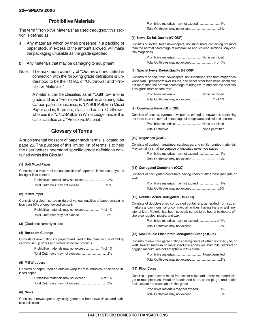# **Prohibitive Materials**

The term "Prohibitive Materials" as used throughout this section is defined as:

- a. Any materials which by their presence in a packing of paper stock, in excess of the amount allowed, will make the packaging unusable as the grade specified.
- b. Any materials that may be damaging to equipment.
- Note: The maximum quantity of "Outthrows" indicated in connection with the following grade definitions is understood to be the TOTAL of "Outthrows" and "Prohibitive Materials:"

A material can be classified as an "Outthrow" in one grade and as a "Prohibitive Material" in another grade. Carbon paper, for instance, is "UNSUITABLE" in Mixed Paper and is, therefore, classified as an "Outthrow;" whereas it is "UNUSABLE" in White Ledger and in this case classified as a "Prohibitive Material:"

# **Glossary of Terms**

A supplemental glossary of paper stock terms is located on page 25. The purpose of this limited list of terms is to help the user better understand specific grade definitions contained within this Circular.

#### **(1) Soft Mixed Paper**

Consists of a mixture of various qualities of paper not limited as to type of baling or fiber content.

| Prohibitive materials may not exceed2% |  |
|----------------------------------------|--|
|                                        |  |

#### **(2) Mixed Paper**

Consists of a clean, sorted mixture of various qualities of paper containing less than 10% of groundwood content.

**(3)** (Grade not currently in use)

#### **(4) Boxboard Cuttings**

Consists of new cuttings of paperboard used in the manufacture of folding cartons, set-up boxes and similar boxboard products.

| Prohibitive materials may not exceed <sup>1</sup> / <sub>2</sub> of 1% |  |
|------------------------------------------------------------------------|--|
|                                                                        |  |

#### **(5) Mill Wrappers**

Consists of paper used as outside wrap for rolls, bundles, or skids of finished paper.

> Prohibitive materials may not exceed...................<sup>1</sup>/<sub>2</sub> of 1% Total Outthrows may not exceed..................................3%

#### **(6) News**

Consists of newspaper as typically generated from news drives and curbside collections.

#### **(7) News, De-ink Quality (#7 ONP)**

Consists of sorted, fresh newspapers, not sunburned, containing not more than the normal percentage of rotogravure and colored sections. May contain magazines.

| Prohibitive materialsNone permitted |  |
|-------------------------------------|--|
|                                     |  |

#### **(8) Special News, De-ink Quality (#8 ONP)**

Consists of sorted, fresh newspapers, not sunburned, free from magazines, white blank, pressroom over-issues, and paper other than news, containing not more than the normal percentage of rotogravure and colored sections. This grade must be tare-free.

> Prohibitive materials.................................None permitted Total Outthrows may not exceed..........................1 /4 of 1%

#### **(9) Over-Issue News (OI or OIN)**

Consists of unused, overrun newspapers printed on newsprint, containing not more than the normal percentage of rotogravure and colored sections.

> Prohibitive materials.................................None permitted Total Outthrows.........................................None permitted

#### **(10) Magazines (OMG)**

Consists of coated magazines, catalogues, and similar printed materials. May contain a small percentage of uncoated news-type paper.

> Prohibitive materials may not exceed...........................1% Total Outthrows may not exceed..................................3%

#### **(11) Corrugated Containers (OCC)**

Consists of corrugated containers having liners of either test liner, jute or kraft.

> Prohibitive materials may not exceed............................1% Total Outthrows may not exceed..................................5%

#### **(12) Double-Sorted Corrugated (DS OCC)**

Consists of double-sorted corrugated containers, generated from supermarkets and/or industrial or commercial facilities, having liners or test liner, jute, or kraft. Material has been specially sorted to be free of boxboard, offshore corrugated, plastic, and wax.

| Prohibitive materials may not exceed1/2 of 1% |  |
|-----------------------------------------------|--|
|                                               |  |

#### **(13) New Double-Lined Kraft Corrugated Cuttings (DLK)**

Consists of new corrugated cuttings having liners of either test liner, jute, or kraft. Treated medium or liners, insoluble adhesives, butt rolls, slabbed or hogged medium, are not acceptable in this grade.

#### **(14) Fiber Cores**

Consists of paper cores made from either chipboard and/or linerboard, single or multiple plies. Metal or plastic end caps, wood plugs, and textile residues are not acceptable in this grade

| Prohibitive materials may not exceed1% |  |
|----------------------------------------|--|
|                                        |  |

#### **PAPER STOCK: DOMESTIC TRANSACTIONS**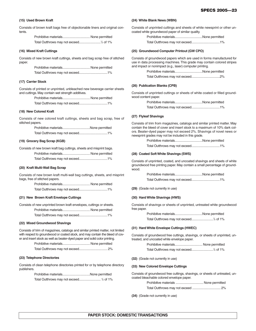#### **(15) Used Brown Kraft**

Consists of brown kraft bags free of objectionable liners and original contents.

#### **(16) Mixed Kraft Cuttings**

Consists of new brown kraft cuttings, sheets and bag scrap free of stitched paper.

#### **(17) Carrier Stock**

Consists of printed or unprinted, unbleached new beverage carrier sheets and cuttings. May contain wet strength additives.

| Prohibitive materials None permitted |  |
|--------------------------------------|--|
|                                      |  |

#### **(18) New Colored Kraft**

Consists of new colored kraft cuttings, sheets and bag scrap, free of stitched papers.

| Prohibitive materialsNone permitted |  |
|-------------------------------------|--|
|                                     |  |

#### **(19) Grocery Bag Scrap (KGB)**

Consists of new brown kraft bag cuttings, sheets and misprint bags. Prohibitive materials................................. None permitted Total Outthrows may not exceed..................................1%

#### **(20) Kraft Multi-Wall Bag Scrap**

Consists of new brown kraft multi-wall bag cuttings, sheets, and misprint bags, free of stitched papers.

#### **(21) New Brown Kraft Envelope Cuttings**

Consists of new unprinted brown kraft envelopes, cuttings or sheets.

#### **(22) Mixed Groundwood Shavings**

Consists of trim of magazines, catalogs and similar printed matter, not limited with respect to groundwood or coated stock, and may contain the bleed of cover and insert stock as well as beater-dyed paper and solid color printing.

#### **(23) Telephone Directories**

Consists of clean telephone directories printed for or by telephone directory publishers.

| Prohibitive materialsNone permitted |  |
|-------------------------------------|--|
|                                     |  |

#### **(24) White Blank News (WBN)**

Consists of unprinted cuttings and sheets of white newsprint or other uncoated white groundwood paper of similar quality.

# **(25) Groundwood Computer Printout (GW CPO)**

Consists of groundwood papers which are used in forms manufactured for use in data processing machines. This grade may contain colored stripes and impact or nonimpact (e.g., laser) computer printing.

#### **(26) Publication Blanks (CPB)**

Consists of unprinted cuttings or sheets of white coated or filled groundwood content paper.

#### **(27) Flyleaf Shavings**

Consists of trim from magazines, catalogs and similar printed matter. May contain the bleed of cover and insert stock to a maximum of 10% dark colors. Beater-dyed paper may not exceed 2%. Shavings of novel news or newsprint grades may not be included in this grade.

> Prohibitive materials.................................None permitted Total Outthrows may not exceed..................................1%

#### **(28) Coated Soft White Shavings (SWS)**

Consists of unprinted, coated, and uncoated shavings and sheets of white groundwood free printing paper. May contain a small percentage of groundwood.

> Prohibitive materials.................................None permitted Total Outthrows may not exceed..................................1%

**(29)** (Grade not currently in use)

#### **(30) Hard White Shavings (HWS)**

Consists of shavings or sheets of unprinted, untreated white groundwood free paper.

| Prohibitive materialsNone permitted |  |
|-------------------------------------|--|
|                                     |  |

#### **(31) Hard White Envelope Cuttings (HWEC)**

Consists of groundwood free cuttings, shavings, or sheets of unprinted, untreated, and uncoated white envelope paper.

> Prohibitive materials................................. None permitted Total Outthrows may not exceed..........................1 /2 of 1%

**(32)** (Grade not currently in use)

#### **(33) New Colored Envelope Cuttings**

Consists of groundwood free cuttings, shavings, or sheets of untreated, uncoated bleachable colored envelope paper.

> Prohibitive materials ................................. None permitted Total Outthrows may not exceed .................................. 2%

#### **(34)** (Grade not currently in use)

#### **PAPER STOCK: DOMESTIC TRANSACTIONS**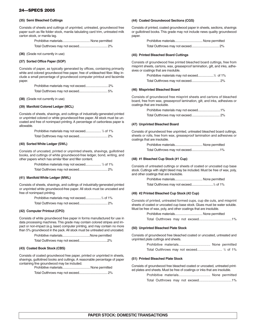#### **(35) Semi Bleached Cuttings**

Consists of sheets and cuttings of unprinted, untreated, groundwood free paper such as file folder stock, manila tabulating card trim, untreated milk carton stock, or manila tag.

> Prohibitive materials................................. None permitted Total Outthrows may not exceed.................................. 2%

**(36)** (Grade not currently in use)

#### **(37) Sorted Office Paper (SOP)**

Consists of paper, as typically generated by offices, containing primarily white and colored groundwood free paper, free of unbleached fiber. May include a small percentage of groundwood computer printout and facsimile paper.

**(38)** (Grade not currently in use)

#### **(39) Manifold Colored Ledger (MCL)**

Consists of sheets, shavings, and cuttings of industrially-generated printed or unprinted colored or white groundwood-free paper. All stock must be uncoated and free of nonimpact printing. A percentage of carbonless paper is allowable.

| Prohibitive materials may not exceed 1/2 of 1% |  |
|------------------------------------------------|--|
|                                                |  |

#### **(40) Sorted White Ledger (SWL)**

Consists of uncoated, printed or unprinted sheets, shavings, guillotined books, and cuttings of white groundwood-free ledger, bond, writing, and other papers which has similar fiber and filler content.

Prohibitive materials may not exceed.................... 1/2 of 1%

Total Outthrows may not exceed.................................. 2%

#### **(41) Manifold White Ledger (MWL)**

Consists of sheets, shavings, and cuttings of industrially-generated printed or unprinted white groundwood-free paper. All stock must be uncoated and free of nonimpact printing.

| Prohibitive materials may not exceed1/2 of 1% |  |
|-----------------------------------------------|--|
|                                               |  |

#### **(42) Computer Printout (CPO)**

Consists of white groundwood free paper in forms manufactured for use in data processing machines. This grade may contain colored stripes and impact or non-impact (e.g. laser) computer printing, and may contain no more than 5% groundwood in the pack. All stock must be untreated and uncoated.

| Prohibitive materialsNone permitted |  |
|-------------------------------------|--|
|                                     |  |

#### **(43) Coated Book Stock (CBS)**

Consists of coated groundwood free paper, printed or unprinted in sheets, shavings, guillotined books and cuttings. A reasonable percentage of paper containing fine groundwood may be included.

Prohibitive materials................................. None permitted

Total Outthrows may not exceed.................................. 2%

#### **(44) Coated Groundwood Sections (CGS)**

Consists of printed, coated groundwood paper in sheets, sections, shavings or guillotined books. This grade may not include news quality groundwood paper.

> Prohibitive materials................................. None permitted Total Outthrows may not exceed................................. 2%

#### **(45) Printed Bleached Board Cuttings**

Consists of groundwood free printed bleached board cuttings, free from misprint sheets, cartons, wax, greaseproof lamination, gilt, and inks, adhesives or coatings that are insoluble.

#### **(46) Misprinted Bleached Board**

Consists of groundwood free misprint sheets and cartons of bleached board, free from wax, greaseproof lamination, gilt, and inks, adhesives or coatings that are insoluble.

| Tatal Outlasses seasonat assays | $\sim$ |
|---------------------------------|--------|

Total Outthrows may not exceed.................................. 2%

#### **(47) Unprinted Bleached Board**

Consists of groundwood free unprinted, untreated bleached board cuttings, sheets or rolls, free from wax, greaseproof lamination and adhesives or coatings that are insoluble.

| $T_{\alpha+1}$ $\bigcap_{i=1}^{n}$ $H_{\alpha+1}$ $\bigcup_{i=1}^{n}$ $I_{\alpha+1}$ $I_{\alpha+2}$ $I_{\alpha+1}$ | 40/ |
|--------------------------------------------------------------------------------------------------------------------|-----|

## Total Outthrows may not exceed..................................1%

#### **(48) #1 Bleached Cup Stock (#1 Cup)**

Consists of untreated cuttings or sheets of coated or uncoated cup base stock. Cuttings with slight bleed may be included. Must be free of wax, poly, and other coatings that are insoluble.

#### **(49) #2 Printed Bleached Cup Stock (#2 Cup)**

Consists of printed, untreated formed cups, cup die cuts, and misprint sheets of coated or uncoated cup base stock. Glues must be water soluble. Must be free of wax, poly, and other coatings that are insoluble.

|--|--|

Total Outthrows may not exceed..................................1%

#### **(50) Unprinted Bleached Plate Stock**

Consists of groundwood free bleached coated or uncoated, untreated and unprinted plate cuttings and sheets.

#### **(51) Printed Bleached Plate Stock**

Consists of groundwood free bleached coated or uncoated, untreated printed plates and sheets. Must be free of coatings or inks that are insoluble.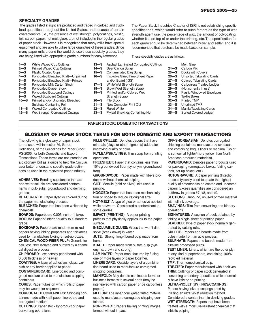# **SPECIALTY GRADES**

The grades listed at right are produced and traded in carload and truckload quantities throughout the United States, and because of certain characteristics (i.e., the presence of wet strength, polycoatings, plastic, foil, carbon paper, hot melt glue), are not included in the regular grades of paper stock. However, it is recognized that many mills have special equipment and are able to utilize large quantities of these grades. Since many paper mills around the world do use these specialty grades, they are being listed with appropriate grade numbers for easy reference.

The Paper Stock Industries Chapter of ISRI is not establishing specific specifications, which would refer to such factors as the type of wet strength agent use, the percentage of wax, the amount of polycoating, whether it is on top of or under the printing, etc. The specification for each grade should be determined between buyer and seller, and it is recommended that purchase be made based on sample.

> Melt Glue **24—S** Carbon Mix **25—S** Books with Covers **26—S** Unsorted Tabulating Cards **27 Colored Tabulating Cards 28—S** Carbonless Treated Ledger **29—S** (Not currently in use) **30—S** Plastic Windowed Envelopes

**31—S** Textile Boxes **32—S** Printed TMP **33—S** Unprinted TMP **34—S** Manila Tabulating Cards **35—S** Sorted Colored Ledger

These specialty grades are as follows:

- **1—S** White Waxed Cup Cuttings<br>**2—S** Printed Waxed Cup Cutting
- Printed Waxed Cup Cuttings
- **3—S** Plastic Coated Cups
- **4—S** Polycoated Bleached Kraft—Unprinted
- **5—S** Polycoated Bleached Kraft—Printed
- **6—S** Polycoated Milk Carton Stock
- **7—S** Polycoated Diaper Stock
- **8—S** Polycoated Boxboard Cuttings
- **9—S** Waxed Boxboard Cuttings<br>**10—S** Printed and/or Unprinted B
- Printed and/or Unprinted Bleached
- Sulphate Containing Foil
- **11—S** Waxed Corrugated Cuttings
- **12—S** Wet Strength Corrugated Cuttings
- 13—S Asphalt Laminated Corrugated Cuttings<br>14—S Beer Carton Scrap
- 14-S Beer Carton Scrap<br>15-S Contaminated Bag
	- **Contaminated Bag Scrap**
- **16—S** Insoluble Glued Free Sheet Paper and/or Board (IGS)
- **17—S** White Wet Strength Scrap
- **18—S** Brown Wet Strength Scrap
- **19—S** Printed and/or Colored Wet
	- Strength Scrap
- **20—S** File Stock
- **21—S** New Computer Print Out
- **22—S** Ruled White **23—S** Flyleaf Shavings Containing Hot
- **PAPER STOCK: DOMESTIC TRANSACTIONS**

# **GLOSSARY OF PAPER STOCK TERMS FOR BOTH DOMESTIC AND EXPORT TRANSACTIONS**

The following is a glossary of paper stock terms used within section VI, Grade Definitions, of the Guidelines for Paper Stock: PS-2005, for both Domestic and Export Transactions. These terms are not intended as a dictionary, but as a guide to help the Circular user better understand specific grade definitions as used in the recovered paper industry.

**ADHESIVES:** Bonding substances that are non-water soluble are considered contaminants in pulp subs, groundwood and deinking grades.

**BEATER-DYED:** Paper dyed or colored during the paper manufacturing process.

**BLEACHED:** Paper that has been whitened by chemicals.

**BOARDS:** Paperboard 0.006 inch or thicker. **BOGUS:** Paper of inferior quality to a standard grade.

**BOXBOARD:** Paperboard made from mixed papers having folding properties and thickness used to manufacture folding or set-up boxes.

**CHEMICAL WOOD-FIBER PULP:** Generic for cellulose fiber isolated and purified by a chemical digestive process.

**CHIPBOARD**: Low density paperboard with 0.006 thickness or heavier.

**COATINGS:** A layer of adhesives, clays, varnish or any barrier applied to paper.

**CONTAINERBOARD:** Linerboard and corrugated medium used to manufacture shipping containers.

**CORES:** Paper tubes on which rolls of paper may be wound for shipment.

**CORRUGATED CONTAINERS:** Shipping containers made with kraft paper linerboard and corrugated medium.

**CUTTINGS:** Paper stock by-product of paper converting operations.

**FILLER/FILLED:** Denotes papers that have minerals (clays or other pigments) added for improving quality or color.

**FLYLEAF/SHAVINGS:** Trim scrap from printing operations.

**FREESHEET:** Paper that contains less than 10% groundwood fiber (synonym: groundwood free).

**GROUNDWOOD:** Paper made with fibers produced without chemical pulping.

**GILT:** Metallic (gold or silver) inks used in printing.

**HOGGED:** Paper that has been mechanically torn or ripped to reduce its original size.

**HOT-MELT:** A type of glue or adhesive applied while hot/warm. Considered a contaminant in some grades.

**IMPACT (PRINTING):** A paper printing process that physically applies ink to the paper surface.

**INSOLUABLE GLUES:** Glues that won't dissolve (break down) in water.

**JUTE:** Strong, long-fibered pulp made from hemp.

**KRAFT:** Paper made from sulfate pulp (synonyms: brown and strong).

**LAMINATED:** Paper manufactured by fusing one or more layers of paper together.

**LINERBOARD:** Outside layers of a combination board used to manufacture corrugated shipping containers.

**MANIFOLD:** May denote continuous forms or business forms with several parts (may be interleaved with carbon paper or be carbonless papers).

**MEDIUM:** The inner corrugated fluted material used to manufacture corrugated shipping containers.

**NON-IMPACT:** Papers having printing images formed without impact.

**OFF-SHORE/ASIAN:** Denotes corrugated shipping containers manufactured overseas and containing bogus liners or medium. (Color is somewhat lighter/more yellow than North American produced materials).

**PAPERBOARD:** Denotes paper products used for packaging (corrugated boxes, folding cartons, set-up boxes, etc.).

**ROTOGRAVURE:** A paper printing (Intaglio) process typically used to create the highest quality of smoothness on coated and uncoated papers. Excess quantities are considered an outthrow in grades #7, #8, and #9.

**SECTIONS:** Unbound, unused printed material with full ink coverage.

**SHAVINGS:** Trim from converting and bindery operations.

**SIGNATURES:** A section of book obtained by folding a single sheet of printing paper.

**SLABBED:** Type of paper stock normally generated by cutting rolls.

**SULFITE:** Papers and boards made from pulps made from an acid process.

**SULPHATE:** Papers and boards made from alkaline processed pulps.

**TEST LINER:** Liners, which are the outer ply of any kind of paperboard, containing 100% recycled material.

**TMP:** Thermomechanical pulp.

**TREATED:** Paper manufactured with additives. **TRIM:** Cuttings of paper stock generated at converting or bindery operations which normally have little or no printing.

**ULTRA-VIOLET (UV) INKS/COATINGS:**

Papers having inks or coatings dried by utilizing an ultra violet radiation method. Considered a contaminant in deinking grades. **WET STRENGTH:** Papers that have been treated with a moisture-resistant chemical that inhibits pulping.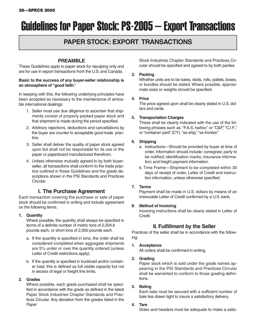# Guidelines for Paper Stock: PS-2005 – Export Transactions

# **PAPER STOCK: EXPORT TRANSACTIONS**

# **PREAMBLE**

These Guidelines apply to paper stock for repulping only and are for use in export transactions from the U.S. and Canada.

# **Basic to the success of any buyer-seller relationship is an atmosphere of "good faith."**

In keeping with this, the following underlying principles have been accepted as necessary to the maintenance of amicable international dealings:

- 1. Seller must use due diligence to ascertain that shipments consist of properly packed paper stock and that shipment is made during the period specified.
- 2. Arbitrary rejections, deductions and cancellations by the buyer are counter to acceptable good trade practice.
- 3. Seller shall deliver the quality of paper stock agreed upon but shall not be responsible for its use or the paper or paperboard manufactured therefrom.
- 4. Unless otherwise mutually agreed to by both buyerseller, all transactions shall conform to the trade practice outlined in these Guidelines and the grade descriptions shown in the PSI Standards and Practices Circular.

# **I. The Purchase Agreement**

Each transaction covering the purchase or sale of paper stock should be confirmed in writing and include agreement on the following items:

# **1. Quantity**

Where possible, the quantity shall always be specified in terms of a definite number of metric tons of 2,204.6 pounds each, or short tons of 2,000 pounds each.

- a. If the quantity is specified in tons, the order shall be considered completed when aggregate shipments are 5% under or over the quantity ordered (unless Letter of Credit restrictions apply).
- b. If the quantity is specified in truckload and/or container load, this is defined as full visible capacity but not in excess of legal or freight line limits.

# **2. Grades**

Where possible, each grade purchased shall be specified in accordance with the grade as defined in the latest Paper Stock Industries Chapter Standards and Practices Circular. Any deviation from the grades listed in the Paper

Stock Industries Chapter Standards and Practices Circular should be specified and agreed to by both parties.

# **3. Packing**

Whether units are to be bales, skids, rolls, pallets, boxes, or bundles should be stated. Where possible, approximate sizes or weights should be specified.

# **4. Price**

The price agreed upon shall be clearly stated in U.S. dollars and cents.

# **5. Transportation Charges**

These shall be clearly indicated with the use of the following phrases such as: "F.A.S. harbor," or "C&F," "C.I.F.," or "container yard" (CY), "ex-ship," "ex-frontier."

# **6. Shipping**

- a. Instructions—Should be provided by buyer at time of order. Information should include: consignee; party to be notified; identification marks; insurance information; and freight payment information.
- b. Time Frame—Shipment to be completed within 30 days of receipt of order, Letter of Credit and instruction information, unless otherwise specified.

# **7. Terms**

Payment shall be made in U.S. dollars by means of an irrevocable Letter of Credit confirmed by a U.S. bank.

# **8. Method of Invoicing**

Invoicing instructions shall be clearly stated in Letter of Credit.

# **II. Fulfillment by the Seller**

Practices of the seller shall be in accordance with the following:

# **1. Acceptance**

All orders shall be confirmed in writing.

# **2. Grading**

Paper stock which is sold under the grade names appearing in the PSI Standards and Practices Circular shall be warranted to conform to those grading definitions.

# **3. Baling**

Each bale must be secured with a sufficient number of bale ties drawn tight to insure a satisfactory delivery.

# **4. Tare**

Sides and headers must be adequate to make a satis-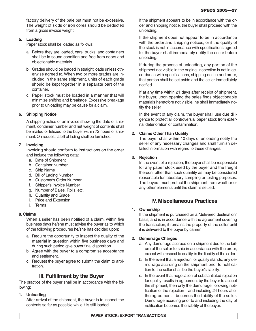factory delivery of the bale but must not be excessive. The weight of skids or iron cores should be deducted from a gross invoice weight.

# **5. Loading**

Paper stock shall be loaded as follows:

- a. Before they are loaded, cars, trucks, and containers shall be in sound condition and free from odors and objectionable materials.
- b. Grades should be loaded in straight loads unless otherwise agreed to. When two or more grades are included in the same shipment, units of each grade should be kept together in a separate part of the container.
- c. Paper stock must be loaded in a manner that will minimize shifting and breakage. Excessive breakage prior to unloading may be cause for a claim.

# **6. Shipping Notice**

A shipping notice or an invoice showing the date of shipment, container number and net weight of contents shall be mailed or telexed to the buyer within 72 hours of shipment.On request, a bill of lading shall be furnished.

# **7. Invoicing**

Invoicing should conform to instructions on the order and include the following data:

- a. Date of Shipment
- b. Container Number
- c. Ship Name
- d. Bill of Lading Number
- e. Customer's Order Number
- f. Shipper's Invoice Number
- g. Number of Bales, Rolls, etc.
- h. Quantity and Grade
- i. Price and Extension
- j. Terms

# **8. Claims**

When a seller has been notified of a claim, within five business days he/she must advise the buyer as to which of the following procedures he/she has decided upon:

- a. Require the opportunity to inspect the quality of the material in question within five business days and during such period give buyer final disposition.
- b. Agree with the buyer to a compromise acceptance and settlement.
- c. Request the buyer agree to submit the claim to arbitration.

# **Ill. Fulfillment by the Buyer**

The practice of the buyer shall be in accordance with the following:

# **1. Unloading**

After arrival of the shipment, the buyer is to inspect the contents so far as possible while it is still loaded.

If the shipment appears to be in accordance with the order and shipping notice, the buyer shall proceed with the unloading.

If the shipment does not appear to be in accordance with the order and shipping notices, or if the quality of the stock is not in accordance with specifications agreed to, the buyer shall immediately notify the seller before unloading.

If during the process of unloading, any portion of the shipment not visible in the original inspection is not in accordance with specifications, shipping notice and order, that portion shall be set aside and the seller immediately notified.

If at any time within 21 days after receipt of shipment, the buyer, upon opening the bales finds objectionable materials heretofore not visible, he shall immediately notify the seller

In the event of any claim, the buyer shall use due diligence to protect all controversial paper stock from external deterioration or contamination.

# **2. Claims Other Than Quality**

The buyer shall within 10 days of unloading notify the seller of any necessary changes and shall furnish detailed information with regard to these changes.

# **3. Rejection**

In the event of a rejection, the buyer shall be responsible for any paper stock used by the buyer and the freight thereon, other than such quantity as may be considered reasonable for laboratory sampling or testing purposes. The buyers must protect the shipment from weather or any other elements until the claim is settled.

# **IV. Miscellaneous Practices**

# **1. Ownership**

If the shipment is purchased on a "delivered destination" basis, and is in accordance with the agreement covering the transaction, it remains the property of the seller until it is delivered to the buyer by carrier.

# **2. Demurrage Charges**

- a. Any demurrage accrued on a shipment due to the failure of the seller to ship in accordance with the order, except with respect to quality, is the liability of the seller.
- b. In the event that a rejection for quality stands, any demurrage accruing on the shipment prior to notification to the seller shall be the buyer's liability.
- c. In the event that negotiation of substantiated rejection for quality results in agreement by the buyer to accept the shipment, then only the demurrage, following notification of the rejection—and including 24 hours after the agreement—becomes the liability of the seller. Demurrage accruing prior to and including the day of notification becomes the liability of the buyer.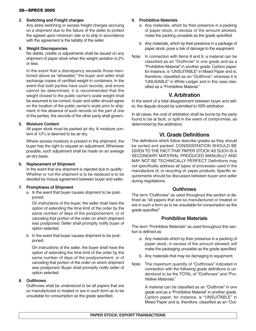# **3. Switching and Freight charges**

Any extra switching or excess freight charges accruing on a shipment due to the failure of the seller to protect the agreed upon minimum rate or to ship in accordance with the agreement is the liability of the seller.

# **4. Weight Discrepancies**

No debits, credits or adjustments shall be issued on any shipment of paper stock when the weight variation is 2% or less.

In the event that a discrepancy exceeds those mentioned above as "allowable;" the buyer and seller shall exchange copies of certified weight in containers. In the event that both parties have such records, and errors cannot be determined, it is recommended that the weight closest to the public carrier's scale weight shall be assumed to be correct, buyer and seller should agree on the location of the public carrier's scale prior to shipment. In the absence of such records on the part of one of the parties, the records of the other party shall govern.

# **5. Moisture Content**

All paper stock must be packed air dry. A moisture content of 12% is deemed to be air dry.

Where excess moisture is present in the shipment, the buyer has the right to request an adjustment. Whenever possible, such adjustment shall be made on an average air-dry basis.

# **6. Replacement of Shipment**

In the event that any shipment is rejected due to quality: Whether or not the shipment is to be replaced is to be decided by mutual agreement between buyer and seller.

# **7. Promptness of Shipment**

a. In the event that buyer causes shipment to be postponed:

On instructions of the buyer, the seller shall have the option of extending the time limit of the order by the same number of days of the postponement, or of canceling that portion of the order on which shipment was postponed. Seller shall promptly notify buyer of option selected.

b. In the event that buyer causes shipment to be postponed:

On instructions of the seller, the buyer shall have the option of extending the time limit of the order by the same number of days of the postponement, or of canceling that portion of the order on which shipment was postponed. Buyer shall promptly notify seller of option selected.

# **8. Outthrows**

Outthrows shall be understood to be all papers that are so manufactured or treated or are in such form as to be unsuitable for consumption as the grade specified.

# **9. Prohibitive Materials**

- a. Any materials, which by their presence in a packing of paper stock, in excess of the amount allowed, make the packing unusable as the grade specified.
- b. Any materials, which by their presence in a package of paper stock, pose a risk of damage to the equipment.
- Note: In connection with Items 8 and 9, a material can be classified as an "Outthrow" in one grade and as a "Prohibitive Material" in another grade. Carbon paper, for instance, is "UNSUITABLE" in Mixed Paper and is, therefore, classified as an "Outthrow"; whereas it is "UNUSABLE" in White Ledger and in this case classified as a "Prohibitive Material."

# **V. Arbitration**

In the event of a total disagreement between buyer and seller, the dispute should be submitted to ISRI arbitration.

In all cases, the cost of arbitration shall be borne by the party found to be at fault, or split in the event of compromise, as determined by the arbitrators.

# **VI. Grade Definitions**

The definitions which follow describe grades as they should be sorted and packed. CONSIDERATION SHOULD BE GIVEN TO THE FACT THAT PAPER STOCK AS SUCH IS A SECONDARY MATERIAL PRODUCED MANUALLY AND MAY NOT BE TECHNICALLY PERFECT. Definitions may not specifically address all types of processes used in the manufacture of, or recycling of, paper products. Specific requirements should be discussed between buyer and seller during negotiations.

# **Outthrows**

The term "Outthrows" as used throughout this section is defined as "all papers that are so manufactured or treated or are in such a form as to be unsuitable for consumption as the grade specified."

# **Prohibitive Materials**

The term "Prohibitive Materials" as used throughout this section is defined as:

- a. Any materials which by their presence in a packing of paper stock, in excess of the amount allowed, will make the packaging unusable as the grade specified.
- b. Any materials that may be damaging to equipment.
- Note: The maximum quantity of "Outthrows" indicated in connection with the following grade definitions is understood to be the TOTAL of "Outthrows" and "Prohibitive Materials."

A material can be classified as an "Outthrow" in one grade and as a "Prohibitive Material" in another grade. Carbon paper, for instance, is "UNSUITABLE" in Mixed Paper and is, therefore, classified as an "Out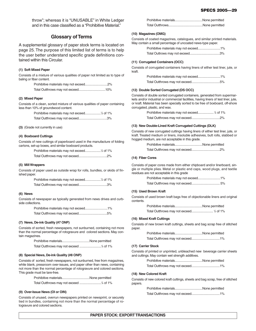throw"; whereas it is "UNUSABLE" in White Ledger and in this case classified as a "Prohibitive Material."

# **Glossary of Terms**

A supplemental glossary of paper stock terms is located on page 25. The purpose of this limited list of terms is to help the user better understand specific grade definitions contained within this Circular.

# **(1) Soft Mixed Paper**

Consists of a mixture of various qualities of paper not limited as to type of baling or fiber content.

#### **(2) Mixed Paper**

Consists of a clean, sorted mixture of various qualities of paper containing less than 10% of groundwood content.

> Prohibitive materials may not exceed....................1/2 of 1% Total Outthrows may not exceed..................................3%

**(3)** (Grade not currently in use)

#### **(4) Boxboard Cuttings**

Consists of new cuttings of paperboard used in the manufacture of folding cartons, set-up boxes, and similar boxboard products.

> Prohibitive materials may not exceed...................1/2 of 1% Total Outthrows may not exceed..................................2%

#### **(5) Mill Wrappers**

Consists of paper used as outside wrap for rolls, bundles, or skids of finished paper.

| Prohibitive materials may not exceed1/2 of 1% |  |
|-----------------------------------------------|--|
|                                               |  |

#### **(6) News**

Consists of newspaper as typically generated from news drives and curbside collections.

#### **(7) News, De-ink Quality (#7 ONP)**

Consists of sorted, fresh newspapers, not sunburned, containing not more than the normal percentage of rotogravure and colored sections. May contain magazines.

#### **(8) Special News, De-ink Quality (#8 ONP)**

Consists of sorted, fresh newspapers, not sunburned, free from magazines, white blank, pressroom over-issues, and paper other than news, containing not more than the normal percentage of rotogravure and colored sections. This grade must be tare-free.

| Prohibitive materialsNone permitted      |  |
|------------------------------------------|--|
| Total Outthrows may not exceed 1/4 of 1% |  |

#### **(9) Over-Issue News (OI or OIN)**

Consists of unused, overrun newspapers printed on newsprint, or securely tied in bundles, containing not more than the normal percentage of rotogravure and colored sections.

#### **(10) Magazines (OMG)**

Consists of coated magazines, catalogues, and similar printed materials. May contain a small percentage of uncoated news-type paper.

#### **(11) Corrugated Containers (OCC)**

Consists of corrugated containers having liners of either test liner, jute, or kraft.

> Prohibitive materials may not exceed.............................1% Total Outthrows may not exceed..................................5%

#### **(12) Double Sorted Corrugated (DS OCC)**

Consists of double sorted corrugated containers, generated from supermarkets and/or industrial or commercial facilities, having liners of test liner, jute, or kraft. Material has been specially sorted to be free of boxboard, off-shore corrugated, plastic, and wax.

Prohibitive materials may not exceed....................<sup>1</sup>/<sub>2</sub> of 1%

Total Outthrows may not exceed..................................2%

#### **(13) New Double-Lined Kraft Corrugated Cuttings (DLK)**

Consists of new corrugated cuttings having liners of either test liner, jute, or kraft. Treated medium or liners, insoluble adhesives, butt rolls, slabbed or hogged medium, are not acceptable in this grade.

# **(14) Fiber Cores**

Consists of paper cores made from either chipboard and/or linerboard, single or multiple plies. Metal or plastic end caps, wood plugs, and textile residues are not acceptable in this grade

#### **(15) Used Brown Kraft**

Consists of used brown kraft bags free of objectionable liners and original contents.

Prohibitive materials.................................None permitted

Total Outthrows may not exceed.......................... <sup>1</sup> /2 of 1%

#### **(16) Mixed Kraft Cuttings**

Consists of new brown kraft cuttings, sheets and bag scrap free of stitched paper.

> Prohibitive materials.................................None permitted Total Outthrows may not exceed..................................1%

#### **(17) Carrier Stock**

Consists of printed or unprinted, unbleached new beverage carrier sheets and cuttings. May contain wet strength additives.

Prohibitive materials.................................None permitted

Total Outthrows may not exceed..................................1%

#### **(18) New Colored Kraft**

Consists of new colored kraft cuttings, sheets and bag scrap, free of stitched papers.

| The first Constitution of the contract of the constitution of the contract of the contract of the contract of the contract of the contract of the contract of the contract of the contract of the contract of the contract of |  |
|-------------------------------------------------------------------------------------------------------------------------------------------------------------------------------------------------------------------------------|--|

#### **PAPER STOCK: EXPORT TRANSACTIONS**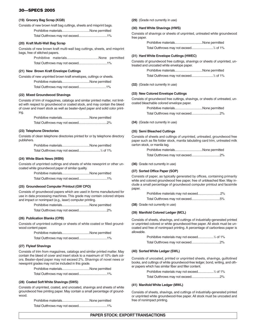#### **(19) Grocery Bag Scrap (KGB)**

Consists of new brown kraft bag cuttings, sheets and misprint bags.

#### **(20) Kraft Multi-Wall Bag Scrap**

Consists of new brown kraft multi-wall bag cuttings, sheets, and misprint bags, free of stitched papers.

| Prohibitive materialsNone permitted |  |
|-------------------------------------|--|
|                                     |  |

#### **(21) New Brown Kraft Envelope Cuttings**

Consists of new unprinted brown kraft envelopes, cuttings or sheets.

| Prohibitive materialsNone permitted |  |
|-------------------------------------|--|
|                                     |  |

#### **(22) Mixed Groundwood Shavings**

Consists of trim of magazines, catalogs and similar printed matter, not limited with respect to groundwood or coated stock, and may contain the bleed of cover and insert stock as well as beater-dyed paper and solid color printing.

| Prohibitive materialsNone permitted |  |
|-------------------------------------|--|
|                                     |  |

#### **(23) Telephone Directories**

Consists of clean telephone directories printed for or by telephone directory publishers.

> Prohibitive materials.................................None permitted Total Outthrows may not exceed..........................1 /2 of 1%

#### **(24) White Blank News (WBN)**

Consists of unprinted cuttings and sheets of white newsprint or other uncoated white groundwood paper of similar quality.

| Prohibitive materialsNone permitted |  |
|-------------------------------------|--|
|                                     |  |

#### **(25) Groundwood Computer Printout (GW CPO)**

Consists of groundwood papers which are used in forms manufactured for use in data processing machines. This grade may contain colored stripes and impact or nonimpact (e.g., laser) computer printing.

Prohibitive materials.................................None permitted

Total Outthrows may not exceed..................................2%

#### **(26) Publication Blanks (CPB)**

Consists of unprinted cuttings or sheets of white coated or filled groundwood content paper.

| Prohibitive materialsNone permitted |  |
|-------------------------------------|--|
|                                     |  |

#### **(27) Flyleaf Shavings**

Consists of trim from magazines, catalogs and similar printed matter. May contain the bleed of cover and insert stock to a maximum of 10% dark colors. Beater-dyed paper may not exceed 2%. Shavings of novel news or newsprint grades may not be included in this grade.

| Prohibitive materialsNone permitted |  |
|-------------------------------------|--|
|                                     |  |

#### **(28) Coated Soft White Shavings (SWS)**

Consists of unprinted, coated, and uncoated, shavings and sheets of white groundwood free printing paper. May contain a small percentage of groundwood.

> Prohibitive materials.................................None permitted Total Outthrows may not exceed..................................1%

**(29)** (Grade not currently in use)

#### **(30) Hard White Shavings (HWS)**

Consists of shavings or sheets of unprinted, untreated white groundwood free paper.

> Prohibitive materials.................................None permitted Total Outthrows may not exceed..........................1 /2 of 1%

#### **(31) Hard White Envelope Cuttings (HWEC)**

Consists of groundwood free cuttings, shavings or sheets of unprinted, untreated and uncoated white envelope paper.

#### **(32)** (Grade not currently in use)

#### **(33) New Colored Envelope Cuttings**

Consists of groundwood free cuttings, shavings, or sheets of untreated, uncoated bleachable colored envelope paper.

| Prohibitive materialsNone permitted |  |
|-------------------------------------|--|
|                                     |  |

**(34)** (Grade not currently in use)

#### **(35) Semi Bleached Cuttings**

Consists of sheets and cuttings of unprinted, untreated, groundwood free paper such as file folder stock, manila tabulating card trim, untreated milk carton stock, or manila tag.

**(36)** Grade not currently in use)

#### **(37) Sorted Office Paper (SOP)**

Consists of paper, as typically generated by offices, containing primarily white and colored groundwood free paper, free of unbleached fiber. May include a small percentage of groundwood computer printout and facsimile paper.

|--|--|

Total Outthrows may not exceed..................................5%

**(38)** Grade not currently in use)

#### **(39) Manifold Colored Ledger (MCL)**

Consists of sheets, shavings, and cuttings of industrially-generated printed or unprinted colored or white groundwood-free paper. All stock must be uncoated and free of nonimpact printing. A percentage of carbonless paper is allowable.

> Prohibitive materials may not exceed....................<sup>1</sup>/<sub>2</sub> of 1% Total Outthrows may not exceed..................................2%

#### **(40) Sorted White Ledger (SWL)**

Consists of uncoated, printed or unprinted sheets, shavings, guillotined books, and cuttings of white groundwood-free ledger, bond, writing, and other papers which has similar fiber and filler content.

#### **(41) Manifold White Ledger (MWL)**

Consists of sheets, shavings, and cuttings of industrially-generated printed or unprinted white groundwood-free paper. All stock must be uncoated and free of nonimpact printing.

#### **PAPER STOCK: EXPORT TRANSACTIONS**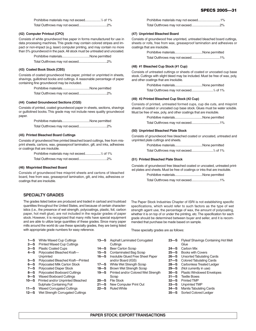| Prohibitive materials may not exceed1/2 of 1% |  |
|-----------------------------------------------|--|
|                                               |  |

#### **(42) Computer Printout (CPO)**

Consists of white groundwood free paper in forms manufactured for use in data processing machines. This grade may contain colored stripes and impact or non-impact (e.g. laser) computer printing, and may contain no more than 5% groundwood in the pack. All stock must be untreated and uncoated.

> Prohibitive materials.................................None permitted Total Outthrows may not exceed..................................2%

#### **(43) Coated Book Stock (CBS)**

Consists of coated groundwood free paper, printed or unprinted in sheets, shavings, guillotined books and cuttings. A reasonable percentage of paper containing fine groundwood may be included.

| Prohibitive materialsNone permitted |  |
|-------------------------------------|--|
|                                     |  |

#### **(44) Coated Groundwood Sections (CGS)**

Consists of printed, coated groundwood paper in sheets, sections, shavings or guillotined books. This grade may not include news quality groundwood paper.

#### **(45) Printed Bleached Board Cuttings**

Consists of groundwood free printed bleached board cuttings, free from misprint sheets, cartons, wax, greaseproof lamination, gilt, and inks, adhesives or coatings that are insoluble.

| Prohibitive materials may not exceed 1/2 of 1% |  |
|------------------------------------------------|--|
|                                                |  |

#### **(46) Misprinted Bleached Board**

Consists of groundwood free misprint sheets and cartons of bleached board, free from wax, greaseproof lamination, gilt, and inks, adhesives or coatings that are insoluble.

#### **SPECIALTY GRADES**

The grades listed below are produced and traded in carload and truckload quantities throughout the United States, and because of certain characteristics (i.e., the presence of wet strength, polycoatings, plastic, foil, carbon paper, hot melt glue), are not included in the regular grades of paper stock. However, it is recognized that many mills have special equipment and are able to utilize large quantities of these grades. Since many paper mills around the world do use these specialty grades, they are being listed with appropriate grade numbers for easy reference.

- **1—S** White Waxed Cup Cuttings
- **2—S** Printed Waxed Cup Cuttings
- **3—S** Plastic Coated Cups
- **4—S** Polycoated Bleached Kraft—
- Unprinted
- **5—S** Polycoated Bleached Kraft—Printed<br>**6—S** Polycoated Milk Carton Stock
- **6—S** Polycoated Milk Carton Stock<br>**7—S** Polycoated Diaper Stock Polycoated Diaper Stock
- **8—S** Polycoated Boxboard Cuttings
- **9—S** Waxed Boxboard Cuttings
- **10—S** Printed and/or Unprinted Bleached Sulphate Containing Foil
- **11—S** Waxed Corrugated Cuttings
- **12—S** Wet Strength Corrugated Cuttings
- **13—S** Asphalt Laminated Corrugated
	- **Cuttings**
- **14—S** Beer Carton Scrap
- **15—S** Contaminated Bag Scrap **16—S** Insoluble Glued Free Sheet Paper
- and/or Board (IGS)
- **17—S** White Wet Strength Scrap **18—S** Brown Wet Strength Scrap
- **19—S** Printed and/or Colored Wet Strength Scrap
- **20—S** File Stock
- **21—S** New Computer Print Out
- **22—S** Ruled White

Prohibitive materials may not exceed............................1% Total Outthrows may not exceed..................................2%

#### **(47) Unprinted Bleached Board**

Consists of groundwood free unprinted, untreated bleached board cuttings, sheets or rolls, free from wax, greaseproof lamination and adhesives or coatings that are insoluble.

#### **(48) #1 Bleached Cup Stock (#1 Cup)**

Consists of untreated cuttings or sheets of coated or uncoated cup base stock. Cuttings with slight bleed may be included. Must be free of wax, poly, and other coatings that are insoluble.

Total Outthrows may not exceed..........................1 /2 of 1%

#### **(49) #2 Printed Bleached Cup Stock (#2 Cup)**

Consists of printed, untreated formed cups, cup die cuts, and misprint sheets of coated or uncoated cup base stock. Glues must be water soluble. Must be free of wax, poly, and other coatings that are insoluble.

#### **(50) Unprinted Bleached Plate Stock**

Consists of groundwood free bleached coated or uncoated, untreated and unprinted plate cuttings and sheets.

| $\mathbf{1}$ $\mathbf{1}$ $\mathbf{1}$ |
|----------------------------------------|

Total Outthrows may not exceed..........................1 /2 of 1%

#### **(51) Printed Bleached Plate Stock**

Consists of groundwood free bleached coated or uncoated, untreated printed plates and sheets. Must be free of coatings or inks that are insoluble.

The Paper Stock Industries Chapter of ISRI is not establishing specific specifications, which would refer to such factors as the type of wet strength agent use, the percentage of wax, the amount of polycoating, whether it is on top of or under the printing, etc. The specification for each grade should be determined between buyer and seller, and it is recommended that purchase be made based on sample.

These specialty grades are as follows:

- **23—S** Flyleaf Shavings Containing Hot Melt Glue
- **24—S** Carbon Mix
- **25—S** Books with Covers
- **26—S** Unsorted Tabulating Cards
- **27—S** Colored Tabulating Cards
- **28—S** Carbonless Treated Ledger
- **29—S** (Not currently in use)
- **30—S** Plastic Windowed Envelopes
- **31—S** Textile Boxes
- **32—S** Printed TMP
- **33—S** Unprinted TMP
- **34—S** Manila Tabulating Cards
- **35—S** Sorted Colored Ledger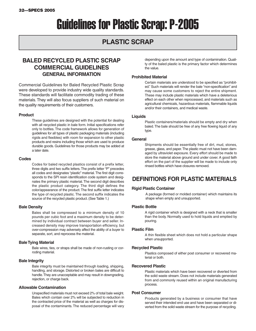# Guidelines for Plastic Scrap: P-2005

# **PLASTIC SCRAP**

# **BALED RECYCLED PLASTIC SCRAP COMMERCIAL GUIDELINES GENERAL INFORMATION**

Commercial Guidelines for Baled Recycled Plastic Scrap were developed to provide industry wide quality standards. These standards will facilitate commodity trading of these materials. They will also focus suppliers of such material on the quality requirements of their customers.

## **Product**

These guidelines are designed with the potential for dealing with all recycled plastic in bale form. Initial specifications refer only to bottles. The code framework allows for generation of guidelines for all types of plastic packaging materials (including rigids and flexibles) with room for expansion to other plastic products and resins including those which are used to produce durable goods. Guidelines for those products may be added at a later date.

## **Codes**

Codes for baled recycled plastics consist of a prefix letter, three digits and two suffix letters.The prefix letter "P" precedes all codes and designates "plastic" material.The first digit corresponds to the SPI resin identification code system and designates the primary plastic material. The second digit describes the plastic product category. The third digit defines the color/appearance of the product. The first suffix letter indicates the type of recycled plastic. The second suffix indicates the source of the recycled plastic product. (See Table 1.)

## **Bale Density**

Bales shall be compressed to a minimum density of 10 pounds per cubic foot and a maximum density to be determined by individual contract between buyer and seller. Increased density may improve transportation efficiency, but over-compression may adversely affect the ability of a buyer to separate, sort, and reprocess the material.

# **Bale Tying Material**

Bale wires, ties, or straps shall be made of non-rusting or corroding material.

## **Bale Integrity**

Bale integrity must be maintained through loading, shipping, handling, and storage. Distorted or broken bales are difficult to handle.They are unacceptable and may result in downgrading, rejection, or charge back.

## **Allowable Contamination**

Unspecified materials must not exceed 2% of total bale weight. Bales which contain over 2% will be subjected to reduction in the contracted price of the material as well as charges for disposal of the contaminants. The reduced percentage will vary

depending upon the amount and type of contamination. Quality of the baled plastic is the primary factor which determines the value.

# **Prohibited Material**

Certain materials are understood to be specified as "prohibited." Such materials will render the bale "non-specification" and may cause some customers to reject the entire shipment. These may include plastic materials which have a deleterious effect on each other when reprocessed, and materials such as agricultural chemicals, hazardous materials, flammable liquids and/or their containers, and medical waste.

## **Liquids**

Plastic containers/materials should be empty and dry when baled. The bale should be free of any free flowing liquid of any type.

## **General**

Shipments should be essentially free of dirt, mud, stones, grease, glass, and paper.The plastic must not have been damaged by ultraviolet exposure. Every effort should be made to store the material above ground and under cover. A good faith effort on the part of the supplier will be made to include only rinsed bottles which have closures removed.

# **DEFINITIONS FOR PLASTIC MATERIALS**

# **Rigid Plastic Container**

A package (formed or molded container) which maintains its shape when empty and unsupported.

# **Plastic Bottle**

A rigid container which is designed with a neck that is smaller than the body. Normally used to hold liquids and emptied by pouring.

# **Plastic Film**

A thin flexible sheet which does not hold a particular shape when unsupported.

## **Recycled Plastic**

Plastics composed of either post consumer or recovered material or both.

## **Recovered Plastic**

Plastic materials which have been recovered or diverted from the solid waste stream. Does not include materials generated from and commonly reused within an original manufacturing process.

# **Post Consumer**

Products generated by a business or consumer that have served their intended end use and have been separated or diverted from the solid waste stream for the purpose of recycling.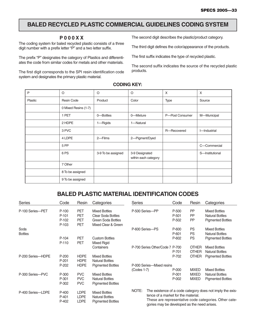# **BALED RECYCLED PLASTIC COMMERCIAL GUIDELINES CODING SYSTEM**

# **P 0 0 0 X X**

The coding system for baled recycled plastic consists of a three digit number with a prefix letter "P" and a two letter suffix.

The prefix "P" designates the category of Plastics and differentiates the code from similar codes for metals and other materials.

The first digit corresponds to the SPI resin identification code system and designates the primary plastic material.

The second digit describes the plastic/product category.

The third digit defines the color/appearance of the products.

The first suffix indicates the type of recycled plastic.

The second suffix indicates the source of the recycled plastic products.

# **CODING KEY:**

| P       | $\circ$              | $\circ$            | $\circ$                                | X               | X               |
|---------|----------------------|--------------------|----------------------------------------|-----------------|-----------------|
| Plastic | <b>Resin Code</b>    | Product            | Color                                  | Type            | Source          |
|         | 0 Mixed Resins (1-7) |                    |                                        |                 |                 |
|         | 1 PET                | 0-Bottles          | 0-Mixture                              | P-Post Consumer | M-Municipal     |
|         | 2 HDPE               | 1-Rigids           | 1-Natural                              |                 |                 |
|         | 3 PVC                |                    |                                        | R-Recovered     | I-Industrial    |
|         | 4 LDPE               | $2$ –Films         | 2-Pigment/Dyed                         |                 |                 |
|         | 5 PP                 |                    |                                        |                 | C-Commercial    |
|         | 6PS                  | 3-9 To be assigned | 3-9 Designated<br>within each category |                 | S-Institutional |
|         | 7 Other              |                    |                                        |                 |                 |
|         | 8 To be assigned     |                    |                                        |                 |                 |
|         | 9 To be assigned     |                    |                                        |                 |                 |

# **BALED PLASTIC MATERIAL IDENTIFICATION CODES**

| Series                 | Code                    | Resin                                     | Categories                                                                 | <b>Series</b>             |                                                                                    | Code                    | Resin                                        | Categories                                                                                                         |
|------------------------|-------------------------|-------------------------------------------|----------------------------------------------------------------------------|---------------------------|------------------------------------------------------------------------------------|-------------------------|----------------------------------------------|--------------------------------------------------------------------------------------------------------------------|
| P-100 Series-PET       | $P-100$<br>P-101        | <b>PET</b><br><b>PET</b>                  | <b>Mixed Bottles</b><br><b>Clear Soda Bottles</b>                          |                           | P-500 Series-PP                                                                    | P-500<br>P-501          | <b>PP</b><br>PP                              | <b>Mixed Bottles</b><br><b>Natural Bottles</b>                                                                     |
|                        | $P-102$<br>P-103        | <b>PET</b><br>PET                         | <b>Green Soda Bottles</b><br>Mixed Clear & Green                           |                           |                                                                                    | P-502                   | PP                                           | <b>Pigmented Bottles</b>                                                                                           |
| Soda<br><b>Bottles</b> |                         |                                           |                                                                            |                           | P-600 Series-PS                                                                    | P-600<br>P-601          | <b>PS</b><br><b>PS</b>                       | <b>Mixed Bottles</b><br><b>Natural Bottles</b>                                                                     |
|                        | P-104<br>$P-110$        | <b>PET</b><br><b>PET</b>                  | <b>Custom Bottles</b><br><b>Mixed Rigid</b>                                |                           |                                                                                    | P-602                   | <b>PS</b>                                    | <b>Pigmented Bottles</b>                                                                                           |
|                        |                         |                                           | Containers                                                                 |                           | P-700 Series Other/Code 7 P-700                                                    | P-701                   | <b>OTHER</b><br><b>OTHER</b>                 | <b>Mixed Bottles</b><br><b>Natural Bottles</b>                                                                     |
| P-200 Series-HDPE      | $P-200$<br>$P-201$      | <b>HDPE</b><br><b>HDPE</b>                | <b>Mixed Bottles</b><br><b>Natural Bottles</b>                             |                           |                                                                                    | P-702                   | <b>OTHER</b>                                 | <b>Pigmented Bottles</b>                                                                                           |
|                        | $P-202$                 | <b>HDPE</b>                               | <b>Pigmented Bottles</b>                                                   | P-000 Series-Mixed resins |                                                                                    |                         |                                              |                                                                                                                    |
| P-300 Series-PVC       | P-300<br>P-301<br>P-302 | <b>PVC</b><br><b>PVC</b><br><b>PVC</b>    | <b>Mixed Bottles</b><br><b>Natural Bottles</b><br><b>Pigmented Bottles</b> | $(Codes 1-7)$             |                                                                                    | P-000<br>P-001<br>P-002 | <b>MIXED</b><br><b>MIXED</b><br><b>MIXED</b> | <b>Mixed Bottles</b><br><b>Natural Bottles</b><br><b>Pigmented Bottles</b>                                         |
| P-400 Series-LDPE      | P-400<br>P-401<br>P-402 | <b>LDPE</b><br><b>LDPE</b><br><b>LDPE</b> | <b>Mixed Bottles</b><br><b>Natural Bottles</b><br><b>Pigmented Bottles</b> | NOTE:                     | tence of a market for the material.<br>gories may be developed as the need arises. |                         |                                              | The existence of a code category does not imply the exis-<br>These are representative code categories. Other cate- |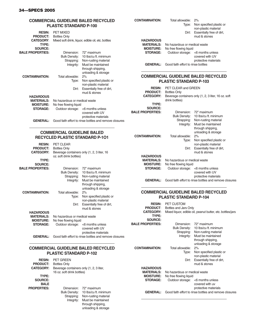|                                                                | <b>PLASTIC STANDARD P-100</b>                    | <b>COMMERCIAL GUIDELINE BALED RECYCLED</b>                                                    | <b>CONTAMINATION:</b>                                     | Total allowable:<br>Type:                               | 2%<br>Non specified plastic or                                               |
|----------------------------------------------------------------|--------------------------------------------------|-----------------------------------------------------------------------------------------------|-----------------------------------------------------------|---------------------------------------------------------|------------------------------------------------------------------------------|
|                                                                | <b>RESIN: PET MIXED</b>                          |                                                                                               |                                                           |                                                         | non-plastic material<br>Dirt: Essentially free of dirt,                      |
| <b>PRODUCT:</b><br><b>CATEGORY:</b><br>TYPE:<br><b>SOURCE:</b> | <b>Bottles Only</b>                              | Mixed soft drink, liquor, edible oil, etc. bottles                                            | <b>HAZARDOUS</b><br><b>MATERIALS:</b><br><b>MOISTURE:</b> | No hazardous or medical waste<br>No free flowing liquid | mud & stones                                                                 |
| <b>BALE PROPERTIES:</b>                                        | <b>Bulk Density:</b><br>Strapping:<br>Integrity: | Dimension: 72" maximum<br>10 lbs/cu ft. minimum<br>Non-rusting material<br>Must be maintained | <b>STORAGE:</b><br><b>GENERAL:</b>                        | Good faith effort to rinse bottles                      | Outdoor storage: <6 months unless<br>covered with UV<br>protective materials |
|                                                                |                                                  | through shipping,<br>unloading & storage                                                      |                                                           |                                                         |                                                                              |
| <b>CONTAMINATION:</b>                                          | Total allowable:                                 | 2%                                                                                            |                                                           |                                                         | <b>COMMERCIAL GUIDELINE BALED RECYCLED</b>                                   |
|                                                                | Type:                                            | Non specified plastic or<br>non-plastic material                                              |                                                           | <b>PLASTIC STANDARD P-103</b>                           |                                                                              |
| <b>HAZARDOUS</b>                                               |                                                  | Dirt: Essentially free of dirt,<br>mud & stones                                               | <b>RESIN:</b><br><b>PRODUCT:</b><br><b>CATEGORY:</b>      | PET CLEAR and GREEN<br><b>Bottles Only</b>              | Beverage containers only (1, 2, 3 liter, 16 oz. soft                         |
| <b>MATERIALS:</b>                                              | No hazardous or medical waste                    |                                                                                               |                                                           | drink bottles)                                          |                                                                              |
| <b>MOISTURE:</b>                                               | No free flowing liquid                           |                                                                                               | TYPE:                                                     |                                                         |                                                                              |
| <b>STORAGE:</b>                                                | Outdoor storage:                                 | <6 months unless<br>covered with UV<br>protective materials                                   | <b>SOURCE:</b><br><b>BALE PROPERTIES:</b>                 | <b>Bulk Density:</b>                                    | Dimension: 72" maximum<br>10 lbs/cu ft. minimum                              |
| <b>GENERAL:</b>                                                |                                                  | Good faith effort to rinse bottles and remove closures                                        |                                                           | Strapping:<br>Integrity:                                | Non-rusting material<br>Must be maintained<br>through shipping,              |
|                                                                | <b>COMMERCIAL GUIDELINE BALED</b>                |                                                                                               |                                                           |                                                         | unloading & storage                                                          |
|                                                                | <b>RECYCLED PLASTIC STANDARD P-101</b>           |                                                                                               | <b>CONTAMINATION:</b>                                     | Total allowable:                                        | 2%                                                                           |
| <b>RESIN:</b>                                                  | PET CLEAR                                        |                                                                                               |                                                           | Type:                                                   | Non specified plastic or<br>non-plastic material                             |
| <b>PRODUCT:</b>                                                | <b>Bottles Only</b>                              |                                                                                               |                                                           | Dirt:                                                   | Essentially free of dirt,                                                    |
| <b>CATEGORY:</b>                                               |                                                  | Beverage containers only (1, 2, 3 liter, 16                                                   |                                                           |                                                         | mud & stones                                                                 |
|                                                                | oz. soft drink bottles)                          |                                                                                               | <b>HAZARDOUS</b>                                          |                                                         |                                                                              |
| TYPE:<br><b>SOURCE:</b>                                        |                                                  |                                                                                               | <b>MATERIALS:</b><br><b>MOISTURE:</b>                     | No hazardous or medical waste<br>No free flowing liquid |                                                                              |
| <b>BALE PROPERTIES:</b>                                        |                                                  | Dimension: 72" maximum                                                                        | <b>STORAGE:</b>                                           |                                                         | Outdoor storage: <6 months unless                                            |
|                                                                | <b>Bulk Density:</b>                             | 10 lbs/cu ft. minimum                                                                         |                                                           |                                                         | covered with UV                                                              |
|                                                                | Strapping:                                       | Non-rusting material                                                                          |                                                           |                                                         | protective materials                                                         |
|                                                                | Integrity:                                       | Must be maintained<br>through shipping,                                                       | <b>GENERAL:</b>                                           |                                                         | Good faith effort to rinse bottles and remove closures                       |
|                                                                |                                                  | unloading & storage                                                                           |                                                           |                                                         |                                                                              |
| <b>CONTAMINATION:</b>                                          | Total allowable:                                 | 2%                                                                                            |                                                           |                                                         | <b>COMMERCIAL GUIDELINE BALED RECYCLED</b>                                   |
|                                                                | Type:                                            | Non specified plastic or<br>non-plastic material                                              |                                                           | <b>PLASTIC STANDARD P-104</b>                           |                                                                              |
|                                                                |                                                  | Dirt: Essentially free of dirt,                                                               | <b>RESIN:</b>                                             | PET CUSTOM                                              |                                                                              |
| <b>HAZARDOUS</b>                                               |                                                  | mud & stones                                                                                  | <b>PRODUCT:</b><br><b>CATEGORY:</b>                       | Bottles and Jars Only                                   | Mixed liquor, edible oil, peanut butter, etc. bottles/jars                   |
| <b>MATERIALS:</b>                                              | No hazardous or medical waste                    |                                                                                               | TYPE:                                                     |                                                         |                                                                              |
| <b>MOISTURE:</b>                                               | No free flowing liquid                           |                                                                                               | <b>SOURCE:</b>                                            |                                                         |                                                                              |
| <b>STORAGE:</b>                                                |                                                  | Outdoor storage: <6 months unless                                                             | <b>BALE PROPERTIES:</b>                                   |                                                         | Dimension: 72" maximum                                                       |
|                                                                |                                                  | covered with UV                                                                               |                                                           | <b>Bulk Density:</b><br>Strapping:                      | 10 lbs/cu ft. minimum<br>Non-rusting material                                |
| <b>GENERAL:</b>                                                |                                                  | protective materials<br>Good faith effort to rinse bottles and remove closures                |                                                           | Integrity:                                              | Must be maintained<br>through shipping,                                      |
|                                                                |                                                  |                                                                                               |                                                           |                                                         | unloading & storage                                                          |
|                                                                | <b>PLASTIC STANDARD P-102</b>                    | <b>COMMERCIAL GUIDELINE BALED RECYCLED</b>                                                    | <b>CONTAMINATION:</b>                                     | Total allowable:<br>Type:                               | 2%<br>Non specified plastic or<br>non-plastic material                       |
| <b>RESIN:</b><br><b>PRODUCT:</b>                               | <b>PET GREEN</b><br><b>Bottles Only</b>          |                                                                                               |                                                           |                                                         | Dirt: Essentially free of dirt,<br>mud & stones                              |
| <b>CATEGORY:</b>                                               | Beverage containers only (1, 2, 3 liter,         |                                                                                               | <b>HAZARDOUS</b>                                          |                                                         |                                                                              |
|                                                                | 16 oz. soft drink bottles)                       |                                                                                               | <b>MATERIALS:</b>                                         | No hazardous or medical waste                           |                                                                              |
| TYPE:<br><b>SOURCE:</b>                                        |                                                  |                                                                                               | <b>MOISTURE:</b><br><b>STORAGE:</b>                       | No free flowing liquid                                  | Outdoor storage: <6 months unless                                            |
| <b>BALE</b>                                                    |                                                  |                                                                                               |                                                           |                                                         | covered with uv                                                              |
| <b>PROPERTIES:</b>                                             | Dimension:                                       | 72" maximum                                                                                   |                                                           |                                                         | protective materials                                                         |
|                                                                | Bulk Density:<br>Strapping:                      | 10 lbs/cu ft. minimum<br>Non-rusting material                                                 | <b>GENERAL:</b>                                           |                                                         | Good faith effort to rinse bottles and remove closures                       |

Integrity: Must be maintained through shipping, unloading & storage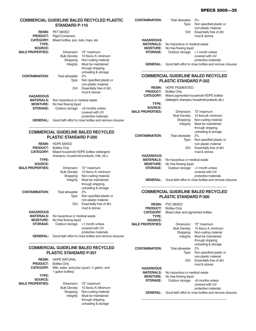protective materials

**GENERAL:** Good faith effort to rinse bottles and remove closures

#### **COMMERCIAL GUIDELINE BALED RECYCLED PLASTIC STANDARD P-110 RESIN:** PET MIXED **PRODUCT:** Rigid Containers **CATEGORY:** Mixed bottles, jars, tubs, trays, etc. **TYPE: SOURCE:**<br>BALE PROPERTIES: **Dimension: 72" maximum** Bulk Density: 10 Ibs/cu ft. minimum Strapping: Non-rusting material<br>Integrity: Must be maintained Must be maintained through shipping, unloading & storage **CONTAMINATION:** Total allowable: 2% Type: Non specified plastic or non-plastic material Dirt: Essentially free of dirt, mud & stones **HAZARDOUS MATERIALS:** Non hazardous or medical waste<br>**MOISTURE:** No free flowing liquid **MOISTURE:** No free flowing liquid<br>**STORAGE:** Outdoor storage: Outdoor storage: <6 months unless covered with UV protective materials **GENERAL:** Good faith effort to rinse bottles and remove closures **COMMERCIAL GUIDELINE BALED RECYCLED PLASTIC STANDARD P-200 RESIN:** HDPE MIXED **PRODUCT:** Bottles Only<br>CATEGORY: Mixed bouse Mixed household HDPE bottles (detergent, shampoo, household products, milk, etc.) **TYPE: SOURCE:**<br>:BALE PROPERTIES **Dimension: 72" maximum** Bulk Density: 10 Ibs/cu ft. minimum Strapping: Non-rusting material Integrity: Must be maintained through shipping, unloading & storage **CONTAMINATION:** Total allowable: 2% Type: Non specified plastic or non-plastic material Dirt: Essentially free of dirt, mud & stones **HAZARDOUS MATERIALS:** No hazardous or medical waste<br>**MOISTURE:** No free flowing liquid No free flowing liquid **STORAGE:** Outdoor storage: <1 month unless covered with UV protective materials **GENERAL:** Good faith effort to rinse bottles and remove closures **COMMERCIAL GUIDELINE BALED RECYCLED PLASTIC STANDARD P-201 RESIN:** HDPE NATURAL **PRODUCT:** Bottles Only **CATEGORY:** Milk, water, and juice (quart, ½ gallon, and 1 gallon bottles) **TYPE: SOURCE:**<br>:BALE PROPERTIES **Dimension: 72" maximum CONTAMINATION:** Total allowable: 2% Type: Non specified plastic or non-plastic material Dirt: Essentially free of dirt, mud & stones **HAZARDOUS MATERIALS:** No hazardous or medical waste<br>**MOISTURF:** No free flowing liquid No free flowing liquid **STORAGE:** Outdoor storage: <1 month unless covered with UV protective materials **GENERAL:** Good faith effort to rinse bottles and remove closures **COMMERCIAL GUIDELINE BALED RECYCLED PLASTIC STANDARD P-202 RESIN:** HDPE PIGMENTED<br>**ODUCT:** Bottles Only **PRODUCT: CATEGORY:** Mixed pigmented household HDPE bottles (detergent, shampoo, household products, etc.) **TYPE: SOURCE:**<br>**BALE PROPERTIES: Dimension: 72' maximum** Bulk Density: 10 lbs/cuff. minimum Strapping: Non-rusting material<br>Integrity: Must be maintained Must be maintained through shipping, unloading & storage **CONTAMINATION:** Total allowable: 2% Type: Non specified plastic or non-plastic material Dirt: Essentially free of dirt, mud & stones **HAZARDOUS MATERIALS:** No hazardous or medical waste **MOISTURE:** No free flowing liquid<br>**STORAGE:** Outdoor storage: Outdoor storage: <1 month unless covered with UV protective materials **GENERAL:** Good faith effort to rinse bottles and remove closures **COMMERCIAL GUIDELINE BALED RECYCLED PLASTIC STANDARD P-300 RESIN:** PVC MIXED **PRODUCT:** Bottles Only **CATEGORY**: Mixed clear and pigmented bottles **TYPE: SOURCE:**<br>**BALE PROPERTIES: Dimension:** 72" maximum Bulk Density: 10 Ibs/cu ft. minimum Strapping: Non-rusting material<br>Integrity: Must be maintained Must be maintained through shipping, unloading & storage **CONTAMINATION:** Total allowable: 2% Type: Non specified plastic or non-plastic material Dirt: Essentially free of dirt, mud & stones **HAZARDOUS MATERIALS:** No hazardous or medical waste<br>**MOISTURE:** No free flowing liquid **MOISTURE:** No free flowing liquid<br>**STORAGE:** Outdoor storage: Outdoor storage: <6 months unless covered with UV

Bulk Density: 10 Ibs/cu ft. Minimum Strapping: Non-rusting material Integrity: Must be maintained through shipping, unloading & storage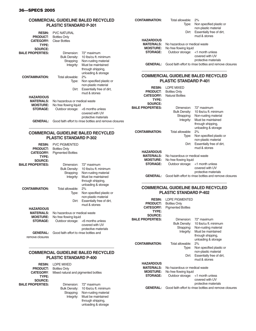|                                              | <b>PLASTIC STANDARD P-301</b>                        | <b>COMMERCIAL GUIDELINE BALED RECYCLED</b>             | <b>CONTAMINATION:</b>                 | Total allowable:<br>Type:                     | 2%<br>Non specified plastic or<br>non-plastic material |
|----------------------------------------------|------------------------------------------------------|--------------------------------------------------------|---------------------------------------|-----------------------------------------------|--------------------------------------------------------|
| <b>RESIN:</b>                                | <b>PVC NATURAL</b>                                   |                                                        |                                       | Dirt:                                         | Essentially free of dirt,                              |
| <b>PRODUCT:</b><br><b>CATEGORY:</b><br>TYPE: | <b>Bottles Only</b><br><b>Clear Bottles</b>          |                                                        | <b>HAZARDOUS</b><br><b>MATERIALS:</b> | No hazardous or medical waste                 | mud & stones                                           |
| <b>SOURCE:</b>                               |                                                      |                                                        | <b>MOISTURE:</b>                      | No free flowing liquid                        |                                                        |
| <b>BALE PROPERTIES:</b>                      |                                                      | Dimension: 72" maximum                                 | <b>STORAGE:</b>                       | Outdoor storage:                              | <1 month unless                                        |
|                                              |                                                      | Bulk Density: 10 lbs/cu ft. minimum                    |                                       |                                               | covered with UV                                        |
|                                              | Strapping:                                           | Non-rusting material                                   |                                       |                                               | protective materials                                   |
|                                              | Integrity:                                           | Must be maintained<br>through shipping,                | <b>GENERAL:</b>                       |                                               | Good faith effort to rinse bottles and remove closures |
|                                              |                                                      | unloading & storage                                    |                                       |                                               |                                                        |
| <b>CONTAMINATION:</b>                        | Total allowable:<br>Type:                            | 2%<br>Non specified plastic or                         |                                       | <b>PLASTIC STANDARD P-401</b>                 | <b>COMMERCIAL GUIDELINE BALED RECYCLED</b>             |
|                                              |                                                      | non-plastic material                                   | <b>RESIN:</b>                         | <b>LDPE MIXED</b>                             |                                                        |
| <b>HAZARDOUS</b>                             |                                                      | Dirt: Essentially free of dirt,<br>mud & stones        | <b>PRODUCT:</b><br><b>CATEGORY:</b>   | <b>Bottles Only</b><br><b>Natural Bottles</b> |                                                        |
| <b>MATERIALS:</b>                            | No hazardous or medical waste                        |                                                        | TYPE:                                 |                                               |                                                        |
| <b>MOISTURE:</b>                             | No free flowing liquid                               |                                                        | <b>SOURCE:</b>                        |                                               |                                                        |
| <b>STORAGE:</b>                              |                                                      | Outdoor storage: <6 months unless                      | <b>BALE PROPERTIES:</b>               | Dimension:                                    | 72" maximum                                            |
|                                              |                                                      | covered with UV                                        |                                       | Bulk Density:                                 | 10 lbs/cu ft. minimum                                  |
|                                              |                                                      | protective materials                                   |                                       | Strapping:                                    | Non-rusting material                                   |
| <b>GENERAL:</b>                              |                                                      | Good faith effort to rinse bottles and remove closures |                                       | Integrity:                                    | Must be maintained                                     |
|                                              |                                                      |                                                        |                                       |                                               | through shipping,<br>unloading & storage               |
|                                              |                                                      |                                                        | <b>CONTAMINATION:</b>                 | Total allowable:                              | 2%                                                     |
|                                              |                                                      | <b>COMMERCIAL GUIDELINE BALED RECYCLED</b>             |                                       | Type:                                         | Non specified plastic or                               |
|                                              | <b>PLASTIC STANDARD P-302</b>                        |                                                        |                                       |                                               | non-plastic material                                   |
| <b>RESIN:</b>                                | <b>PVC PIGMENTED</b>                                 |                                                        |                                       | Dirt:                                         | Essentially free of dirt,                              |
| <b>PRODUCT:</b>                              | <b>Bottles Only</b>                                  |                                                        |                                       |                                               | mud & stones                                           |
| <b>CATEGORY:</b>                             | <b>Pigmented Bottles</b>                             |                                                        | <b>HAZARDOUS</b>                      |                                               |                                                        |
| TYPE:                                        |                                                      |                                                        | <b>MATERIALS:</b>                     | No hazardous or medical waste                 |                                                        |
| <b>SOURCE:</b>                               |                                                      |                                                        | <b>MOISTURE:</b>                      | No free flowing liquid                        |                                                        |
| <b>BALE PROPERTIES:</b>                      |                                                      | Dimension: 72" maximum                                 | <b>STORAGE:</b>                       |                                               | Outdoor storage: <1 month unless<br>covered with UV    |
|                                              | <b>Bulk Density:</b>                                 | 10 lbs/cu ft. minimum                                  |                                       |                                               | protective materials                                   |
|                                              | Strapping:<br>Integrity:                             | Non-rusting material<br>Must be maintained             | <b>GENERAL:</b>                       |                                               | Good faith effort to rinse bottles and remove closures |
|                                              |                                                      | through shipping,                                      |                                       |                                               |                                                        |
|                                              |                                                      | unloading & storage                                    |                                       |                                               |                                                        |
| <b>CONTAMINATION:</b>                        | Total allowable:                                     | 2%                                                     |                                       |                                               | <b>COMMERCIAL GUIDELINE BALED RECYCLED</b>             |
|                                              | Type:                                                | Non specified plastic or                               |                                       | <b>PLASTIC STANDARD P-402</b>                 |                                                        |
|                                              |                                                      | non-plastic material                                   |                                       | <b>RESIN: LDPE PIGMENTED</b>                  |                                                        |
|                                              | Dirt:                                                | Essentially free of dirt,                              | <b>PRODUCT:</b>                       | <b>Bottles Only</b>                           |                                                        |
|                                              |                                                      | mud & stones                                           | <b>CATEGORY:</b>                      | <b>Pigmented Bottles</b>                      |                                                        |
| <b>HAZARDOUS</b><br><b>MATERIALS:</b>        | No hazardous or medical waste                        |                                                        | TYPE:                                 |                                               |                                                        |
| <b>MOISTURE:</b>                             | No free flowing liquid                               |                                                        | <b>SOURCE:</b>                        |                                               |                                                        |
| <b>STORAGE:</b>                              | Outdoor storage:                                     | <6 months unless                                       | <b>BALE PROPERTIES:</b>               | Dimension:                                    | 72" maximum                                            |
|                                              |                                                      | covered with UV                                        |                                       | Bulk Density:                                 | 10 lbs/cu ft. minimum                                  |
|                                              |                                                      | protective materials                                   |                                       | Strapping:                                    | Non-rusting material                                   |
| <b>GENERAL:</b>                              | Good faith effort to rinse bottles and               |                                                        |                                       | Integrity:                                    | Must be maintained<br>through shipping,                |
| remove closures                              |                                                      |                                                        |                                       |                                               | unloading & storage                                    |
|                                              |                                                      |                                                        | <b>CONTAMINATION:</b>                 | Total allowable:                              | 2%                                                     |
|                                              |                                                      |                                                        |                                       | Tvpe:                                         | Non specified plastic or                               |
|                                              |                                                      | <b>COMMERCIAL GUIDELINE BALED RECYCLED</b>             |                                       |                                               | non-plastic material                                   |
|                                              | <b>PLASTIC STANDARD P-400</b>                        |                                                        |                                       | Dirt:                                         | Essentially free of dirt,                              |
|                                              |                                                      |                                                        |                                       |                                               | mud & stones                                           |
|                                              | <b>RESIN: LDPE MIXED</b>                             |                                                        | <b>HAZARDOUS</b>                      |                                               |                                                        |
| <b>PRODUCT:</b>                              | <b>Bottles Only</b>                                  |                                                        | <b>MATERIALS:</b>                     | No hazardous or medical waste                 |                                                        |
|                                              | <b>CATEGORY:</b> Mixed natural and pigmented bottles |                                                        | <b>MOISTURE:</b>                      | No free flowing liquid                        |                                                        |

**BALE PROPERTIES:** Dimension: 72" maximum Bulk Density: 10 Ibs/cu ft. minimum Strapping: Non-rusting material Integrity: Must be maintained

through shipping, unloading & storage

**TYPE:**

**SOURCE:**<br>BALE PROPERTIES:

#### protective materials **GENERAL:** Good faith effort to rinse bottles and remove closures

covered with UV

**STORAGE:** Outdoor storage: <1 month unless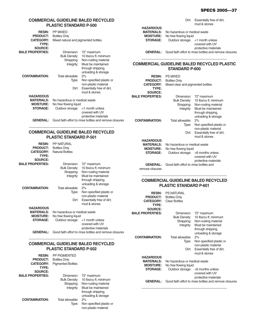#### **SPECS 2005—37**

# **COMMERCIAL GUIDELINE BALED RECYCLED PLASTIC STANDARD P-500**

| <b>RESIN:</b>           | <b>PP MIXED</b>                     |                                                        |  |
|-------------------------|-------------------------------------|--------------------------------------------------------|--|
| <b>PRODUCT:</b>         | <b>Bottles Only</b>                 |                                                        |  |
| <b>CATEGORY:</b>        | Mixed natural and pigmented bottles |                                                        |  |
| TYPE:                   |                                     |                                                        |  |
| <b>SOURCE:</b>          |                                     |                                                        |  |
| <b>BALE PROPERTIES:</b> | Dimension:                          | 72" maximum                                            |  |
|                         |                                     | Bulk Density: 10 lbs/cu ft. minimum                    |  |
|                         | Strapping:                          | Non-rusting material                                   |  |
|                         | Integrity:                          | Must be maintained                                     |  |
|                         |                                     | through shipping,                                      |  |
|                         |                                     | unloading & storage                                    |  |
| <b>CONTAMINATION:</b>   | Total allowable:                    | 2%                                                     |  |
|                         | Type:                               | Non specified plastic or                               |  |
|                         |                                     | non-plastic material                                   |  |
|                         | Dirt:                               | Essentially free of dirt,                              |  |
|                         |                                     | mud & stones                                           |  |
| <b>HAZARDOUS</b>        |                                     |                                                        |  |
| <b>MATERIALS:</b>       | No hazardous or medical waste       |                                                        |  |
| <b>MOISTURE:</b>        | No free flowing liquid              |                                                        |  |
| <b>STORAGE:</b>         | Outdoor storage: <1 month unless    |                                                        |  |
|                         |                                     | covered with UV                                        |  |
|                         |                                     | protective materials                                   |  |
| <b>GENERAL:</b>         |                                     | Good faith effort to rinse bottles and remove closures |  |

# **COMMERCIAL GUIDELINE BALED RECYCLED PLASTIC STANDARD P-501**

| <b>RESIN:</b>           | PP NATURAL                    |                                                        |
|-------------------------|-------------------------------|--------------------------------------------------------|
| <b>PRODUCT:</b>         | <b>Bottles Only</b>           |                                                        |
| <b>CATEGORY:</b>        | <b>Natural Bottles</b>        |                                                        |
| TYPE:                   |                               |                                                        |
| <b>SOURCE:</b>          |                               |                                                        |
| <b>BALE PROPERTIES:</b> | Dimension:                    | 72" maximum                                            |
|                         |                               | Bulk Density: 10 lbs/cu ft. minimum                    |
|                         | Strapping:                    | Non-rusting material                                   |
|                         | Integrity:                    | Must be maintained                                     |
|                         |                               | through shipping,                                      |
|                         |                               | unloading & storage                                    |
| <b>CONTAMINATION:</b>   | Total allowable:              | 2%                                                     |
|                         | Type:                         | Non specified plastic or                               |
|                         |                               | non-plastic material                                   |
|                         | Dirt:                         | Essentially free of dirt,                              |
|                         |                               | mud & stones                                           |
| <b>HAZARDOUS</b>        |                               |                                                        |
| <b>MATERIALS:</b>       | No hazardous or medical waste |                                                        |
| <b>MOISTURE:</b>        | No free flowing liquid        |                                                        |
| <b>STORAGE:</b>         | Outdoor storage:              | <1 month unless                                        |
|                         |                               | covered with UV                                        |
|                         |                               | protective materials                                   |
| <b>GENERAL:</b>         |                               | Good faith effort to rinse bottles and remove closures |
|                         |                               |                                                        |

# **COMMERCIAL GUIDELINE BALED RECYCLED PLASTIC STANDARD P-502**

| <b>RESIN:</b><br><b>PRODUCT:</b><br><b>CATEGORY:</b><br>TYPE:<br><b>SOURCE:</b> | <b>PP PIGMENTED</b><br><b>Bottles Only</b><br><b>Pigmented Bottles</b> |                                                                                                                                |
|---------------------------------------------------------------------------------|------------------------------------------------------------------------|--------------------------------------------------------------------------------------------------------------------------------|
| <b>BALE PROPERTIES:</b>                                                         | Dimension:<br><b>Bulk Density:</b><br>Strapping:<br>Integrity:         | 72" maximum<br>10 lbs/cu ft. minimum<br>Non-rusting material<br>Must be maintained<br>through shipping,<br>unloading & storage |
| <b>CONTAMINATION:</b>                                                           | Total allowable:<br>Type:                                              | 2%<br>Non specified plastic or<br>non-plastic material                                                                         |

|                                                           |                                                         | Dirt: Essentially free of dirt,<br>mud & stones        |
|-----------------------------------------------------------|---------------------------------------------------------|--------------------------------------------------------|
| <b>HAZARDOUS</b><br><b>MATERIALS:</b><br><b>MOISTURE:</b> | No hazardous or medical waste<br>No free flowing liquid |                                                        |
| <b>STORAGE:</b>                                           | Outdoor storage: <1 month unless                        | covered with UV                                        |
|                                                           |                                                         | protective materials                                   |
| <b>GENERAL</b> :                                          |                                                         | Good faith effort to rinse bottles and remove closures |

# **COMMERCIAL GUIDELINE BALED RECYCLED PLASTIC STANDARD P-600**

| <b>RESIN:</b><br><b>PRODUCT:</b><br><b>CATEGORY:</b><br>TYPE:<br><b>SOURCE:</b> | <b>PS MIXED</b><br><b>Bottles Only</b><br>Mixed clear and pigmented bottles |                                                  |  |
|---------------------------------------------------------------------------------|-----------------------------------------------------------------------------|--------------------------------------------------|--|
| <b>BALE PROPERTIES:</b>                                                         | Dimension:                                                                  | 72" maximum                                      |  |
|                                                                                 | Bulk Density:                                                               | 10 lbs/cu ft. minimum                            |  |
|                                                                                 | Strapping:                                                                  | Non-rusting material                             |  |
|                                                                                 | Integrity:                                                                  | Must be maintained                               |  |
|                                                                                 |                                                                             | through shipping,                                |  |
|                                                                                 |                                                                             | unloading & storage                              |  |
| <b>CONTAMINATION:</b>                                                           | Total allowable:                                                            | 2%                                               |  |
|                                                                                 | Type:                                                                       | Non specified plastic or<br>non-plastic material |  |
|                                                                                 | Dirt:                                                                       | Essentially free of dirt,                        |  |
|                                                                                 |                                                                             | mud & stones                                     |  |
| <b>HAZARDOUS</b>                                                                |                                                                             |                                                  |  |
| <b>MATERIALS:</b>                                                               | No hazardous or medical waste                                               |                                                  |  |
| <b>MOISTURE:</b>                                                                | No free flowing liquid                                                      |                                                  |  |
| <b>STORAGE:</b>                                                                 | Outdoor storage:                                                            | <6 months unless                                 |  |
|                                                                                 |                                                                             | covered with UV                                  |  |
|                                                                                 |                                                                             | protective materials                             |  |
| <b>GENERAL:</b>                                                                 | Good faith effort to rinse bottles and                                      |                                                  |  |

remove closures

# **COMMERCIAL GUIDELINE BALED RECYCLED PLASTIC STANDARD P-601**

| <b>PS NATURAL</b> |                                                                                                                                                                          |
|-------------------|--------------------------------------------------------------------------------------------------------------------------------------------------------------------------|
|                   |                                                                                                                                                                          |
|                   |                                                                                                                                                                          |
|                   |                                                                                                                                                                          |
|                   |                                                                                                                                                                          |
| Dimension:        | 72" maximum                                                                                                                                                              |
|                   | Bulk Density: 10 lbs/cu ft. minimum                                                                                                                                      |
|                   | Non-rusting material                                                                                                                                                     |
|                   | Must be maintained                                                                                                                                                       |
|                   | through shipping,                                                                                                                                                        |
|                   | unloading & storage                                                                                                                                                      |
|                   | 2%                                                                                                                                                                       |
|                   |                                                                                                                                                                          |
|                   | Non specified plastic or                                                                                                                                                 |
|                   | non-plastic material                                                                                                                                                     |
|                   | Essentially free of dirt,                                                                                                                                                |
|                   | mud & stones                                                                                                                                                             |
|                   |                                                                                                                                                                          |
|                   |                                                                                                                                                                          |
|                   |                                                                                                                                                                          |
|                   | Outdoor storage: <6 months unless                                                                                                                                        |
|                   | covered with UV                                                                                                                                                          |
|                   | protective materials                                                                                                                                                     |
|                   | Good faith effort to rinse bottles and remove closures                                                                                                                   |
|                   | <b>Bottles Only</b><br><b>Clear Bottles</b><br>Strapping:<br>Integrity:<br>Total allowable:<br>Type:<br>Dirt:<br>No hazardous or medical waste<br>No free flowing liquid |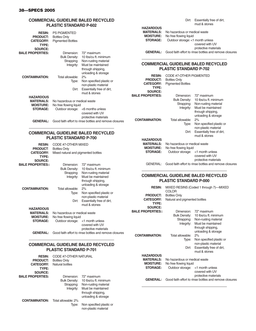#### **COMMERCIAL GUIDELINE BALED RECYCLED PLASTIC STANDARD P-602 RESIN:** PS PIGMENTED **PRODUCT:** Bottles Only **CATEGORY:** Pigmented Bottles **TYPE: SOURCE:**<br>:BALE PROPERTIES **Baltimon:** 72" maximum<br>Bulk Density: 10 lbs/cu ft. m 10 lbs/cu ft. minimum Strapping: Non-rusting material Integrity: Must be maintained through shipping, unloading & storage **CONTAMINATION:** Total allowable: 2% Type: Non specified plastic or non-plastic material Dirt: Essentially free of dirt, mud & stones **HAZARDOUS MATERIALS:** No hazardous or medical waste<br>**MOISTURE:** No free flowing liquid No free flowing liquid **STORAGE:** Outdoor storage: <6 months unless covered with UV protective materials **GENERAL:** Good faith effort to rinse bottles and remove closures **COMMERCIAL GUIDELINE BALED RECYCLED PLASTIC STANDARD P-700 RESIN:** CODE #7-OTHER MIXED **PRODUCT**: Bottles Only **CATEGORY:** Mixed natural and pigmented bottles **TYPE: SOURCE:**<br>::BALE PROPERTIES **Dimension:** 72" maximum Bulk Density: 10 Ibs/cu ft. minimum Strapping: Non-rusting material<br>Integrity: Must be maintained Must be maintained through shipping, unloading & storage **CONTAMINATION:** Total allowable: 2% Type: Non specified plastic or non-plastic material Dirt: Essentially free of dirt, mud & stones Dirt: Essentially free of dirt, mud & stones **HAZARDOUS MATERIALS:** No hazardous or medical waste **MOISTURE:** No free flowing liquid<br>**STORAGE:** Outdoor storage: <1 **Outdoor storage: <1 month unless** covered with UV protective materials **GENERAL:** Good faith effort to rinse bottles and remove closures **COMMERCIAL GUIDELINE BALED RECYCLED PLASTIC STANDARD P-702 RESIN:** CODE #7-OTHER PIGMENTED **PRODUCT:** Bottles Only **CATEGORY:** Pigmented Bottles **TYPE: SOURCE:**<br>**BALE PROPERTIES: Baltimon:** 72" maximum<br>Bulk Density: 10 lbs/cu ft. mi 10 lbs/cu ft. minimum Strapping: Non-rusting material Integrity: Must be maintained through shipping. unloading & storage **CONTAMINATION:** Total allowable: 2% Type: Non specified plastic or non-plastic material Dirt: Essentially free of dirt, mud & stones **HAZARDOUS** No hazardous or medical waste **MOISTURE:** No free flowing liquid<br>**STORAGE:** Outdoor storage: Outdoor storage: <1 month unless covered with UV protective materials GENERAL: Good faith effort to rinse bottles and remove closures **COMMERCIAL GUIDELINE BALED RECYCLED PLASTIC STANDARD P-000 RESIN:** MIXED RESINS (Coded 1 through 7)—MIXED COLOR **PRODUCT:** Bottles Only **CATEGORY:** Natural and pigmented bottles **TYPE: SOURCE:**<br>:: BAI F PROPERTIES

**Dimension:** 72" maximum Bulk Density: 10 Ibs/cu ft. minimum Strapping: Non-rusting material Integrity: Must be maintained through shipping, unloading & storage

No hazardous or medical waste

**GENERAL:** Good faith effort to rinse bottles and remove closures

**STORAGE:** Outdoor storage: <1 month unless

Type: Non specified plastic or non-plastic material Dirt: Essentially free of dirt, mud & stones

> covered with UV protective materials

**CONTAMINATION:** Total allowable: 2%

**MOISTURE:** No free flowing liquid

**HAZARDOUS**

| <b>HAZARDOUS</b>  |                                         |                                                                        |
|-------------------|-----------------------------------------|------------------------------------------------------------------------|
| <b>MATERIALS:</b> | No hazardous or medical waste           |                                                                        |
|                   | <b>MOISTURE:</b> No free flowing liquid |                                                                        |
| <b>STORAGE:</b>   | Outdoor storage: <1 month unless        |                                                                        |
|                   |                                         | covered with UV                                                        |
|                   |                                         | protective materials                                                   |
|                   |                                         | <b>GENERAL:</b> Good faith effort to rinse bottles and remove closures |

# **COMMERCIAL GUIDELINE BALED RECYCLED PLASTIC STANDARD P-701**

| <b>RESIN:</b><br><b>PRODUCT:</b><br><b>CATEGORY:</b><br>TYPE:<br><b>SOURCE:</b> | CODE #7-OTHER NATURAL<br><b>Bottles Only</b><br>Natural bottles |                                                                                                                                |  |  |
|---------------------------------------------------------------------------------|-----------------------------------------------------------------|--------------------------------------------------------------------------------------------------------------------------------|--|--|
| <b>BALE PROPERTIES:</b>                                                         | Dimension:<br><b>Bulk Density:</b><br>Strapping:<br>Integrity:  | 72" maximum<br>10 lbs/cu ft. minimum<br>Non-rusting material<br>Must be maintained<br>through shipping,<br>unloading & storage |  |  |
| <b>CONTAMINATION:</b>                                                           | Total allowable: 2%<br>Type:                                    | Non specified plastic or<br>non-plastic material                                                                               |  |  |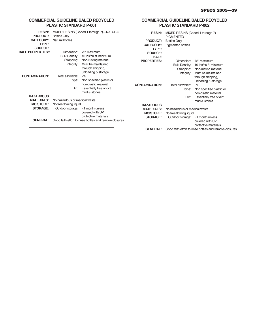**COMMERCIAL GUIDELINE BALED RECYCLED PLASTIC STANDARD P-002**

# **COMMERCIAL GUIDELINE BALED RECYCLED PLASTIC STANDARD P-001**

| <b>RESIN:</b>            |                               | MIXED RESINS (Coded 1 through 7)-NATURAL               | <b>RESIN:</b>         | MIXED RESINS (Coded 1 through 7)- |                                                        |
|--------------------------|-------------------------------|--------------------------------------------------------|-----------------------|-----------------------------------|--------------------------------------------------------|
| <b>PRODUCT:</b>          | <b>Bottles Only</b>           |                                                        |                       | <b>PIGMENTED</b>                  |                                                        |
| <b>CATEGORY:</b>         | Natural bottles               |                                                        | <b>PRODUCT:</b>       | <b>Bottles Only</b>               |                                                        |
| TYPE:                    |                               |                                                        | <b>CATEGORY:</b>      | Pigmented bottles                 |                                                        |
| <b>SOURCE:</b>           |                               |                                                        | TYPE:                 |                                   |                                                        |
| <b>BALE PROPERTIES::</b> | Dimension:                    | 72" maximum                                            | <b>SOURCE:</b>        |                                   |                                                        |
|                          | <b>Bulk Density:</b>          | 10 lbs/cu. ft. minimum                                 | <b>BALE</b>           |                                   |                                                        |
|                          | Strapping:                    | Non-rusting material                                   | <b>PROPERTIES:</b>    | Dimension:                        | 72" maximum                                            |
|                          | Integrity:                    | Must be maintained                                     |                       | <b>Bulk Density:</b>              | 10 lbs/cu ft. minimum                                  |
|                          |                               | through shipping,                                      |                       | Strapping:                        | Non-rusting material                                   |
|                          |                               | unloading & storage                                    |                       | Integrity:                        | Must be maintained                                     |
| <b>CONTAMINATION:</b>    | Total allowable:              | 2%                                                     |                       |                                   | through shipping,                                      |
|                          | Type:                         | Non specified plastic or                               |                       |                                   | unloading & storage                                    |
|                          |                               | non-plastic material                                   | <b>CONTAMINATION:</b> | Total allowable:                  | 2%                                                     |
|                          | Dirt:                         | Essentially free of dirt,                              |                       | Type:                             | Non specified plastic or                               |
|                          |                               | mud & stones                                           |                       |                                   | non-plastic material                                   |
| <b>HAZARDOUS</b>         |                               |                                                        |                       | Dirt:                             | Essentially free of dirt,                              |
| <b>MATERIALS:</b>        | No hazardous or medical waste |                                                        |                       |                                   | mud & stones                                           |
| <b>MOISTURE:</b>         | No free flowing liquid        |                                                        | <b>HAZARDOUS</b>      |                                   |                                                        |
| <b>STORAGE:</b>          | Outdoor storage:              | <1 month unless                                        | <b>MATERIALS:</b>     | No hazardous or medical waste     |                                                        |
|                          |                               | covered with UV                                        | <b>MOISTURE:</b>      | No free flowing liquid            |                                                        |
|                          |                               | protective materials                                   | <b>STORAGE:</b>       | Outdoor storage:                  | <1 month unless                                        |
| <b>GENERAL:</b>          |                               | Good faith effort to rinse bottles and remove closures |                       |                                   | covered with UV                                        |
|                          |                               |                                                        |                       |                                   | protective materials                                   |
|                          |                               |                                                        | <b>GENERAL:</b>       |                                   | Good faith effort to rinse bottles and remove closures |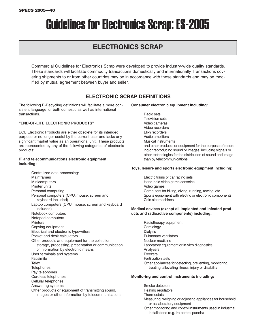# Guidelines for Electronics Scrap: ES-2005

# **ELECTRONICS SCRAP**

Commercial Guidelines for Electronics Scrap were developed to provide industry-wide quality standards. These standards will facilitate commodity transactions domestically and internationally. Transactions covering shipments to or from other countries may be in accordance with these standards and may be modified by mutual agreement between buyer and seller.

# **ELECTRONIC SCRAP DEFINITIONS**

The following E-Recycling definitions will facilitate a more consistent language for both domestic as well as international transactions.

# **"END-OF-LIFE ELECTRONIC PRODUCTS"**

EOL Electronic Products are either obsolete for its intended purpose or no longer useful by the current user and lacks any significant market value as an operational unit. These products are represented by any of the following categories of electronic products:

# **IT and telecommunications electronic equipment including:**

Centralized data processing: Mainframes **Minicomputers** Printer units Personal computing: Personal computers (CPU. mouse, screen and keyboard included) Laptop computers (CPU, mouse, screen and keyboard included) Notebook computers Notepad computers **Printers** Copying equipment Electrical and electronic typewriters Pocket and desk calculators Other products and equipment for the collection, storage, processing, presentation or communication of information by electronic means User terminals and systems Facsimile **Telex Telephones** Pay telephones Cordless telephones Cellular telephones Answering systems Other products or equipment of transmitting sound, images or other information by telecommunications

# **Consumer electronic equipment including:**

Radio sets Television sets Video cameras Video recorders Eli-h recorders Audio amplifiers Musical instruments and other products or equipment for the purpose of recording or reproducing sound or images, including signals or other technologies for the distribution of sound and image than by telecommunications

# **Toys, leisure and sports electronic equipment including:**

Electric trains or car racing sets Hand-held video game consoles Video games Computers for biking, diving, running, rowing, etc. Sports equipment with electric or electronic components Coin slot machines

#### **Medical devices (except all implanted and infected products and radioactive components) including:**

Radiotherapy equipment **Cardiology** Dialysis Pulmonary ventilators Nuclear medicine Laboratory equipment or in-vitro diagnostics Analyzers **Freezers** Fertilization tests Other appliances for detecting, preventing, monitoring, treating, alleviating illness, injury or disability

## **Monitoring and control instruments including:**

Smoke detectors Heating regulators **Thermostats** Measuring, weighing or adjusting appliances for household or as laboratory equipment Other monitoring and control instruments used in industrial installations (e.g. Ira control panels)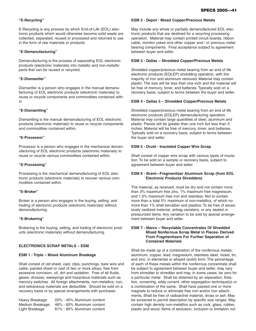# **"E-Recycling"**

E-Recycling is any process by which End-of-Life (EOL) electronic products which would otherwise become solid waste are collected, separated, reused or processed and returned to use in the form of raw materials or products.

#### **"E-Demanufacturing"**

Demanufacturing is the process of separating EOL electronic products (electronic materials) into metallic and non-metallic parts that can be reused or recycled.

## **"E-Dismantler"**

Dismantler is a person who engages in the manual demanufacturing of EOL electronic products (electronic materials) to reuse or recycle components and commodities contained within.

#### **"E-Dismantling"**

Dismantling is the manual demanufacturing of EOL electronic products (electronic materials) to reuse or recycle components and commodities contained within.

#### **"E-Processor"**

Processor is a person who engages in the mechanical demanufacturing of EOL electronic products (electronic materials) to reuse or recycle various commodities contained within.

# **"E-Processing"**

Processing is the mechanical demanufacturing of EOL electronic products (electronic materials) to recover various commodities contained within.

#### **"E-Broker"**

Broker is a person who engages in the buying, selling, and trading of electronic products (electronic materials) without demanufacturing.

#### **"E-Brokering"**

Brokering is the buying, selling, and trading of electronic products (electronic materials) without demanufacturing.

## **ELECTRONICS SCRAP METALS – ESM**

## **ESM 1 - Triple – Mixed Aluminum Breakage**

Shall consist of old sheet, cast, clips, punchings, bare wire and cable, painted sheet or cast of two or more alloys, free from excessive corrosion, oil, dirt and oxidation. Free of all fluids, gases, drosses, sweepings and hazardous materials such as mercury switches. All foreign attachments, non-metallics, iron, and extraneous materials are deductible. Should be sold on a recovery basis or by special arrangements with purchaser.

| Heavy Breakage:  | 20% - 45% Aluminum content |
|------------------|----------------------------|
| Medium Breakage: | 46% - 60% Aluminum content |
| Light Breakage:  | 61% - 80% Aluminum content |

# **ESM 2 - Depot - Mixed Copper/Precious Metals**

May include any whole or partially demanufactured EOL electronic products that are destined for a recycling processing operation. Material may contain printed circuit boards, ribbon cable, monitor yokes and other copper and / or precious metal bearing components. Final acceptance subject to agreement between buyer and seller.

#### **ESM 3 - Dallas – Shredded Copper/Precious Metals**

Shredded copper/precious metal bearing from an end of life electronic products (EOLEP) shredding operation, with the majority of iron and aluminum removed. Material may contain plastic. The size will be less than one inch and the material will be free of mercury, toner, and batteries. Typically sold on a recovery basis, subject to terms between the buyer and seller.

#### **ESM 4 - Dallas 5 – Shredded Copper/Precious Metals**

Shredded copper/precious metal bearing from an end of life electronic products (EOLEP) demanufacturing operation. Material may contain large quantities of steel, aluminum and plastic. Pieces will be greater than one inch but less than 5 inches. Material will be free of mercury, toner, and batteries. Typically sold on a recovery basis, subject to terms between the buyer and seller.

#### **ESM 5 - Druid - Insulated Copper Wire Scrap**

Shall consist of copper wire scrap with various types of insulation. To be sold on a sample or recovery basis, subject to agreement between buyer and seller.

## **ESM 6 - Brant—Fragmentizer Aluminum Scrap (from EOL Electronic Products Shredders)**

The material, as received, must be dry and not contain more than 3% maximum free zinc, 1% maximum free magnesium, and 1.5% maximum free iron and stainless. Not to contain more than a total 5% maximum of non-metallics, of which no more than 1% shall berubber and plastics. To be free of excessively oxidized material, airbag canisters, or any sealed or pressurized items. Any variation to be sold by special arrangement between buyer and seller.

## **ESM 7 - Marco – Recyclable Concentrates Of Shredded Mixed Nonferrous Scrap Metal in Pieces- Derived From Fragmentizers For Further Separation of Contained Materials**

Shall be made up of a combination of the nonferrous metals: aluminum, copper, lead, magnesium, stainless steel, nickel, tin, and zinc, in elemental or alloyed (solid) form. The percentage of each of these metals within the nonferrous concentrate shall be subject to agreement between buyer and seller, may vary from shredder to shredder and may, in some cases, be zero for a particular metal. Shall be obtained by air separation, flotation, screening, eddy current, other segregation technique(s) or a combination of the same. Shall have passed one or more magnets to reduce or eliminate free iron and/or iron attachments. Shall be free of radioactive material, dross or ash. May be screened to permit description by specific size ranges. May contain high density non-metallics such as rock, glass, rubber, plastic and wood. Items of exclusion, inclusion or limitation not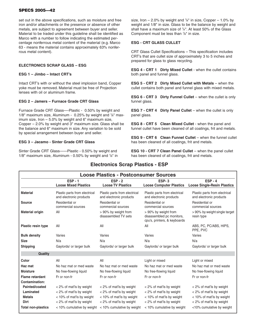# **SPECS 2005—42**

set out in the above specifications, such as moisture and free iron and/or attachments or the presence or absence of other metals, are subject to agreement between buyer and seller. Material to be traded under this guideline shall be identified as Marco with a number to follow indicating the estimated percentage nonferrous metal content of the material (e.g. Marco 63 - means the material contains approximately 63% nonferrous metal content).

# **ELECTRONICS SCRAP GLASS – ESG**

# **ESG 1 – Jimbo – Intact CRT's**

Intact CRT's with or without the steel implosion band, Copper yoke must be removed. Material must be free of Projection lenses with oil or aluminum frame.

## **ESG 2 – Jamers – Furnace Grade CRT Glass**

Furnace Grade CRT Glass—-Plastic - 0.50% by weight and  $1/8$ " maximum size, Aluminum - 0.25% by weight and  $\frac{1}{8}$ " maximum size, Iron – 5.0% by weight and 6" maximum size, Copper – 2.0% by weight and 3" maximum size. Glass shall be the balance and 6" maximum in size. Any variation to be sold by special arrangement between buyer and seller.

# **ESG 3 – Jacamo - Sinter Grade CRT Glass**

Sinter Grade CRT Glass——Plastic - 0.50% by weight and 1/8" maximum size, Aluminum - 0.50% by weight and 1 /8" in

size, Iron – 2.0% by weight and  $\frac{1}{8}$ " in size, Copper – 1.0% by weight and 1/8" in size. Glass to be the balance by weight and shall have a maximum size of 1 /4". At least 50% of the Glass Component must be less than  $\frac{1}{8}$ " in size.

# **ESG - CRT GLASS CULLET**

CRT Glass Cullet Specifications – This specification includes CRT's that are cullet size of approximately 3 to 5 inches and prepared for glass to glass recycling.

**ESG 4 - CRT 1 Dirty Mixed Cullet** - when the cullet contains both panel and funnel glass.

**ESG 5 - CRT 2 Dirty Mixed Cullet with Metals** – when the cullet contains both panel and funnel glass with mixed metals.

**ESG 6 - CRT 3 Dirty Funnel Cullet** – when the cullet is only funnel glass.

**ESG 7 - CRT 4 Dirty Panel Cullet** – when the cullet is only panel glass.

**ESG 8 - CRT 5 Clean Mixed Cullet - when the panel and** funnel cullet have been cleaned of all coatings, frit and metals.

**ESG 9 - CRT 6 Clean Funnel Cullet** – when the funnel cullet has been cleaned of all coatings, frit and metals.

**ESG 10 - CRT 7 Clean Panel Cullet** – when the panel cullet has been cleaned of all coatings, frit and metals.

| <b>Loose Plastics - Postconsumer Sources</b> |                                                          |                                                          |                                                                                   |                                                          |  |
|----------------------------------------------|----------------------------------------------------------|----------------------------------------------------------|-----------------------------------------------------------------------------------|----------------------------------------------------------|--|
|                                              | $ESP - 1$<br><b>Loose Mixed Plastics</b>                 | $ESP - 2$<br><b>Loose TV Plastics</b>                    | $ESP-3$<br><b>Loose Computer Plastics</b>                                         | $ESP - 4$<br><b>Loose Single-Resin Plastics</b>          |  |
| <b>Material</b>                              | Plastic parts from electrical<br>and electronic products | Plastic parts from electrical<br>and electronic products | Plastic parts from electrical<br>and electronic products                          | Plastic parts from electrical<br>and electronic products |  |
| <b>Source</b>                                | Residential or<br>commercial sources                     | Residential or<br>commercial sources                     | Residential or<br>commercial sources                                              | Residential or<br>commercial sources                     |  |
| <b>Material origin</b>                       | All                                                      | > 90% by weight from<br>disassembled TV sets             | > 90% by weight from<br>disassembled pc monitors,<br>cpu's, printers, & keyboards | >90% by weight single target<br>resin type               |  |
| <b>Plastic resin type</b>                    | All                                                      | All                                                      | All                                                                               | ABS, PC, PC/ABS, HIPS,<br>PPE. PVC                       |  |
| <b>Bulk density</b>                          | Varies                                                   | Varies                                                   | Varies                                                                            | Varies                                                   |  |
| <b>Size</b>                                  | N/a                                                      | N/a                                                      | N/a                                                                               | N/a                                                      |  |
| <b>Shipping</b>                              | Gaylords/ or larger bulk                                 | Gaylords/ or larger bulk                                 | Gaylords/ or larger bulk                                                          | Gaylords/ or larger bulk                                 |  |
| Quality                                      |                                                          |                                                          |                                                                                   |                                                          |  |
| Color                                        | All                                                      | All                                                      | Light or mixed                                                                    | Light or mixed                                           |  |
| Haz mat                                      | No haz mat or med waste                                  | No haz mat or med waste                                  | No haz mat or med waste                                                           | No haz mat or med waste                                  |  |
| <b>Moisture</b>                              | No free-flowing liquid                                   | No free-flowing liquid                                   | No free-flowing liquid                                                            | No free-flowing liquid                                   |  |
| <b>Flame retardant</b>                       | Fr or non-fr                                             | Fr or non-fr                                             | Fr or non-fr                                                                      | Fr or non-fr                                             |  |
| Contamination:                               |                                                          |                                                          |                                                                                   |                                                          |  |
| Painted/coated                               | < 2% of mat'ls by weight                                 | < 2% of mat'ls by weight                                 | < 2% of mat'ls by weight                                                          | < 2% of mat'ls by weight                                 |  |
| Laminated                                    | < 2% of mat'ls by weight                                 | < 2% of mat'ls by weight                                 | < 2% of mat'ls by weight                                                          | < 2% of mat'ls by weight                                 |  |
| <b>Metals</b>                                | < 10% of mat'ls by weight                                | < 10% of mat'ls by weight                                | < 10% of mat'ls by weight                                                         | < 10% of mat'ls by weight                                |  |
| <b>Dirt</b>                                  | < 2% of mat'ls by weight                                 | < 2% of mat'ls by weight                                 | < 2% of mat'ls by weight                                                          | < 2% of mat'ls by weight                                 |  |
| <b>Total non-plastics</b>                    | < 10% cumulative by weight                               | < 10% cumulative by weight                               | < 10% cumulative by weight                                                        | <10% cumulative by weight                                |  |

# **Electronics Scrap Plastics - ESP**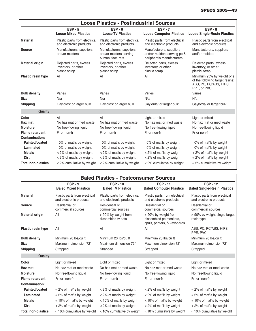|                           | <b>Loose Plastics - Postindustrial Sources</b>                 |                                                                        |                                                                                      |                                                                                                       |
|---------------------------|----------------------------------------------------------------|------------------------------------------------------------------------|--------------------------------------------------------------------------------------|-------------------------------------------------------------------------------------------------------|
|                           | $ESP - 5$                                                      | $ESP - 6$                                                              | $ESP - 7$                                                                            | $ESP - 8$                                                                                             |
|                           | <b>Loose Mixed Plastics</b>                                    | <b>Loose TV Plastics</b>                                               | <b>Loose Computer Plastics</b>                                                       | <b>Loose Single-Resin Plastics</b>                                                                    |
| <b>Material</b>           | Plastic parts from electrical<br>and electronic products       | Plastic parts from electrical<br>and electronic products               | Plastic parts from electrical<br>and electronic products                             | Plastic parts from electrical<br>and electronic products                                              |
| <b>Source</b>             | Manufacturers, suppliers<br>and/or molders                     | Manufacturers, suppliers<br>and/or molders serving<br>ty manufacturers | Manufacturers, suppliers<br>and/or molders serving pc &<br>peripherals manufacturers | Manufacturers, suppliers<br>and/or molders                                                            |
| <b>Material origin</b>    | Rejected parts, excess<br>inventory, or other<br>plastic scrap | Rejected parts, excess<br>inventory, or other<br>plastic scrap         | Rejected parts, excess<br>inventory, or other<br>plastic scrap                       | Rejected parts, excess<br>inventory, or other<br>plastic scrap                                        |
| <b>Plastic resin type</b> | All                                                            | All                                                                    | All                                                                                  | Minimum 95% by weight one<br>of the following target resins:<br>ABS, PC, PC/ABS, HIPS,<br>PPE, or PVC |
| <b>Bulk density</b>       | Varies                                                         | Varies                                                                 | Varies                                                                               | Varies                                                                                                |
| <b>Size</b>               | N/a                                                            | N/a                                                                    | N/a                                                                                  | N/a                                                                                                   |
| <b>Shipping</b>           | Gaylords/ or larger bulk                                       | Gaylords/ or larger bulk                                               | Gaylords/ or larger bulk                                                             | Gaylords/ or larger bulk                                                                              |
| Quality                   |                                                                |                                                                        |                                                                                      |                                                                                                       |
| Color                     | All                                                            | All                                                                    | Light or mixed                                                                       | Light or mixed                                                                                        |
| Haz mat                   | No haz mat or med waste                                        | No haz mat or med waste                                                | No haz mat or med waste                                                              | No haz mat or med waste                                                                               |
| <b>Moisture</b>           | No free-flowing liquid                                         | No free-flowing liquid                                                 | No free-flowing liquid                                                               | No free-flowing liquid                                                                                |
| <b>Flame retardant</b>    | Fr or non-fr                                                   | Fr or non-fr                                                           | Fr or non-fr                                                                         | Fr or non-fr                                                                                          |
| Contamination:            |                                                                |                                                                        |                                                                                      |                                                                                                       |
| Painted/coated            | 0% of mat'ls by weight                                         | 0% of mat'ls by weight                                                 | 0% of mat'ls by weight                                                               | 0% of mat'ls by weight                                                                                |
| Laminated                 | 0% of mat'ls by weight                                         | 0% of mat'ls by weight                                                 | 0% of mat'ls by weight                                                               | 0% of mat'ls by weight                                                                                |
| <b>Metals</b>             | < 2% of mat'ls by weight                                       | < 2% of mat'ls by weight                                               | < 2% of mat'ls by weight                                                             | < 2% of mat'ls by weight                                                                              |
| <b>Dirt</b>               | < 2% of mat'ls by weight                                       | < 2% of mat'ls by weight                                               | < 2% of mat'ls by weight                                                             | < 2% of mat'ls by weight                                                                              |
| <b>Total non-plastics</b> | < 2% cumulative by weight                                      | < 2% cumulative by weight                                              | < 2% cumulative by weight                                                            | < 2% cumulative by weight                                                                             |

ı

| <b>Baled Plastics - Postconsumer Sources</b> |                                                          |                                                          |                                                                                 |                                                          |
|----------------------------------------------|----------------------------------------------------------|----------------------------------------------------------|---------------------------------------------------------------------------------|----------------------------------------------------------|
|                                              | $ESP - 9$<br><b>Baled Mixed Plastics</b>                 | <b>ESP - 10</b><br><b>Baled TV Plastics</b>              | <b>ESP-11</b><br><b>Baled Computer Plastics</b>                                 | <b>ESP - 12</b><br><b>Baled Single-Resin Plastics</b>    |
| <b>Material</b>                              | Plastic parts from electrical<br>and electronic products | Plastic parts from electrical<br>and electronic products | Plastic parts from electrical<br>and electronic products                        | Plastic parts from electrical<br>and electronic products |
| <b>Source</b>                                | Residential or<br>commercial sources                     | Residential or<br>commercial sources                     | Residential or<br>commercial sources                                            | Residential or<br>commercial sources                     |
| <b>Material origin</b>                       | All                                                      | > 90% by weight from<br>dissembled tv sets               | > 90% by weight from<br>dissembled pc monitors,<br>cpu's, printers, & keyboards | > 90% by weight single target<br>resin type              |
| <b>Plastic resin type</b>                    | All                                                      | All                                                      | All                                                                             | ABS, PC, PC/ABS, HIPS,<br>PPE, PVC                       |
| <b>Bulk density</b>                          | Minimum 20 lbs/cu ft                                     | Minimum 20 lbs/cu ft                                     | Minimum 20 lbs/cu ft                                                            | Minimum 20 lbs/cu ft                                     |
| <b>Size</b>                                  | Maximum dimension 72"                                    | Maximum dimension 72"                                    | Maximum dimension 72"                                                           | Maximum dimension 72"                                    |
| <b>Shipping</b>                              | Strapped                                                 | Strapped                                                 | Strapped                                                                        | Strapped                                                 |
| Quality                                      |                                                          |                                                          |                                                                                 |                                                          |
| Color                                        | Light or mixed                                           | Light or mixed                                           | Light or mixed                                                                  | Light or mixed                                           |
| Haz mat                                      | No haz mat or med waste                                  | No haz mat or med waste                                  | No haz mat or med waste                                                         | No haz mat or med waste                                  |
| <b>Moisture</b>                              | No free-flowing liquid                                   | No free-flowing liquid                                   | No free-flowing liquid                                                          | No free-flowing liquid                                   |
| <b>Flame retardant</b>                       | Fr or non-fr                                             | Fr or non-fr                                             | Fr or non-fr                                                                    | Fr or non-fr                                             |
| Contamination:                               |                                                          |                                                          |                                                                                 |                                                          |
| Painted/coated                               | < 2% of mat'ls by weight                                 | < 2% of mat'ls by weight                                 | < 2% of mat'ls by weight                                                        | < 2% of mat'ls by weight                                 |
| Laminated                                    | < 2% of mat'ls by weight                                 | < 2% of mat'ls by weight                                 | < 2% of mat'ls by weight                                                        | < 2% of mat'ls by weight                                 |
| <b>Metals</b>                                | < 10% of mat'ls by weight                                | < 10% of mat'ls by weight                                | < 10% of mat'ls by weight                                                       | < 10% of mat'ls by weight                                |
| <b>Dirt</b>                                  | < 2% of mat'ls by weight                                 | < 2% of mat'ls by weight                                 | < 2% of mat'ls by weight                                                        | < 2% of mat'ls by weight                                 |
| <b>Total non-plastics</b>                    | < 10% cumulative by weight                               | < 10% cumulative by weight                               | < 10% cumulative by weight                                                      | < 10% cumulative by weight                               |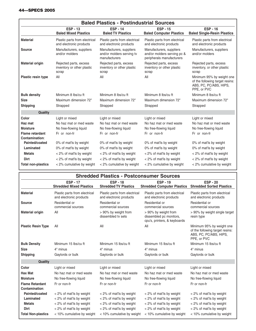$\overline{\phantom{a}}$ 

| <b>Baled Plastics - Postindustrial Sources</b>  |                                                               |                                                                        |                                                                                      |                                                                                                       |
|-------------------------------------------------|---------------------------------------------------------------|------------------------------------------------------------------------|--------------------------------------------------------------------------------------|-------------------------------------------------------------------------------------------------------|
|                                                 | <b>ESP - 13</b><br><b>Baled Mixed Plastics</b>                | <b>ESP - 14</b><br><b>Baled TV Plastics</b>                            | <b>ESP - 15</b><br><b>Baled Computer Plastics</b>                                    | <b>ESP - 16</b><br><b>Baled Single-Resin Plastics</b>                                                 |
| <b>Material</b>                                 | Plastic parts from electrical<br>and electronic products      | Plastic parts from electrical<br>and electronic products               | Plastic parts from electrical<br>and electronic products                             | Plastic parts from electrical<br>and electronic products                                              |
| <b>Source</b>                                   | Manufacturers, suppliers<br>and/or molders                    | Manufacturers, suppliers<br>and/or molders serving tv<br>manufacturers | Manufacturers, suppliers<br>and/or molders serving pc &<br>peripherals manufacturers | Manufacturers, suppliers<br>and/or molders                                                            |
| <b>Material origin</b>                          | Rejected parts, excess<br>inventory or other plastic<br>scrap | Rejected parts, excess<br>inventory or other plastic<br>scrap          | Rejected parts, excess<br>inventory or other plastic<br>scrap                        | Rejected parts, excess<br>inventory, or other plastic<br>scrap                                        |
| Plastic resin type                              | All                                                           | All                                                                    | All                                                                                  | Minimum 95% by weight one<br>of the following target resins:<br>ABS, PC, PC/ABS, HIPS,<br>PPE. or PVC |
| <b>Bulk density</b>                             | Minimum 8 lbs/cu ft                                           | Minimum 8 lbs/cu ft                                                    | Minimum 8 lbs/cu ft                                                                  | Minimum 8 lbs/cu ft                                                                                   |
| <b>Size</b>                                     | Maximum dimension 72"                                         | Maximum dimension 72"                                                  | Maximum dimension 72"                                                                | Maximum dimension 72"                                                                                 |
| <b>Shipping</b>                                 | Strapped                                                      | Strapped                                                               | Strapped                                                                             | Strapped                                                                                              |
| Quality                                         |                                                               |                                                                        |                                                                                      |                                                                                                       |
| Color                                           | Light or mixed                                                | Light or mixed                                                         | Light or mixed                                                                       | Light or mixed                                                                                        |
| Haz mat                                         | No haz mat or med waste                                       | No haz mat or med waste                                                | No haz mat or med waste                                                              | No haz mat or med waste                                                                               |
| <b>Moisture</b>                                 | No free-flowing liquid                                        | No free-flowing liquid                                                 | No free-flowing liquid                                                               | No free-flowing liquid                                                                                |
| <b>Flame retardant</b><br><b>Contamination:</b> | Fr or non-fr                                                  | Fr or non-fr                                                           | Fr or non-fr                                                                         | Fr or non-fr                                                                                          |
| Painted/coated                                  | 0% of mat'ls by weight                                        | 0% of mat'ls by weight                                                 | 0% of mat'ls by weight                                                               | 0% of mat'ls by weight                                                                                |
| Laminated                                       | 0% of mat'ls by weight                                        | 0% of mat'ls by weight                                                 | 0% of mat'ls by weight                                                               | 0% of mat'ls by weight                                                                                |
| <b>Metals</b>                                   | < 2% of mat'ls by weight                                      | < 2% of mat'ls by weight                                               | < 2% of mat'ls by weight                                                             | < 2% of mat'ls by weight                                                                              |
| <b>Dirt</b>                                     | < 2% of mat'ls by weight                                      | < 2% of mat'ls by weight                                               | < 2% of mat'ls by weight                                                             | < 2% of mat'ls by weight                                                                              |
| <b>Total non-plastics</b>                       | < 2% cumulative by weight                                     | < 2% cumulative by weight                                              | < 2% cumulative by weight                                                            | < 2% cumulative by weight                                                                             |

| <b>Shredded Plastics - Postconsumer Sources</b> |                                                          |                                                          |                                                                                 |                                                                                                       |
|-------------------------------------------------|----------------------------------------------------------|----------------------------------------------------------|---------------------------------------------------------------------------------|-------------------------------------------------------------------------------------------------------|
|                                                 | <b>ESP - 17</b><br><b>Shredded Mixed Plastics</b>        | <b>ESP - 18</b><br><b>Shredded TV Plastics</b>           | <b>ESP - 19</b><br><b>Shredded Computer Plastics</b>                            | <b>ESP - 20</b><br><b>Shredded Sorted Plastics</b>                                                    |
| <b>Material</b>                                 | Plastic parts from electrical<br>and electronic products | Plastic parts from electrical<br>and electronic products | Plastic parts from electrical<br>and electronic products                        | Plastic parts from electrical<br>and electronic products                                              |
| <b>Source</b>                                   | Residential or<br>commercial sources                     | Residential or<br>commercial sources                     | Residential or<br>commercial sources                                            | Residential or<br>commercial sources                                                                  |
| <b>Material origin</b>                          | All                                                      | > 90% by weight from<br>dissembled tv sets               | > 90% by weight from<br>dissembled pc monitors,<br>cpu's, printers, & keyboards | > 90% by weight single target<br>resin type                                                           |
| <b>Plastic Resin Type</b>                       | All                                                      | All                                                      | All                                                                             | Minimum 95% by weight one<br>of the following target resins:<br>ABS, PC, PC/ABS, HIPS,<br>PPE, or PVC |
| <b>Bulk Density</b>                             | Minimum 15 lbs/cu ft                                     | Minimum 15 lbs/cu ft                                     | Minimum 15 lbs/cu ft                                                            | Minimum 15 lbs/cu ft                                                                                  |
| <b>Size</b>                                     | 4" minus                                                 | 4" minus                                                 | 4" minus                                                                        | 4" minus                                                                                              |
| <b>Shipping</b>                                 | Gaylords or bulk                                         | Gaylords or bulk                                         | Gaylords or bulk                                                                | Gaylords or bulk                                                                                      |
| Quality                                         |                                                          |                                                          |                                                                                 |                                                                                                       |
| Color                                           | Light or mixed                                           | Light or mixed                                           | Light or mixed                                                                  | Light or mixed                                                                                        |
| <b>Hax Mat</b>                                  | No haz mat or med waste                                  | No haz mat or med waste                                  | No haz mat or med waste                                                         | No haz mat or med waste                                                                               |
| <b>Moisture</b>                                 | No free-flowing liquid                                   | No free-flowing liquid                                   | No free-flowing liquid                                                          | No free-flowing liquid                                                                                |
| <b>Flame Retardant</b><br>Contamination:        | Fr or non-fr                                             | Fr or non-fr                                             | Fr or non-fr                                                                    | Fr or non-fr                                                                                          |
| <b>Painted/coated</b>                           | < 2% of mat'ls by weight                                 | < 2% of mat'ls by weight                                 | < 2% of mat'ls by weight                                                        | < 2% of mat'ls by weight                                                                              |
| Laminated                                       | < 2% of mat'ls by weight                                 | < 2% of mat'ls by weight                                 | < 2% of mat'ls by weight                                                        | < 2% of mat'ls by weight                                                                              |
| <b>Metals</b>                                   | < 2% of mat'ls by weight                                 | < 2% of mat'ls by weight                                 | < 2% of mat'ls by weight                                                        | < 2% of mat'ls by weight                                                                              |
| <b>Dirt</b>                                     | < 2% of mat'ls by weight                                 | < 2% of mat'ls by weight                                 | < 2% of mat'ls by weight                                                        | < 2% of mat'ls by weight                                                                              |
| <b>Total Non-plastics</b>                       | < 10% cumulative by weight                               | < 10% cumulative by weight                               | < 10% cumulative by weight                                                      | < 10% cumulative by weight                                                                            |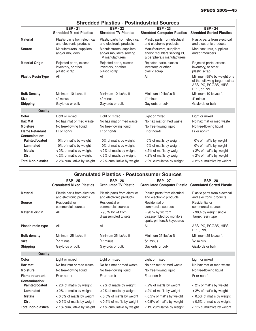|                                          | <b>Shredded Plastics - Postindustrial Sources</b>              |                                                                         |                                                                                       |                                                                                                       |  |
|------------------------------------------|----------------------------------------------------------------|-------------------------------------------------------------------------|---------------------------------------------------------------------------------------|-------------------------------------------------------------------------------------------------------|--|
|                                          | <b>ESP - 21</b><br><b>Shredded Mixed Plastics</b>              | <b>ESP - 22</b><br><b>Shredded TV Plastics</b>                          | <b>ESP - 23</b><br><b>Shredded Computer Plastics</b>                                  | <b>ESP - 24</b><br><b>Shredded Sorted Plastics</b>                                                    |  |
| <b>Material</b>                          | Plastic parts from electrical<br>and electronic products       | Plastic parts from electrical<br>and electronic products                | Plastic parts from electrical<br>and electronic products                              | Plastic parts from electrical<br>and electronic products                                              |  |
| <b>Source</b>                            | Manufacturers, suppliers<br>and/or moulders                    | Manufacturers, suppliers<br>and/or moulders serving<br>TV manufacturers | Manufacturers, suppliers<br>and/or moulders serving PC<br>& peripherals manufacturers | Manufacturers, suppliers<br>and/or moulders                                                           |  |
| <b>Material Origin</b>                   | Rejected parts, excess<br>inventory, or other<br>plastic scrap | Rejected parts, excess<br>inventory, or other<br>plastic scrap          | Rejected parts, excess<br>inventory, or other<br>plastic scrap                        | Rejected parts, excess<br>inventory, or other<br>plastic scrap                                        |  |
| <b>Plastic Resin Type</b>                | All                                                            | All                                                                     | All                                                                                   | Minimum 95% by weight one<br>of the following target resins:<br>ABS, PC, PC/ABS, HIPS,<br>PPE, or PVC |  |
| <b>Bulk Density</b>                      | Minimum 10 lbs/cu ft                                           | Minimum 10 lbs/cu ft                                                    | Minimum 10 lbs/cu ft                                                                  | Minimum 10 lbs/cu ft                                                                                  |  |
| <b>Size</b>                              | 4" minus                                                       | 4" minus                                                                | 4" minus                                                                              | 4" minus                                                                                              |  |
| <b>Shipping</b>                          | Gaylords or bulk                                               | Gaylords or bulk                                                        | Gaylords or bulk                                                                      | Gaylords or bulk                                                                                      |  |
| Quality                                  |                                                                |                                                                         |                                                                                       |                                                                                                       |  |
| Color                                    | Light or mixed                                                 | Light or mixed                                                          | Light or mixed                                                                        | Light or mixed                                                                                        |  |
| <b>Hax Mat</b>                           | No haz mat or med waste                                        | No haz mat or med waste                                                 | No haz mat or med waste                                                               | No haz mat or med waste                                                                               |  |
| <b>Moisture</b>                          | No free-flowing liquid                                         | No free-flowing liquid                                                  | No free-flowing liquid                                                                | No free-flowing liquid                                                                                |  |
| <b>Flame Retardant</b><br>Contamination: | Fr or non-fr                                                   | Fr or non-fr                                                            | Fr or non-fr                                                                          | Fr or non-fr                                                                                          |  |
| Painted/coated                           | 0% of mat'ls by weight                                         | 0% of mat'ls by weight                                                  | 0% of mat'ls by weight                                                                | 0% of mat'ls by weight                                                                                |  |
| Laminated                                | 0% of mat'ls by weight                                         | 0% of mat'ls by weight                                                  | 0% of mat'ls by weight                                                                | 0% of mat'ls by weight                                                                                |  |
| <b>Metals</b>                            | < 2% of mat'ls by weight                                       | < 2% of mat'ls by weight                                                | < 2% of mat'ls by weight                                                              | < 2% of mat'ls by weight                                                                              |  |
| <b>Dirt</b>                              | < 2% of mat'ls by weight                                       | < 2% of mat'ls by weight                                                | < 2% of mat'ls by weight                                                              | < 2% of mat'ls by weight                                                                              |  |
| <b>Total Non-plastics</b>                | < 2% cumulative by weight                                      | < 2% cumulative by weight                                               | < 2% cumulative by weight                                                             | < 2% cumulative by weight                                                                             |  |

| <b>Granulated Plastics - Postconsumer Sources</b> |                                                          |                                                          |                                                                                  |                                                          |  |
|---------------------------------------------------|----------------------------------------------------------|----------------------------------------------------------|----------------------------------------------------------------------------------|----------------------------------------------------------|--|
|                                                   | <b>ESP - 25</b><br><b>Granulated Mixed Plastics</b>      | <b>ESP - 26</b><br><b>Granulated TV Plastic</b>          | <b>ESP - 27</b><br><b>Granulated Computer Plastic</b>                            | <b>ESP - 28</b><br><b>Granulated Sorted Plastic</b>      |  |
| <b>Material</b>                                   | Plastic parts from electrical<br>and electronic products | Plastic parts from electrical<br>and electronic products | Plastic parts from electrical<br>and electronic products                         | Plastic parts from electrical<br>and electronic products |  |
| <b>Source</b>                                     | Residential or<br>commercial sources                     | Residential or<br>commercial sources                     | Residential or<br>commercial sources                                             | Residential or<br>commercial sources                     |  |
| <b>Material origin</b>                            | All                                                      | $> 90$ % by wt from<br>disassembled tv sets              | $> 90$ % by wt from<br>disassembled pc monitors,<br>cpu's, printers, & keyboards | > 90% by weight single<br>target resin type              |  |
| <b>Plastic resin type</b>                         | All                                                      | All                                                      | All                                                                              | ABS, PC, PC/ABS, HIPS,<br>PPE, PVC                       |  |
| <b>Bulk density</b>                               | Minimum 25 lbs/cu ft                                     | Minimum 25 lbs/cu ft                                     | Minimum 25 lbs/cu ft                                                             | Minimum 25 lbs/cu ft                                     |  |
| <b>Size</b>                                       | $\frac{3}{8}$ " minus                                    | $\frac{3}{8}$ " minus                                    | $\frac{3}{8}$ " minus                                                            | $\frac{3}{8}$ " minus                                    |  |
| <b>Shipping</b>                                   | Gaylords or bulk                                         | Gaylords or bulk                                         | Gaylords or bulk                                                                 | Gaylords or bulk                                         |  |
| Quality                                           |                                                          |                                                          |                                                                                  |                                                          |  |
| Color                                             | Light or mixed                                           | Light or mixed                                           | Light or mixed                                                                   | Light or mixed                                           |  |
| Haz mat                                           | No haz mat or med waste                                  | No haz mat or med waste                                  | No haz mat or med waste                                                          | No haz mat or med waste                                  |  |
| <b>Moisture</b>                                   | No free-flowing liquid                                   | No free-flowing liquid                                   | No free-flowing liquid                                                           | No free-flowing liquid                                   |  |
| <b>Flame retardant</b>                            | Fr or non-fr                                             | Fr or non-fr                                             | Fr or non-fr                                                                     | Fr or non-fr                                             |  |
| Contamination:<br>Painted/coated                  | < 2% of mat'ls by weight                                 | < 2% of mat'ls by weight                                 | < 2% of mat'ls by weight                                                         | < 2% of mat'ls by weight                                 |  |
| Laminated                                         | < 2% of mat'ls by weight                                 | < 2% of mat'ls by weight                                 | < 2% of mat'ls by weight                                                         | < 2% of mat'ls by weight                                 |  |
| <b>Metals</b>                                     | < 0.5% of mat'ls by weight                               | < 0.5% of mat'ls by weight                               | < 0.5% of mat'ls by weight                                                       | < 0.5% of mat'ls by weight                               |  |
| <b>Dirt</b>                                       | $< 0.5\%$ of mat'ls by weight                            | $< 0.5\%$ of mat'ls by weight                            | $< 0.5\%$ of mat'ls by weight                                                    | $< 0.5\%$ of mat'ls by weight                            |  |
| <b>Total non-plastics</b>                         | $<$ 1% cumulative by weight                              | < 1% cumulative by weight                                | < 1% cumulative by weight                                                        | < 1% cumulative by weight                                |  |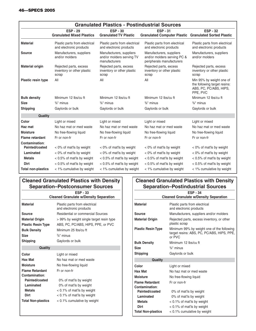| <b>Granulated Plastics - Postindustrial Sources</b> |                                                               |                                                                        |                                                                                      |                                                                                                |  |
|-----------------------------------------------------|---------------------------------------------------------------|------------------------------------------------------------------------|--------------------------------------------------------------------------------------|------------------------------------------------------------------------------------------------|--|
|                                                     | <b>ESP - 29</b><br><b>Granulated Mixed Plastics</b>           | <b>ESP - 30</b><br><b>Granulated TV Plastic</b>                        | <b>ESP - 31</b><br><b>Granulated Computer Plastic Granulated Sorted Plastic</b>      | <b>ESP - 32</b>                                                                                |  |
| <b>Material</b>                                     | Plastic parts from electrical<br>and electronic products      | Plastic parts from electrical<br>and electronic products               | Plastic parts from electrical<br>and electronic products                             | Plastic parts from electrical<br>and electronic products                                       |  |
| <b>Source</b>                                       | Manufacturers, suppliers<br>and/or molders                    | Manufacturers, suppliers<br>and/or molders serving TV<br>manufacturers | Manufacturers, suppliers<br>and/or molders serving PC &<br>peripherals manufacturers | Manufacturers, suppliers<br>and/or molders                                                     |  |
| <b>Material origin</b>                              | Rejected parts, excess<br>inventory or other plastic<br>scrap | Rejected parts, excess<br>inventory or other plastic<br>scrap          | Rejected parts, excess<br>inventory or other plastic<br>scrap                        | Rejected parts, excess<br>inventory or other plastic<br>scrap                                  |  |
| <b>Plastic resin type</b>                           | All                                                           | All                                                                    | All                                                                                  | Min 95% by weight one of<br>the following target resins:<br>ABS, PC, PC/ABS, HIPS,<br>PPE, PVC |  |
| <b>Bulk density</b>                                 | Minimum 12 lbs/cu ft                                          | Minimum 12 lbs/cu ft                                                   | Minimum 12 lbs/cu ft                                                                 | Minimum 12 lbs/cu ft                                                                           |  |
| <b>Size</b>                                         | $\frac{3}{8}$ " minus                                         | $\frac{3}{8}$ " minus                                                  | $\frac{3}{8}$ " minus                                                                | $\frac{3}{8}$ " minus                                                                          |  |
| <b>Shipping</b>                                     | Gaylords or bulk                                              | Gaylords or bulk                                                       | Gaylords or bulk                                                                     | Gaylords or bulk                                                                               |  |
| Quality                                             |                                                               |                                                                        |                                                                                      |                                                                                                |  |
| Color                                               | Light or mixed                                                | Light or mixed                                                         | Light or mixed                                                                       | Light or mixed                                                                                 |  |
| Haz mat                                             | No haz mat or med waste                                       | No haz mat or med waste                                                | No haz mat or med waste                                                              | No haz mat or med waste                                                                        |  |
| <b>Moisture</b>                                     | No free-flowing liquid                                        | No free-flowing liquid                                                 | No free-flowing liquid                                                               | No free-flowing liquid                                                                         |  |
| <b>Flame retardant</b>                              | Fr or non-fr                                                  | Fr or non-fr                                                           | Fr or non-fr                                                                         | Fr or non-fr                                                                                   |  |
| Contamination:<br>Painted/coated                    | < 0% of mat'ls by weight                                      | < 0% of mat'ls by weight                                               | < 0% of mat'ls by weight                                                             | < 0% of mat'ls by weight                                                                       |  |
| Laminated                                           | < 0% of mat'ls by weight                                      | < 0% of mat'ls by weight                                               | < 0% of mat'ls by weight                                                             | < 0% of mat'ls by weight                                                                       |  |
| <b>Metals</b>                                       | < 0.5% of mat'ls by weight                                    | < 0.5% of mat'ls by weight                                             | < 0.5% of mat'ls by weight                                                           | < 0.5% of mat'ls by weight                                                                     |  |
| <b>Dirt</b>                                         | < 0.5% of mat'ls by weight                                    | < 0.5% of mat'ls by weight                                             | < 0.5% of mat'ls by weight                                                           | < 0.5% of mat'ls by weight                                                                     |  |
| <b>Total non-plastics</b>                           | < 1% cumulative by weight                                     | < 1% cumulative by weight                                              | $<$ 1% cumulative by weight                                                          | < 1% cumulative by weight                                                                      |  |

# **Cleaned Granulated Plastics with Density Separation–Postconsumer Sources ESP - 33**

|                                                      | <b>Cleaned Granulate w/Density Separation</b>                                                                |
|------------------------------------------------------|--------------------------------------------------------------------------------------------------------------|
| <b>Material</b>                                      | Plastic parts from electrical<br>and electronic products                                                     |
| Source                                               | Residential or commercial Sources                                                                            |
| <b>Material Origin</b>                               | > 99% by weight single target resin type                                                                     |
| <b>Plastic Resin Type</b>                            | ABS, PC, PC/ABS, HIPS, PPE, or PVC                                                                           |
| <b>Bulk Density</b>                                  | Minimum 25 lbs/cu ft                                                                                         |
| <b>Size</b>                                          | $\frac{3}{8}$ " minus                                                                                        |
| <b>Shipping</b>                                      | Gaylords or bulk                                                                                             |
| Quality                                              |                                                                                                              |
| Color                                                | Light or mixed                                                                                               |
| <b>Hax Mat</b>                                       | No haz mat or med waste                                                                                      |
| <b>Moisture</b>                                      | No free-flowing liquid                                                                                       |
| <b>Flame Retardant</b><br>Contamination:             | Fr or non-fr                                                                                                 |
| Painted/coated<br>Laminated<br><b>Metals</b><br>Dirt | 0% of mat'ls by weight<br>0% of mat'ls by weight<br>< 0.1% of mat'ls by weight<br>< 0.1% of mat'ls by weight |
| <b>Total Non-plastics</b>                            | < 0.1% cumulative by weight                                                                                  |

# **Cleaned Granulated Plastics with Density Separation–Postindustrial Sources ESP - 34**

| ESP - 34<br><b>Cleaned Granulate w/Density Separation</b> |                                                                                                    |  |  |
|-----------------------------------------------------------|----------------------------------------------------------------------------------------------------|--|--|
| <b>Material</b>                                           | Plastic parts from electrical<br>and electronic products                                           |  |  |
| <b>Source</b>                                             | Manufacturers, suppliers and/or molders                                                            |  |  |
| <b>Material Origin</b>                                    | Rejected parts, excess inventory, or other<br>plastic scrap                                        |  |  |
| <b>Plastic Resin Type</b>                                 | Minimum 99% by weight one of the following<br>target resins: ABS, PC, PC/ABS, HIPS, PPE,<br>or PVC |  |  |
| <b>Bulk Density</b>                                       | Minimum 12 lbs/cu ft                                                                               |  |  |
| <b>Size</b>                                               | $\frac{3}{8}$ " minus                                                                              |  |  |
| <b>Shipping</b>                                           | Gaylords or bulk                                                                                   |  |  |
| Quality                                                   |                                                                                                    |  |  |
| Color                                                     | Light or mixed                                                                                     |  |  |
| <b>Hax Mat</b>                                            | No haz mat or med waste                                                                            |  |  |
| <b>Moisture</b>                                           | No free-flowing liguid                                                                             |  |  |
| <b>Flame Retardant</b><br>Contamination:                  | Fr or non-fr                                                                                       |  |  |
| Painted/coated                                            | 0% of mat'ls by weight                                                                             |  |  |
| Laminated                                                 | 0% of mat'ls by weight                                                                             |  |  |
| <b>Metals</b>                                             | $< 0.1\%$ of mat'ls by weight                                                                      |  |  |
| <b>Dirt</b>                                               | < 0.1% of mat'ls by weight                                                                         |  |  |
| <b>Total Non-plastics</b>                                 | $< 0.1\%$ cumulative by weight                                                                     |  |  |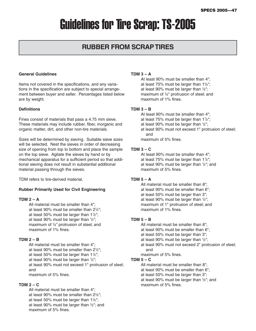# Guidelines for Tire Scrap: TS-2005

# **RUBBER FROM SCRAP TIRES**

# **General Guidelines**

Items not covered in the specifications, and any variations in the specification are subject to special arrangement between buyer and seller. Percentages listed below are by weight.

# **Definitions**

Fines consist of materials that pass a 4.75 mm sieve. These materials may include rubber, fiber, inorganic and organic matter, dirt, and other non-tire materials.

Sizes will be determined by sieving. Suitable sieve sizes will be selected. Nest the sieves in order of decreasing size of opening from top to bottom and place the sample on the top sieve. Agitate the sieves by hand or by mechanical apparatus for a sufficient period so that additional sieving does not result in substantial additional material passing through the sieves.

TDM refers to tire-derived material.

# **Rubber Primarily Used for Civil Engineering**

# **TDM 2 – A**

All material must be smaller than 4"; at least 90% must be smaller than 21 /2"; at least 50% must be larger than  $1\frac{1}{2}$ "; at least 90% must be larger than 1/2"; maximum of ½" protrusion of steel; and maximum of 1% fines.

# **TDM 2 – B**

All material must be smaller than 4"; at least 90% must be smaller than  $2\frac{1}{2}$ "; at least 50% must be larger than  $1\frac{1}{2}$ "; at least 90% must be larger than 1/2"; at least 90% must not exceed 1" protrusion of steel; and maximum of 5% fines.

**TDM 2 – C**

All material must be smaller than 4"; at least 90% must be smaller than 2½"; at least 50% must be larger than 1½"; at least 90% must be larger than ½"; and maximum of 5% fines.

# **TDM 3 – A**

At least 90% must be smaller than 4"; at least 75% must be larger than 1½"; at least 90% must be larger than ½"; maximum of ½" protrusion of steel; and maximum of 1% fines.

# **TDM 3 – B**

At least 90% must be smaller than 4"; at least 75% must be larger than  $1\frac{1}{2}$ "; at least 90% must be larger than  $\frac{1}{2}$ "; at least 90% must not exceed 1" protrusion of steel; and maximum of 5% fines.

# **TDM 3 – C**

At least 90% must be smaller than 4"; at least 75% must be larger than  $1\frac{1}{2}$ "; at least 90% must be larger than  $\frac{1}{2}$ "; and maximum of 5% fines.

# **TDM 5 – A**

All material must be smaller than 8"; at least 90% must be smaller than 6"; at least 50% must be larger than 3"; at least 90% must be larger than  $\frac{1}{2}$ "; maximum of 1" protrusion of steel; and maximum of 1% fines.

# **TDM 5 – B**

- All material must be smaller than 8";
- at least 90% must be smaller than 6";
- at least 50% must be larger than 3";
- at least 90% must be larger than  $\frac{1}{2}$ ";
- at least 90% must not exceed 2" protrusion of steel; and
- maximum of 5% fines.

# **TDM 5 – C**

All material must be smaller than 8";

at least 90% must be smaller than 6";

at least 50% must be larger than 3";

at least 90% must be larger than ½"; and

maximum of 5% fines.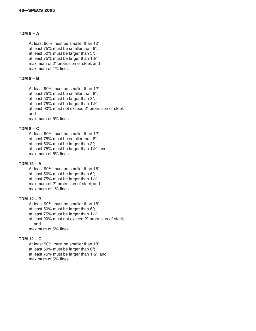# **TDM 8 – A**

At least 90% must be smaller than 12"; at least 75% must be smaller than 8"; at least 50% must be larger than 3"; at least 75% must be larger than 1½"; maximum of 2" protrusion of steel; and maximum of 1% fines.

# **TDM 8 – B**

At least 90% must be smaller than 12"; at least 75% must be smaller than 8"; at least 50% must be larger than 3"; at least 75% must be larger than 1½"; at least 90% must not exceed 2" protrusion of steel; and maximum of 5% fines.

# **TDM 8 – C**

At least 90% must be smaller than 12"; at least 75% must be smaller than 8"; at least 50% must be larger than 3"; at least 75% must be larger than 1½"; and maximum of 5% fines.

# **TDM 12 – A**

At least 90% must be smaller than 18"; at least 50% must be larger than 6"; at least 75% must be larger than 1½"; maximum of 2" protrusion of steel; and maximum of 1% fines.

# **TDM 12 – B**

At least 90% must be smaller than 18"; at least 50% must be larger than 6"; at least 75% must be larger than 1½"; at least 90% must not exceed 2" protrusion of steel; and maximum of 5% fines.

# **TDM 12 – C**

At least 90% must be smaller than 18"; at least 50% must be larger than 6"; at least 75% must be larger than 1½"; and maximum of 5% fines.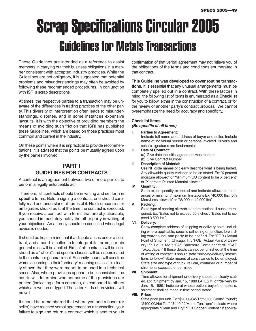# Scrap Specifications Circular 2005 Guidelines for Metals Transactions

These Guidelines are intended as a reference to assist members in carrying out their business obligations in a manner consistent with accepted industry practices. While the Guidelines are not obligatory, it is suggested that potential problems and misunderstandings may often be avoided by following these recommended procedures, in conjunction with ISRI's scrap descriptions.

At times, the respective parties to a transaction may be unaware of the differences in trading practices of the other party. This diversity of interpretation often leads to misunderstandings, disputes, and in some instances expensive lawsuits. It is with the objective of providing members the means of avoiding such friction that ISRI has published these Guidelines, which are based on those practices most common and current in the industry.

On these points where it is impractical to provide recommendations, it is advised that the points be mutually agreed upon by the parties involved.

# **PART I GUIDELINES FOR CONTRACTS**

A contract is an agreement between two or more parties to perform a legally enforceable act.

Therefore, all contracts should be in writing and set forth in **specific** terms. Before signing a contract, one should carefully read and understand all terms of it. No discrepancies or ambiguities should exist at the time the contract is executed. If you receive a contract with terms that are objectionable, you should immediately notify the other party in writing of your objections. An attorney should be consulted when legal advice is needed.

It should be kept in mind that if a dispute arises under a contract, and a court is called in to interpret its terms, certain general rules will be applied. First of all, contracts will be construed as a "whole," and specific clauses will be subordinated to the contract's general intent. Secondly, courts will construe words according to their "ordinary" meaning unless it is clearly shown that they were meant to be used in a technical sense. Also, where provisions appear to be inconsistent, the courts will determine whether some of the provisions are printed (indicating a form contract), as compared to others which are written or typed. The latter kinds of provisions will prevail.

It should be remembered that where you and a buyer (or seller) have reached verbal agreement on a transaction, your failure to sign and return a contract which is sent to you in

confirmation of that verbal agreement may not relieve you of the obligations of the terms and conditions enumerated in that contract.

# **This Guideline was developed to cover routine transac-**

**tions.** It is essential that any unusual arrangements must be completely spelled out in a contract. With these factors in mind, the following list of items is enumerated as a **Checklist** for you to follow, either in the construction of a contract, or for the review of another party's contract proposal. We cannot overemphasize the need for accuracy and specificity.

# **Checklist Items (Be specific at all times)**

# **I. Parties to Agreement:**

Indicate full name and address of buyer and seller. Include name of individual person or persons involved. Buyer's and seller's signatures are fundamental.

# **II. Date of Contract:**

(a) Give date the initial agreement was reached (b) Give Contract Number.

# **Ill. Description of Material:**

Use NF code names or clearly describe what is being traded. Any allowable quality variation to be so stated. Ex: "X percent moisture allowed" or "Minimum CU content to be X percent" or "X percent Painted Material allowed."

# **IV. Quantity:**

State exact quantity expected and indicate allowable tolerances or minimum/maximum limitations Ex. "40,000 lbs. (5% More/Less allowed)" or "38.000 to 42,000 lbs."

# **V. Packing:**

State type of packing allowable and restrictions if such are required. Ex: "Bales not to exceed 60 inches"; "Bales not to exceed 3.500 lbs."

# **VI. Delivery:**

Show complete address of shipping or delivery point, including where applicable, specific rail siding or junction. forwarding warehouse, and party to be notified. Ex: "FOB (Actual Point of Shipment) Chicago, Ill."; "FOB (Actual Point of Delivery) St. Louis. Mo."; "FAS Baltimore Container Yard"; "C&F Tokyo. Japan." If these details cannot be furnished at the time of writing of contract, it should state "shipping/delivery instructions to follow." State means of conveyance to be employed. State size and type of truck, rail car, container or number of shipments expected or permitted.

# **VII. Shipment:**

Time allowed for shipment or delivery should be clearly stated. Ex: "Shipment by Jan. 15, 1989 LATEST"; or "delivery by Jan. 15, 1989." Indicate at whose option, buyer's or seller's, shipment shall be made in time period stated.

# **VIII. Price:**

State price per unit. Ex: "\$20.00/CWT"; "20.00 Cents/ Pound"; "\$400.00/Net Ton"; "\$440.92/Metric Ton." and' indicate where appropriate "Clean and Dry"; "Full Copper Content." If applica-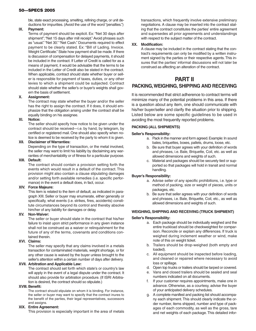ble, state exact processing, smelting, refining charge, or unit deductions for impurities. (Avoid the use of the word "penalties.")

# **IX. Payment:**

Terms of payment should be explicit. Ex: "Net 30 days after shipment"; "Net 15 days after mill receipt." Avoid phrases such as "usual." "Net 30." "Net Cash." Documents required to effect payment to be clearly stated. Ex: "Bill of Lading. Invoice. Weight Certificate." State how payment shall be made. If there is discussion of compensation for delayed payments, it should be included in the contract. If Letter of Credit is called for as a means of payment, it would be advisable that the terms to be included in the Letter of Credit also be stated in the contract. When applicable, contract should state whether buyer or seller is responsible for payment of taxes, duties, or any other levies to which a shipment could be subjected. Contract should state whether the seller's or buyer's weights shall govern the basis of settlement.

# **X. Assignment:**

The contract may state whether the buyer and/or the seller has the right to assign the contract. If it does, it should emphasize that the obligation arising under the contract shall be equally binding on his assignee.

## **XI. Notice:**

The seller should specify how notice to be given under the contract should be received—i.e. by hand, by telegram, by certified or registered mail. One should also specify when notice is deemed to be received by the party to whom it is given.

# **XII. Disclaimer of Warranties:**

Depending on the type of transaction, or the metal involved, the seller may want to limit his liability by disclaiming any warranties of merchantability or of fitness for a particular purpose.

# **XIII. Default:**

The contract should contain a provision setting forth the events which would result in a default of the contract. This provision might also contain a clause stipulating damages and/or setting forth available remedies (i.e. specific performance) in the event a default does, in fact, occur.

# **XIV. Force Majeure:**

This item is related to the item of default, as indicated in paragraph XIII. Seller or buyer may enumerate, either generally or specifically, what events (i.e. strikes, fires, accidents) constitute circumstances beyond its control and thereby absolve him/her of any liability for damages or delay.

## **XV. Non-Waiver:**

The seller or buyer should state in the contract that his/her failure to insist upon strict performance in any given instance shall not be construed as a waiver or relinquishment for the future of any of the terms, covenants and conditions contained therein.

# **XVI. Claims:**

The seller may specify that any claims involved in a metals transaction for contaminated materials, weight shortage, or for any other cause is waived by the buyer unless brought to the seller's attention within a certain number of days after delivery.

## **XVII. Arbitration and Applicable Law:**

The contract should set forth which state's or country's law will apply in the event of a legal dispute under the contract. It should also provide for arbitration procedure. (If ISRI Arbitration is desired, the contract should so stipulate.)

## **XVIII. Benefit:**

The contract should stipulate on whom it is binding. For instance, the seller or buyer may want to specify that the contract inures to the benefit of the parties, their legal representatives, successors and assigns.

## **XIX. Entire Agreement:**

This provision is especially important in the area of metals

transactions, which frequently involve extensive preliminary negotiations. A clause may be inserted into the contract stating that the contract constitutes the parties' entire agreement and supersedes all prior agreements and understandings with respect to the subject matter of the contract.

# **XX. Modification:**

A clause may be included in the contract stating that the contract's requirements can only be modified by a written instrument signed by the parties or their respective agents. This insures that the parties' informal discussions will not later be construed as affecting an alteration of the contract.

# **PART II**

# **PACKING,WEIGHING, SHIPPING AND RECEIVING**

It is recommended that strict adherence to contract terms will minimize many of the potential problems in this area. If there is a question about any item, one should communicate with his/her buyer/seller and clarify the situation prior to shipping. Listed below are some specific guidelines to be used in avoiding the most frequently reported problems.

# **PACKING (ALL SHIPMENTS)**

## **Seller's Responsibility:**

- a. Pack in the manner and form agreed. Example: In sound bales, briquettes, boxes, pallets, drums, loose, etc.
- b. Be sure that buyer agrees with your definition of words and phrases, i.e. Bale, Briquette, Coil, etc. as well as allowed dimensions and weights of such.
- c. Material and packages should be securely tied or supported so that packages will hold in transit and normal handling.

# **Buyer's Responsibility:**

- a. Advise seller of any specific prohibitions, i.e. type or method of packing, size or weight of pieces, units or packages, etc.
- b. Be sure that seller agrees with your definition of words and phrases, i.e. Bale, Briquette, Coil, etc., as well as allowed dimensions and weights of such.

## **WEIGHING, SHIPPING AND RECEIVING (TRUCK SHIPMENT)**

## **Seller's Responsibility:**

- a. Each package should be individually weighed and the entire truckload should be checkweighted for comparison. Reconcile or explain any differences. If truck is weighed during inclement weather or wind, make note of this on weight ticket.
- b. Trailers should be drop-weighed (both empty and loaded).
- c. All equipment should be inspected before loading, and cleaned or repaired where necessary to avoid loss or spillage.
- d. Open top trucks or trailers should be tarped or covered.
- e. Vans and closed trailers should be sealed and seal numbers indicated on all documents.
- f. If your customer requires appointments, make one in advance. Otherwise, as a courtesy, advise the buyer of your anticipated delivery schedules.
- g. A complete manifest and packing list should accompany each shipment.This should clearly indicate the order number, items shipped, number and type of packages of each commodity, as well as the gross, tare and net weights of each package. This detailed infor-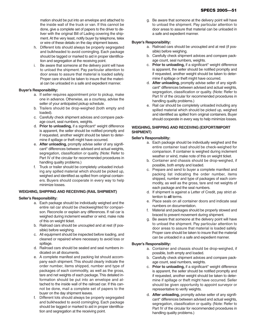mation should be put into an envelope and attached to the inside wall of the truck or van. If this cannot be done, give a complete set of papers to the driver to deliver with the original Bill of Lading covering the shipment. At the very least, notify buyer by telephone, telex or wire of these details on the day shipment leaves.

- h. Different lots should always be properly segregated and bulkheaded to avoid comingling. Each package should be tagged or marked to aid in proper identification and segregation at the receiving point.
- i. Be aware that someone at the delivery point will have to unload the shipment. Pay particular attention to door areas to assure that material is loaded safely. Proper care should be taken to insure that the material can be unloaded in a safe and expedient manner.

#### **Buyer's Responsibility:**

- a. If seller requires appointment prior to pickup, make one in advance. Otherwise, as a courtesy, advise the seller of your anticipated pickup schedule.
- b. Trailers should be drop-weighed (both empty and loaded).
- c. Carefully check shipment advices and compare package count, seal numbers, weights.
- d. **Prior to unloading,** if a significant\* weight difference is apparent, the seller should be notified promptly and if requested, another weight should be taken to determine if spillage or theft might have occurred.
- e. **After unloading,** promptly advise seller of any significant\* differences between advised and actual weights, segregation, classification or quality. (Note: Refer to Part IV of the circular for recommended procedures in handling quality problems.)
- f. Truck or trailer should be completely unloaded including any spilled material which should be picked up, weighed and identified as spilled from original containers. Buyers should cooperate in every way to help minimize losses.

## **WEIGHING, SHIPPING AND RECEIVING (RAIL SHIPMENT)**

#### **Seller's Responsibility:**

- a. Each package should be individually weighed and the entire rail car should be checkweighted for comparison. Reconcile or explain any differences. If rail car is weighed during inclement weather or wind, make note of this on weight ticket.
- b. Railroad cars should be uncoupled and at rest (if possible) before weighing.
- c. All equipment should be inspected before loading, and cleaned or repaired where necessary to avoid loss or spillage.
- d. Railroad cars should be sealed and seal numbers indicated on all documents.
- e. A complete manifest and packing list should accompany each shipment. This should clearly indicate the order number, items shipped, number and type of packages of each commodity, as well as the gross, tare and net weights of each package.This detailed information should be put into an envelope and attached to the inside wall of the railroad car. If this cannot be done, mail a complete set of papers to the buyer on the day shipment leaves.
- f. Different lots should always be properly segregated and bulkheaded to avoid comingling. Each package should be tagged or marked to aid in proper identification and segregation at the receiving point.

g. Be aware that someone at the delivery point will have to unload the shipment. Pay particular attention to door areas to assure that material can be unloaded in a safe and expedient manner.

#### **Buyer's Responsibility:**

- a. Railroad cars should be uncoupled and at rest (if possible) before weighing.
- b. Carefully check shipment advices and compare package count, seal numbers, weights.
- c. **Prior to unloading,** if a significant\* weight difference is apparent, the seller should be notified promptly and if requested, another weight should be taken to determine if spillage or theft might have occurred.
- d. **After unloading,** promptly advise seller of any significant\* differences between advised and actual weights, segregation, classification or quality. (Note: Refer to Part IV of the circular for recommended procedures in handling quality problems.)
- e. Rail car should be completely unloaded including any spilled material which should be picked up, weighed and identified as spilled from original containers. Buyer should cooperate in every way to help minimize losses.

# **WEIGHING, SHIPPING AND RECEIVING (EXPORT/IMPORT SHIPMENT)**

#### **Seller's Responsibility:**

- a. Each package should be individually weighed and the entire container load should be check-weighed for comparison. If container is weighed during inclement weather or wind, make note of this on weight ticket.
- b. Container and chassis should be drop-weighed, if possible, both empty and loaded.
- c. Prepare and send to buyer a complete manifest and packing list indicating the order number, items shipped, number and type of packages of each commodity, as well as the gross, tare and net weights of each package and the seal numbers.
- d. If shipment is against a Letter of Credit, pay strict attention to **all** terms.
- e. Place seals on all container doors and indicate seal numbers on documentation.
- f. Material and packages should be properly stowed and braced to prevent movement during shipment.
- g. Be aware that someone at the delivery point will have to unload the shipment. Pay particular attention to door areas to assure that material is loaded safely. Proper care should be taken to insure that the material can be unloaded in a safe and expedient manner.

## **Buyer's Responsibility:**

- a. Container and chassis should be drop-weighed, if possible, both empty and loaded.
- b. Carefully check shipment advices and compare package count, seal numbers, weights.
- c. **Prior to unloading,** if a significant\* weight difference is apparent, the seller should be notified promptly and if requested, another weight should be taken to determine if spillage or theft might have occurred. Seller should be given opportunity to appoint surveyor or representative to verify weights.
- d. **After unloading,** promptly advise seller of any significant\* differences between advised and actual weights, segregation, classification or quality. (Note: Refer to Part IV of the circular for recommended procedures in handling quality problems.)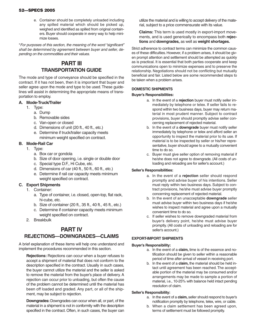e. Container should be completely unloaded including any spilled material which should be picked up, weighed and identified as spilled from original containers. Buyer should cooperate in every way to help minimize losses.

\*For purposes of this section, the meaning of the word "significant" shall be determined by agreement between buyer and seller, depending on the commodities and their values.

# **PART III TRANSPORTATION GUIDE**

The mode and type of conveyance should be specified in the contract. If it has not been, then it is important that buyer and seller agree upon the mode and type to be used. These guidelines will assist in determining the appropriate means of transportation to employ.

# **A. Mode-Truck/Trailer**

- 1. Type:
	- a. Dump
	- b. Removable sides
	- c. Van-open or closed
	- d. Dimensions of unit (20 ft., 40 ft., etc.)
	- e. Determine if truck/trailer capacity meets minimum weight specified on contract.

# **B. Mode-Rail Car**

- 1. Type:
	- a. Box car or gondola
	- b. Size of door opening, i.e. single or double door
	- c. Special type D.F., Hi Cube, etc.
	- d. Dimensions of car (40 ft., 50 ft., 60 ft., etc.)
	- e. Determine if rail car capacity meets minimum weight specified on contract.

# **C. Export Shipments**

- 1. Container:
	- a. Type of container, i.e. closed, open-top, flat rack, hi-cube, etc.
	- b. Size of container (20 ft., 35 ft., 40 ft., 45 ft., etc.)
	- c. Determine if container capacity meets minimum weight specified on contract.
- 2. Breakbulk

# **PART IV REJECTIONS—DOWNGRADES—CLAIMS**

A brief explanation of these items will help one understand and implement the procedures recommended in this section.

**Rejections:** Rejections can occur when a buyer refuses to accept a shipment of material that does not conform to the description specified in the contract. Usually in such cases, the buyer cannot utilize the material and the seller is asked to remove the material from the buyer's place of delivery. A rejection can occur prior to unloading, but often the cause of the problem cannot be determined until the material has been off loaded and graded. Any part, or all of the shipment, may be subject to rejection.

**Downgrades:**Downgrades can occur when all, or part, of the material in a shipment is not in conformity with the description specified in the contract. Often, in such cases, the buyer can

utilize the material and is willing to accept delivery of the material, subject to a price commensurate with its value.

**Claims:** This term is used mostly in export-import movements, and is used generically to encompass both **rejections** and **downgrades,** as well as **weight shortages.**

Strict adherence to contract terms can minimize the common causes of these difficulties. However, if a problem arises, it should be given prompt attention and settlement should be attempted as quickly as is practical. It is essential that both parties cooperate and keep communications open to minimize expenses and to preserve the relationship. Negotiations should not be conflicting but mutually beneficial and fair. Listed below are some recommended steps to be taken when a problem arises.

## **DOMESTIC SHIPMENTS**

#### **Buyer's Responsibilities:**

- a. In the event of a **rejection** buyer must notify seller immediately by telephone or telex. If seller fails to respond within two business days, buyer may return material in most prudent manner. Subject to contract provisions, buyer should promptly advise seller concerning replacement of rejected material.
- b. In the event of a **downgrade** buyer must notify seller immediately by telephone or telex and afford seller an opportunity to inspect the material prior to its use. If material is to be inspected by seller or his/her representative, buyer should agree to a mutually convenient time to do so.
- c. Buyer must give seller option of removing material if he/she does not agree to downgrade. (All costs of unloading and reloading are for seller's account.)

# **Seller's Responsibilities:**

- a. In the event of a **rejection** seller should respond promptly and advise buyer of his intentions. Seller must reply within two business days. Subject to contract provisions, he/she must advise buyer promptly concerning replacement of rejected material.
- b. In the event of an unacceptable **downgrade** seller must advise buyer within two business days if he/she wishes to inspect material and agree upon a mutually convenient time to do so.
- c. If seller wishes to remove downgraded material from buyer's delivery point, he/she must advise buyer promptly. (All costs of unloading and reloading are for seller's account.)

## **EXPORT-IMPORT SHIPMENTS**

#### **Buyer's Responsibility:**

- a. In the event of a **claim,** time is of the essence and notification should be given to seller within a reasonable period of time after arrival of vessel in receiving port.
- b. In the event of a **claim,** the material should be held intact until agreement has been reached. The acceptable portion of the material may be consumed and/or arrangements may be made to sample a portion of material, i.e., 10-25% with balance held intact pending resolution of claim.

#### **Seller's Responsibility:**

- a. In the event of a **claim,** seller should respond to buyer's notification promptly by telephone, telex, wire, or cable.
- b. When a claim settlement has been agreed upon, terms of settlement must be followed promptly.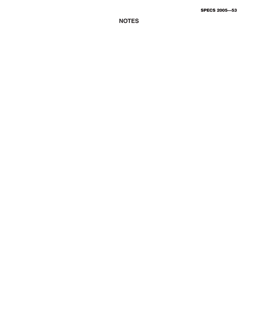# **NOTES**